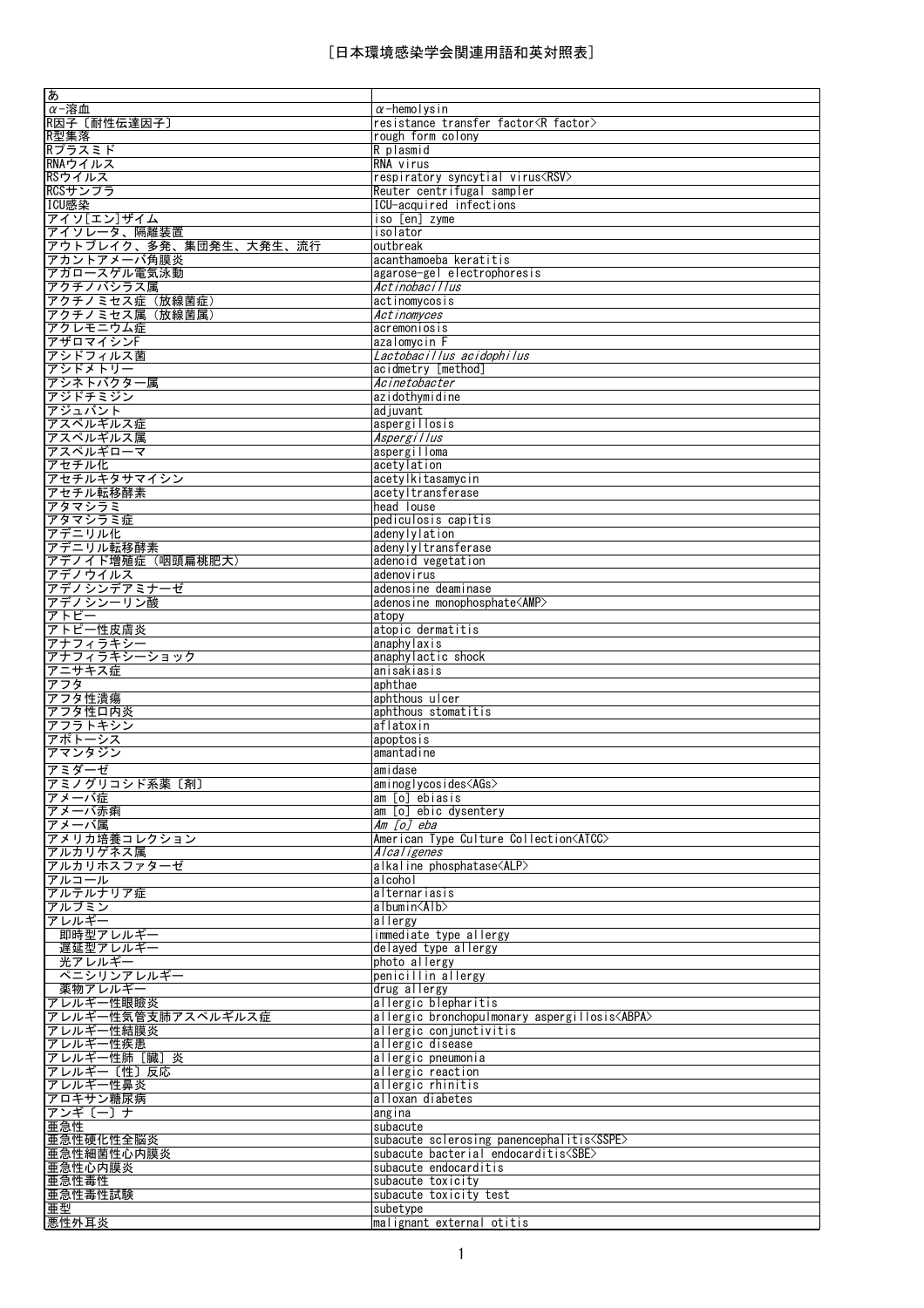| あ                      |                                                       |
|------------------------|-------------------------------------------------------|
| α-溶血                   | $\alpha$ -hemolysin                                   |
| R因子〔耐性伝達因子〕            | resistance transfer factor <r factor=""></r>          |
| R型集落                   | rough form colony                                     |
|                        |                                                       |
| Rプラスミド                 | R plasmid                                             |
| RNAウイルス                | RNA virus                                             |
| RSウイルス                 | respiratory syncytial virus <rsv></rsv>               |
| RCSサンプラ                | Reuter centrifugal sampler                            |
| ICU感染                  | ICU-acquired infections                               |
| アイソ[エン]ザイム             | iso [en] zyme                                         |
| アイソレータ、隔離装置            | isolator                                              |
|                        |                                                       |
| アウトブレイク、多発、集団発生、大発生、流行 | outbreak                                              |
| アカントアメーバ角膜炎            | acanthamoeba keratitis                                |
| アガロースゲル電気泳動            | agarose-gel electrophoresis                           |
| アクチノバシラス属              | Actinobacillus                                        |
| アクチノミセス症 (放線菌症)        | actinomycosis                                         |
| アクチノミセス属 (放線菌属)        | Actinomyces                                           |
| アクレモニウム症               | acremoniosis                                          |
|                        |                                                       |
| アザロマイシンF               | azalomycin F                                          |
| アシドフィルス菌               | Lactobacillus acidophilus                             |
| アシドメトリー                | acidmetry [method]                                    |
| アシネトバクター属              | Acinetobacter                                         |
| アジドチミジン                | azidothymidine                                        |
| アジュバント                 | ad juvant                                             |
| アスペルギルス症               | aspergillosis                                         |
|                        |                                                       |
| アスペルギルス属               | Aspergillus                                           |
| アスペルギローマ               | aspergilloma                                          |
| アセチル化                  | acetylation                                           |
| アセチルキタサマイシン            | acetylkitasamycin                                     |
| アセチル転移酵素               | acetyltransferase                                     |
| アタマシラミ                 | head louse                                            |
| アタマシラミ症                | pediculosis capitis                                   |
| アデニリル化                 | adenylylation                                         |
|                        |                                                       |
| アデニリル転移酵素              | adenylyltransferase                                   |
| アデノイド増殖症(咽頭扁桃肥大)       | adenoid vegetation                                    |
| アデノウイルス                | adenovirus                                            |
| アデノシンデアミナーゼ            | adenosine deaminase                                   |
| アデノシンーリン酸              | adenosine monophosphate <amp></amp>                   |
| アトピー                   | atopy                                                 |
| アトピー性皮膚炎               | atopic dermatitis                                     |
| アナフィラキシー               | anaphylaxis                                           |
|                        |                                                       |
|                        |                                                       |
| アナフィラキシーショック           | anaphylactic shock                                    |
| アニサキス症                 | anisakiasis                                           |
| アフタ                    | aphthae                                               |
| アフタ性潰瘍                 | aphthous ulcer                                        |
| アフタ性口内炎                | aphthous stomatitis                                   |
| アフラトキシン                | aflatoxin                                             |
| アポトーシス                 | apoptosis                                             |
| アマンタジン                 | amantadine                                            |
| アミダーゼ                  | amidase                                               |
| アミノグリコシド系薬〔剤〕          | $aminoglvcosidesAGs$                                  |
|                        | am [o] ebiasis                                        |
| アメーバ症                  |                                                       |
| アメーバ赤痢                 | am [o] ebic dysentery                                 |
| アメーバ属                  | Am [o] eba                                            |
| アメリカ培養コレクション           | American Type Culture Collection <atcc></atcc>        |
| アルカリゲネス属               | Alcaligenes                                           |
| アルカリホスファターゼ            | alkaline phosphatase <alp></alp>                      |
| アルコール                  | alcohol                                               |
| アルテルナリア症               | alternariasis                                         |
| アルブミン                  | albumin <alb></alb>                                   |
| アレルギー                  | allergy                                               |
|                        |                                                       |
| 即時型アレルギー<br>遅延型アレルギー   | immediate type allergy                                |
|                        | delayed type allergy                                  |
| 光アレルギー                 | photo allergy                                         |
| ペニシリンアレルギー             | penicillin allergy                                    |
| 薬物アレルギー                | drug allergy                                          |
| アレルギー性眼瞼炎              | allergic blepharitis                                  |
| アレルギー性気管支肺アスペルギルス症     | allergic bronchopulmonary aspergillosis <abpa></abpa> |
| アレルギー性結膜炎              | allergic conjunctivitis                               |
| アレルギー性疾患               | allergic disease                                      |
| アレルギー性肺[臓]炎            | allergic pneumonia                                    |
| アレルギー〔性〕反応             | allergic reaction                                     |
|                        | allergic rhinitis                                     |
| アレルギー性鼻炎               | alloxan diabetes                                      |
| アロキサン糖尿病               |                                                       |
| アンギ〔一〕ナ                | angina                                                |
| 亜急性                    | subacute                                              |
| 亜急性硬化性全脳炎              | subacute sclerosing panencephalitis <sspe></sspe>     |
| 亜急性細菌性心内膜炎             | subacute bacterial endocarditis <sbe></sbe>           |
| 亜急性心内膜炎                | subacute endocarditis                                 |
| 亜急性毒性                  | subacute toxicity                                     |
| 亜急性毒性試験                | subacute toxicity test                                |
| 亜型<br>悪性外耳炎            | subetype<br>malignant external otitis                 |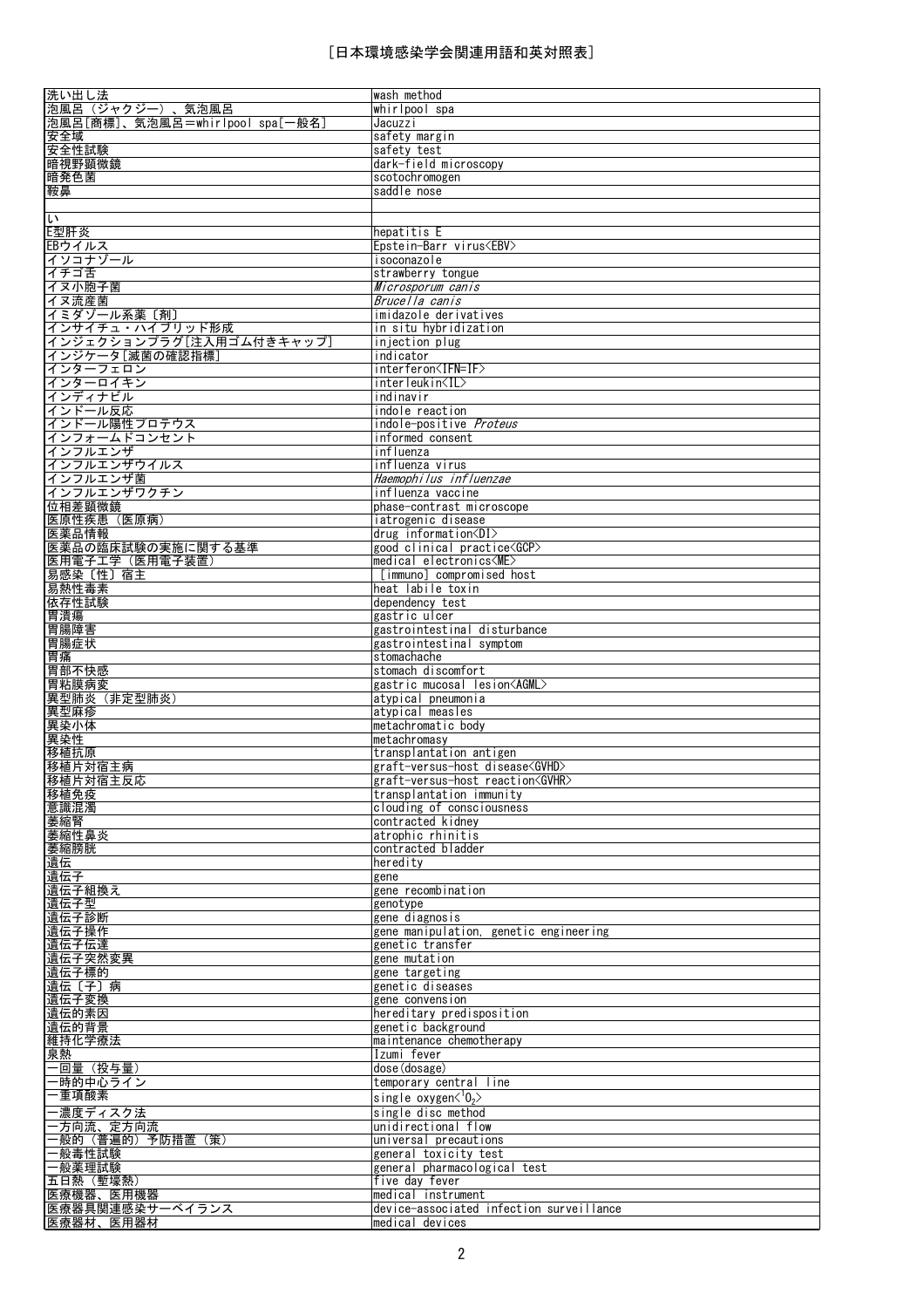| 洗い出し法                           | wash method                              |
|---------------------------------|------------------------------------------|
| 泡風呂(ジャクジー)、気泡風呂                 | whirlpool spa                            |
| 泡風呂[商標]、気泡風呂=whirlpool spa[一般名] | Jacuzz i                                 |
| 安全域                             | safety margin                            |
| 安全性試験                           | safetv test                              |
| 暗視野顕微鏡                          |                                          |
|                                 | dark-field microscopy                    |
| 暗発色菌                            | scotochromogen                           |
| 鞍鼻                              | saddle nose                              |
|                                 |                                          |
| L١                              |                                          |
| E型肝炎                            | hepatitis E                              |
| EBウイルス                          | Epstein-Barr virus <ebv></ebv>           |
| イソコナゾール                         | isoconazole                              |
|                                 |                                          |
| イチゴ舌                            | strawberry tongue                        |
| イヌ小胞子菌                          | Microsporum canis                        |
| イヌ流産菌                           | Brucella canis                           |
| イミダゾール系薬〔剤〕                     | imidazole derivatives                    |
| インサイチュ・ハイブリッド形成                 | in situ hybridization                    |
| インジェクションプラグ[注入用ゴム付きキャップ]        | injection plug                           |
| インジケータ[滅菌の確認指標]                 | indicator                                |
| インターフェロン                        | interferon <ifn=if></ifn=if>             |
|                                 |                                          |
| インターロイキン                        | interleukin <il></il>                    |
| インディナビル                         | indinavir                                |
| インドール反応                         | indole reaction                          |
| インドール陽性プロテウス                    | indole-positive Proteus                  |
| インフォームドコンセント                    | informed consent                         |
| インフルエンザ                         | influenza                                |
| インフルエンザウイルス                     | influenza virus                          |
| インフルエンザ菌                        | Haemophilus influenzae                   |
|                                 | influenza vaccine                        |
| インフルエンザワクチン                     |                                          |
| 位相差顕微鏡                          | phase-contrast microscope                |
| 医原性疾患 (医原病)                     | iatrogenic disease                       |
| 医薬品情報                           | drug information $\langle DI \rangle$    |
| 医薬品の臨床試験の実施に関する基準               | good clinical practice <gcp></gcp>       |
| 医用電子工学 (医用電子装置)                 | $medical electronics<$ ME $>$            |
| 易感染〔性〕宿主                        | [immuno] compromised host                |
| 易熱性毒素                           | heat labile toxin                        |
| 依存性試験                           | dependency test                          |
| 胃潰瘍                             | gastric ulcer                            |
| 胃腸障害                            | gastrointestinal disturbance             |
|                                 |                                          |
| 胃腸症状                            | gastrointestinal symptom                 |
| 胃痛                              | stomachache                              |
| 胃部不快感                           | stomach discomfort                       |
| 胃粘膜病変                           | gastric mucosal lesion <agml></agml>     |
| 異型肺炎 (非定型肺炎)                    | atypical pneumonia                       |
| 異型麻疹                            | atypical measles                         |
| 異染小体                            | metachromatic body                       |
| 異染性                             | metachromasy                             |
| 移植抗原                            | transplantation antigen                  |
| 移植片対宿主病                         | graft-versus-host disease <gvhd></gvhd>  |
|                                 | graft-versus-host reaction <gvhr></gvhr> |
| <u>移植片対宿主反応</u>                 |                                          |
| 移植免疫                            | transplantation immunity                 |
| 意識混濁                            | clouding of consciousness                |
| 萎縮腎                             | contracted kidney                        |
| 萎縮性鼻炎                           | atrophic rhinitis                        |
| 萎縮膀胱                            | contracted bladder                       |
| 遺伝                              | heredity                                 |
| 遺伝子                             | gene                                     |
| 遺伝子組換え                          | gene recombination                       |
| 遺伝子型                            | genotype                                 |
| 遺伝子診断                           | gene diagnosis                           |
| 遺伝子操作                           | gene manipulation, genetic engineering   |
| 遺伝子伝達                           | genetic transfer                         |
| 遺伝子突然変異                         |                                          |
|                                 | gene mutation                            |
| 遺伝子標的                           | gene targeting                           |
| 遺伝〔子〕病                          | genetic diseases                         |
| 遺伝子変換                           | gene convension                          |
| 遺伝的素因                           | hereditary predisposition                |
| 遺伝的背景                           | genetic background                       |
| 維持化学療法                          | maintenance chemotherapy                 |
| 泉熱                              | Izumi fever                              |
| 一回量(投与量)                        | dose (dosage)                            |
| 一時的中心ライン                        | temporary central line                   |
| 一重項酸素                           |                                          |
|                                 | single oxygen $\langle 0, \rangle$       |
| 一濃度ディスク法                        | single disc method                       |
| 一方向流、定方向流                       | unidirectional flow                      |
| 一般的(普遍的)予防措置(策)                 | universal precautions                    |
| 一般毒性試験                          | general toxicity test                    |
| 一般薬理試験                          | general pharmacological test             |
| 五日熱(塹壕熱)                        | five day fever                           |
| 医療機器、医用機器                       | lmedical instrument                      |
| 医療器具関連感染サーベイランス                 | device-associated infection surveillance |
| 医療器材、医用器材                       | medical devices                          |
|                                 |                                          |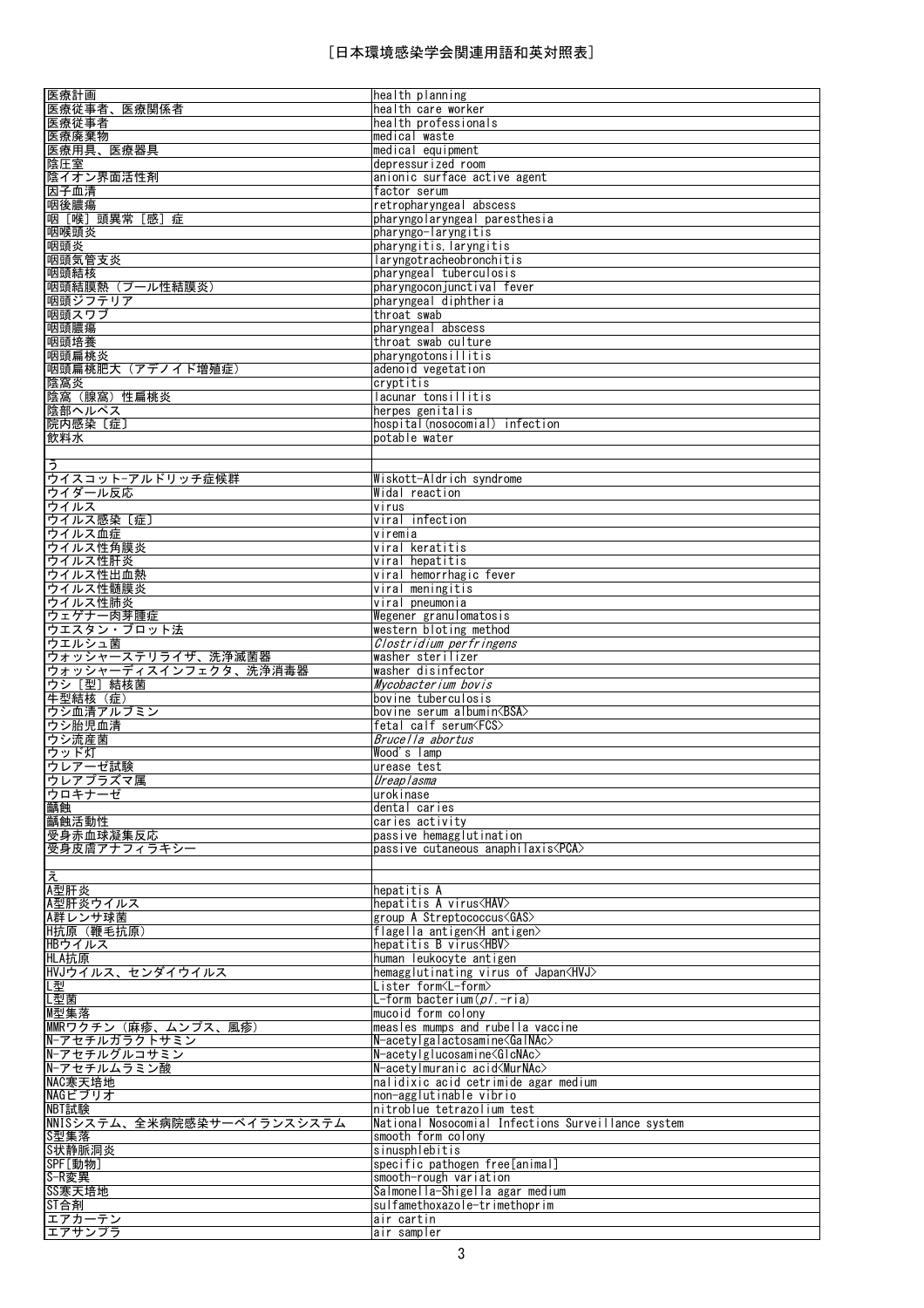| 医療計画                                                                                        | health planning                                                          |
|---------------------------------------------------------------------------------------------|--------------------------------------------------------------------------|
| 医療従事者、医療関係者                                                                                 | health care worker                                                       |
| 医療従事者<br>医療廃棄物                                                                              | health professionals<br>medical waste                                    |
| 医療用具、医療器具                                                                                   | medical equipment                                                        |
| 陰圧室                                                                                         | depressurized room                                                       |
| 陰イオン界面活性剤                                                                                   | anionic surface active agent                                             |
| 因子血清                                                                                        | factor serum                                                             |
| 咽後膿瘍                                                                                        | retropharyngeal abscess                                                  |
| 咽 [喉] 頭異常 [感] 症                                                                             | pharyngolaryngeal paresthesia                                            |
| 咽喉頭炎                                                                                        | pharyngo-laryngitis                                                      |
| 咽頭炎<br>咽頭気管支炎                                                                               | pharyngitis, laryngitis<br>laryngotracheobronchitis                      |
| 咽頭結核                                                                                        | pharyngeal tuberculosis                                                  |
| 咽頭結膜熱 (プール性結膜炎)                                                                             | pharyngoconjunctival fever                                               |
| 咽頭ジフテリア                                                                                     | pharyngeal diphtheria                                                    |
| 咽頭スワブ                                                                                       | throat swab                                                              |
| 咽頭膿瘍                                                                                        | pharyngeal abscess                                                       |
| 咽頭培養                                                                                        | throat swab culture                                                      |
| 咽頭扁桃炎                                                                                       | pharyngotonsillitis                                                      |
| 咽頭扁桃肥大 (アデノイド増殖症)                                                                           | adenoid vegetation<br>cryptitis                                          |
| 陰窩炎<br>陰窩(腺窩)性扁桃炎                                                                           | lacunar tonsillitis                                                      |
| 陰部ヘルペス                                                                                      | herpes genitalis                                                         |
| 院内感染〔症〕                                                                                     | hospital(nosocomial) infection                                           |
| 飲料水                                                                                         | potable water                                                            |
|                                                                                             |                                                                          |
| ぅ                                                                                           |                                                                          |
| ウイスコットーアルドリッチ症候群                                                                            | Wiskott-Aldrich syndrome                                                 |
| ウイダール反応                                                                                     | Widal reaction                                                           |
| ウイルス<br>ウイルス感染〔症〕                                                                           | virus<br>viral infection                                                 |
| ウイルス血症                                                                                      | viremia                                                                  |
| ウイルス性角膜炎                                                                                    | viral keratitis                                                          |
| ウイルス性肝炎                                                                                     | viral hepatitis                                                          |
| ウイルス性出血熱                                                                                    | viral hemorrhagic fever                                                  |
| ウイルス性髄膜炎                                                                                    | viral meningitis                                                         |
| ウイルス性肺炎                                                                                     | viral pneumonia                                                          |
| ウェゲナー肉芽腫症<br>ウエスタン・ブロット法                                                                    | Wegener granulomatosis                                                   |
| ウエルシュ菌                                                                                      | western bloting method<br>Clostridium perfringens                        |
| ウォッシャーステリライザ、洗浄滅菌器                                                                          | washer sterilizer                                                        |
|                                                                                             |                                                                          |
|                                                                                             |                                                                          |
| ウォッシャーディスインフェクタ、洗浄消毒器<br>ウシ [型] 結核菌                                                         | washer disinfector<br>Mycobacterium bovis                                |
| 牛型結核 (症)                                                                                    | bovine tuberculosis                                                      |
| ウシ血清アルブミン                                                                                   | bovine serum albumin <bsa></bsa>                                         |
| ウシ胎児血清                                                                                      | fetal calf serum <fcs></fcs>                                             |
| ウシ流産菌                                                                                       | Brucella abortus                                                         |
| ウッド灯                                                                                        | Wood's lamp                                                              |
| ウレアーゼ試験                                                                                     | urease test                                                              |
|                                                                                             | Ureaplasma<br>urokinase                                                  |
|                                                                                             | dental caries                                                            |
|                                                                                             | caries activity                                                          |
|                                                                                             | passive hemagglutination                                                 |
| ウレアプラズマ属<br>ウロキナーゼ<br>齲蝕<br>齲蝕活動性<br>受身赤血球凝集反応<br>受身皮膚アナフィラキシー                              | passive cutaneous anaphilaxis <pca></pca>                                |
|                                                                                             |                                                                          |
|                                                                                             | hepatitis A                                                              |
|                                                                                             | hepatitis A virus <hav></hav>                                            |
|                                                                                             | group A Streptococcus <gas></gas>                                        |
|                                                                                             | flagella antigen <h antigen=""></h>                                      |
|                                                                                             | hepatitis B virus <hbv></hbv>                                            |
|                                                                                             | human leukocyte antigen                                                  |
|                                                                                             | hemagglutinating virus of Japan <hvj></hvj>                              |
| え<br>A型肝炎<br>A型肝炎ウイルス<br>A群レンサ球菌<br>H抗原 (鞭毛抗原)<br>HBウイルス<br>HLA抗原<br>HVJウイルス、センダイウイルス<br>L型 | Lister form <l-form></l-form>                                            |
| L型菌                                                                                         | L-form bacterium( $p/$ .-ria)<br>mucoid form colony                      |
| M型集落<br>MMRワクチン (麻疹、ムンプス、風疹)                                                                | measles mumps and rubella vaccine                                        |
| N-アセチルガラクトサミン                                                                               | $N$ -acetylgalactosamine $\langle$ Gal $NAc \rangle$                     |
| N-アセチルグルコサミン                                                                                | $N$ -acetylglucosamine <glcnac></glcnac>                                 |
| N-アセチルムラミン酸                                                                                 | N-acetylmuranic acid <murnac></murnac>                                   |
| NAC寒天培地                                                                                     | nalidixic acid cetrimide agar medium                                     |
| NAGビブリオ                                                                                     | non-agglutinable vibrio                                                  |
| NBT試験<br>NNISシステム、全米病院感染サーベイランスシステム                                                         | nitroblue tetrazolium test                                               |
| S型集落                                                                                        | National Nosocomial Infections Surveillance system<br>smooth form colony |
| S状静脈洞炎                                                                                      | sinusphlebitis                                                           |
| SPF[動物]                                                                                     | specific pathogen free[animal]                                           |
| S-R変異                                                                                       | smooth-rough variation                                                   |
| SS寒天培地                                                                                      | Salmonella-Shigella agar medium                                          |
| ST合剤<br>エアカーテン                                                                              | sulfamethoxazole-trimethoprim<br>air cartin                              |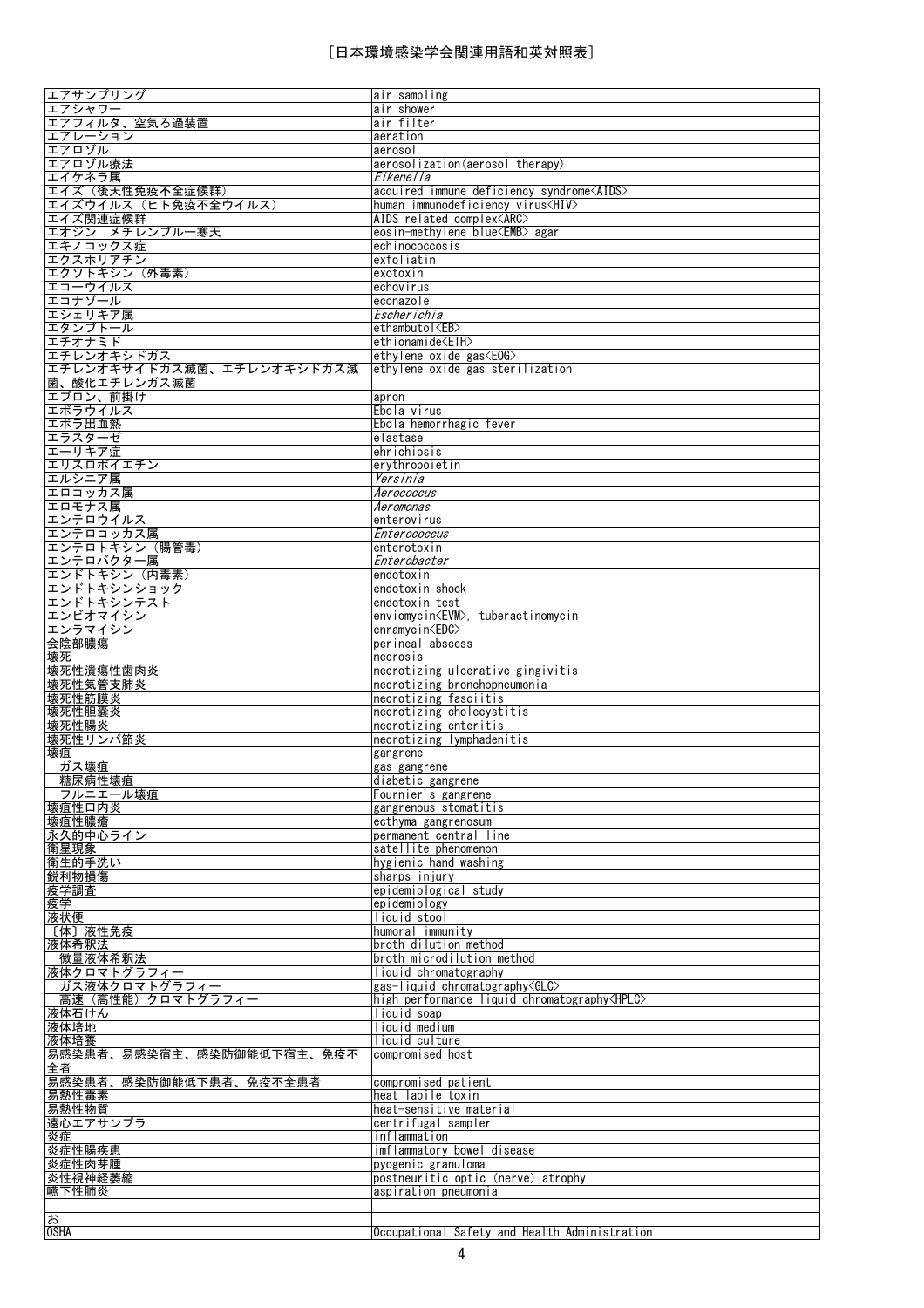| エアサンプリング                  | air sampling                                         |
|---------------------------|------------------------------------------------------|
| エアシャワー                    | air shower                                           |
| エアフィルタ、空気ろ過装置             | air filter                                           |
| エアレーション                   | aeration                                             |
| エアロゾル                     | aerosol                                              |
| エアロゾル療法                   | aerosolization (aerosol therapy)                     |
| エイケネラ属                    | Eikene I la                                          |
| エイズ(後天性免疫不全症候群)           | acquired immune deficiency syndrome <aids></aids>    |
| エイズウイルス(ヒト免疫不全ウイルス)       | human immunodeficiency virus <hiv></hiv>             |
| エイズ関連症候群                  | AIDS related complex <arc></arc>                     |
| エオジン メチレンブルー寒天            | eosin-methylene blue <emb> agar</emb>                |
| エキノコックス症                  | echinococcosis                                       |
| エクスホリアチン                  | exfoliatin                                           |
| エクソトキシン(外毒素)              | exotoxin                                             |
| エコーウイルス                   | echovirus                                            |
| エコナゾール                    | econazole                                            |
| エシェリキア属                   | Escherichia                                          |
|                           |                                                      |
| エタンブトール                   | ethambutol <eb></eb>                                 |
| エチオナミド                    | ethionamide <eth></eth>                              |
| エチレンオキシドガス                | ethylene oxide gas $\langle E0G \rangle$             |
| エチレンオキサイドガス滅菌、エチレンオキシドガス滅 | ethylene oxide gas sterilization                     |
| 菌、酸化エチレンガス滅菌              |                                                      |
| エプロン、前掛け                  | apron                                                |
| エボラウイルス                   | Ebola virus                                          |
| 工ボラ出血熱                    | Ebola hemorrhagic fever                              |
| エラスターゼ                    | elastase                                             |
| エーリキア症                    | ehrichiosis                                          |
| エリスロポイエチン                 | erythropoietin                                       |
| エルシニア属                    | Yersinia                                             |
| エロコッカス属                   | Aerococcus                                           |
| エロモナス属                    | Aeromonas                                            |
| エンテロウイルス                  | enterovirus                                          |
| エンテロコッカス属                 | Enterococcus                                         |
| エンテロトキシン (腸管毒)            | enterotoxin                                          |
| エンテロバクター属                 | Enterobacter                                         |
| エンドトキシン (内毒素)             | endotoxin                                            |
| エンドトキシンショック               | endotoxin shock                                      |
| エンドトキシンテスト                | endotoxin test                                       |
| エンビオマイシン                  |                                                      |
|                           | enviomycin <evm>, tuberactinomycin</evm>             |
| エンラマイシン                   | enramycin≺EDC>                                       |
| 会陰部膿瘍                     | perineal abscess                                     |
| 壊死                        | necrosis                                             |
| 壊死性潰瘍性歯肉炎                 | necrotizing ulcerative gingivitis                    |
| 壊死性気管支肺炎                  | necrotizing bronchopneumonia                         |
| 壊死性筋膜炎                    | necrotizing fasciitis                                |
| 壊死性胆囊炎                    | necrotizing cholecystitis                            |
| 壊死性腸炎                     | necrotizing enteritis                                |
| 壊死性リンパ節炎                  | necrotizing lymphadenitis                            |
| 壊疽                        | gangrene                                             |
| ガス壊疽                      | gas gangrene                                         |
| 糖尿病性壊疽                    | diabetic gangrene                                    |
| フルニエール壊疽                  | Fournier's gangrene                                  |
| 壊疽性口内炎                    | gangrenous stomatitis                                |
| 壊疽性膿瘡                     | ecthyma gangrenosum                                  |
| 永久的中心ライン                  | permanent central line                               |
| 衛星現象                      | satellite phenomenon                                 |
| 衛生的手洗い                    | hygienic hand washing                                |
| 鋭利物損傷                     | sharps injury                                        |
| 疫学調査                      | epidemiological study                                |
| 疫学                        | epidemiology                                         |
| 液状便                       | liquid stool                                         |
| 〔体〕液性免疫                   | humoral immunitv                                     |
| 液体希釈法                     | broth dilution method                                |
| 微量液体希釈法                   | broth microdilution method                           |
| 液体クロマトグラフィー               |                                                      |
|                           | liquid chromatography                                |
|                           |                                                      |
| ガス液体クロマトグラフィー             | gas-liquid chromatography <glc></glc>                |
| 高速(高性能)クロマトグラフィー          | high performance liquid chromatography <hplc></hplc> |
| 液体石けん                     | liquid soap                                          |
| 液体培地                      | liquid medium                                        |
| 液体培養                      | liquid culture                                       |
| 易感染患者、易感染宿主、感染防御能低下宿主、免疫不 | compromised host                                     |
| 全者                        |                                                      |
| 易感染患者、感染防御能低下患者、免疫不全患者    | compromised patient                                  |
| 易熱性毒素                     | heat labile toxin                                    |
| 易熱性物質                     | heat-sensitive material                              |
| 遠心エアサンプラ                  | centrifugal sampler                                  |
| 炎症                        | inflammation                                         |
| 炎症性腸疾患                    | imflammatory bowel disease                           |
| 炎症性肉芽腫                    | pyogenic granuloma                                   |
| 炎性視神経萎縮                   | postneuritic optic (nerve) atrophy                   |
| 嚥下性肺炎                     | aspiration pneumonia                                 |
| お                         |                                                      |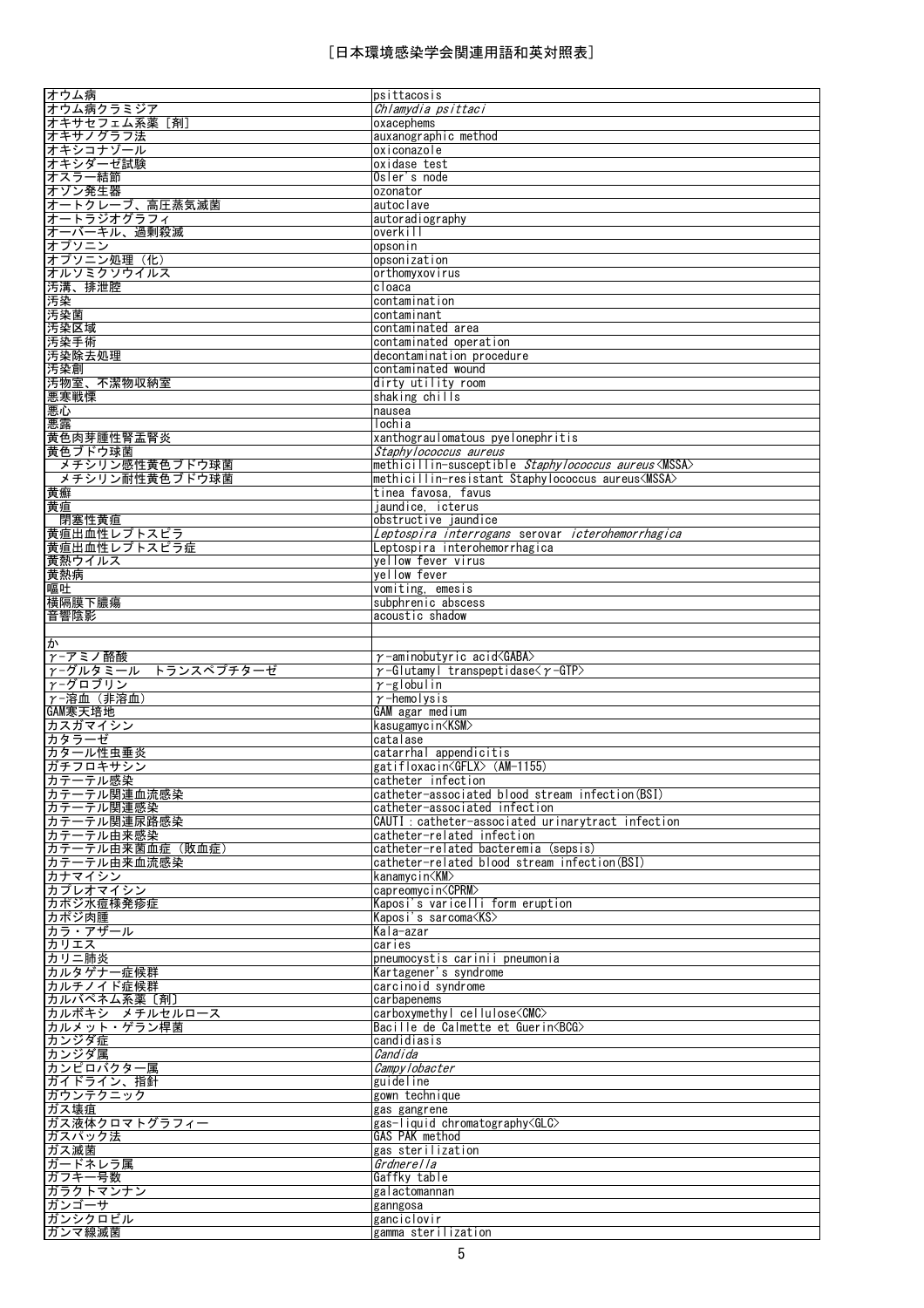| オウム病                  | psittacosis                                                       |
|-----------------------|-------------------------------------------------------------------|
| オウム病クラミジア             | Chlamydia psittaci                                                |
| オキサセフェム系薬 [剤]         | oxacephems                                                        |
| オキサノグラフ法              | auxanographic method                                              |
| オキシコナゾール              | oxiconazole                                                       |
| オキシダーゼ試験              | oxidase test                                                      |
| オスラー結節                | Osler's node                                                      |
| オゾン発生器                | ozonator                                                          |
| オートクレーブ、高圧蒸気滅菌        | autoclave                                                         |
| オートラジオグラフィ            | autoradiography                                                   |
| オーバーキル、過剰殺滅           | overkill                                                          |
| オプソニン                 | opsonin                                                           |
| オプソニン処理 (化)           | opsonization                                                      |
| オルソミクソウイルス            | orthomyxovirus                                                    |
| 汚溝、排泄腔                | cloaca                                                            |
| 汚染                    | contamination                                                     |
| 汚染菌                   | contaminant                                                       |
| 汚染区域                  | contaminated area                                                 |
| 汚染手術                  | contaminated operation                                            |
| 汚染除去処理                | decontamination procedure                                         |
| 汚染創                   | contaminated wound                                                |
| 汚物室、不潔物収納室            | dirty utility room                                                |
| 悪寒戦慄                  | shaking chills                                                    |
| 悪心                    | nausea                                                            |
| 悪露                    | lochia                                                            |
| 黄色肉芽腫性腎盂腎炎            | xanthograulomatous pyelonephritis                                 |
| 黄色ブドウ球菌               | Staphy lococcus aureus                                            |
| メチシリン感性黄色ブドウ球菌        | methicillin-susceptible Staphylococcus aureus <mssa></mssa>       |
| メチシリン耐性黄色ブドウ球菌        | methicillin-resistant Staphylococcus aureus <mssa></mssa>         |
| 黄癬                    | tinea favosa, favus                                               |
| 黄疸                    | jaundice, icterus                                                 |
| 閉塞性黄疸                 | obstructive jaundice                                              |
| 黄疸出血性レプトスピラ           | Leptospira interrogans serovar icterohemorrhagica                 |
| 黄疸出血性レプトスピラ症          | Leptospira interohemorrhagica                                     |
| 黄熱ウイルス                | yellow fever virus                                                |
| 黄熱病                   | yellow fever                                                      |
| 嘔吐                    | vomiting, emesis                                                  |
| 横隔膜下膿瘍                | subphrenic abscess                                                |
| 音響陰影                  | acoustic shadow                                                   |
|                       |                                                                   |
| ゕ                     |                                                                   |
| γ-アミノ酪酸               | $\gamma$ -aminobutyric acid $\langle$ GABA $\rangle$              |
|                       |                                                                   |
| r-グルタミール トランスペプチターゼ   | $\gamma$ -Glutamyl transpeptidase $\langle \gamma$ -GTP $\rangle$ |
| γ-グロブリン               | $\gamma$ -globulin                                                |
| γ-溶血 (非溶血)            | $\gamma$ -hemolysis                                               |
| GAM寒天培地               | GAM agar medium                                                   |
| カスガマイシン               | kasugamycin <ksm></ksm>                                           |
| カタラーゼ                 | catalase                                                          |
| カタール性虫垂炎              | catarrhal appendicitis                                            |
| ガチフロキサシン              | gatifloxacin <gflx> (AM-1155)</gflx>                              |
| カテーテル感染               | catheter infection                                                |
| カテーテル関連血流感染           | catheter-associated blood stream infection (BSI)                  |
| カテーテル関連感染             | catheter-associated infection                                     |
| カテーテル関連尿路感染           | CAUTI: catheter-associated urinarytract infection                 |
| カテーテル由来感染             | catheter-related infection                                        |
| カテーテル由来菌血症 (敗血症)      | catheter-related bacteremia (sepsis)                              |
|                       | catheter-related blood stream infection (BSI)                     |
| カテーテル由来血流感染<br>カナマイシン | kanamycin <km></km>                                               |
| カプレオマイシン              | capreomycin <cprm></cprm>                                         |
| カポジ水痘様発疹症             | Kaposi's varicelli form eruption                                  |
| カポジ肉腫                 | Kaposi's sarcoma <ks></ks>                                        |
| カラ・アザール               | Kala-azar                                                         |
| カリエス                  | caries                                                            |
| カリニ肺炎                 | pneumocystis carinii pneumonia                                    |
| カルタゲナー症候群             | Kartagener's syndrome                                             |
| カルチノイド症候群             | carcinoid syndrome                                                |
| カルバペネム系薬[剤]           | carbapenems                                                       |
| カルボキシ メチルセルロース        | carboxymethyl cellulose <cmc></cmc>                               |
| カルメット・ゲラン桿菌           | Bacille de Calmette et Guerin <bcg></bcg>                         |
| カンジダ症                 | candidiasis                                                       |
| カンジダ属                 | Candida                                                           |
| カンピロバクター属             | <i>Campylobacter</i>                                              |
| ガイドライン、指針             | guideline                                                         |
| ガウンテクニック              | gown technique                                                    |
| ガス壊疽                  | gas gangrene                                                      |
| ガス液体クロマトグラフィー         | gas-liquid chromatography <glc><br/><b>GAS PAK method</b></glc>   |
| ガスパック法<br>ガス滅菌        | gas sterilization                                                 |
|                       | Grdnerella                                                        |
| ガードネレラ属               | Gaffky table                                                      |
| ガフキー号数<br>ガラクトマンナン    | galactomannan                                                     |
| ガンゴーサ                 | ganngosa                                                          |
| ガンシクロビル               | ganciclovir                                                       |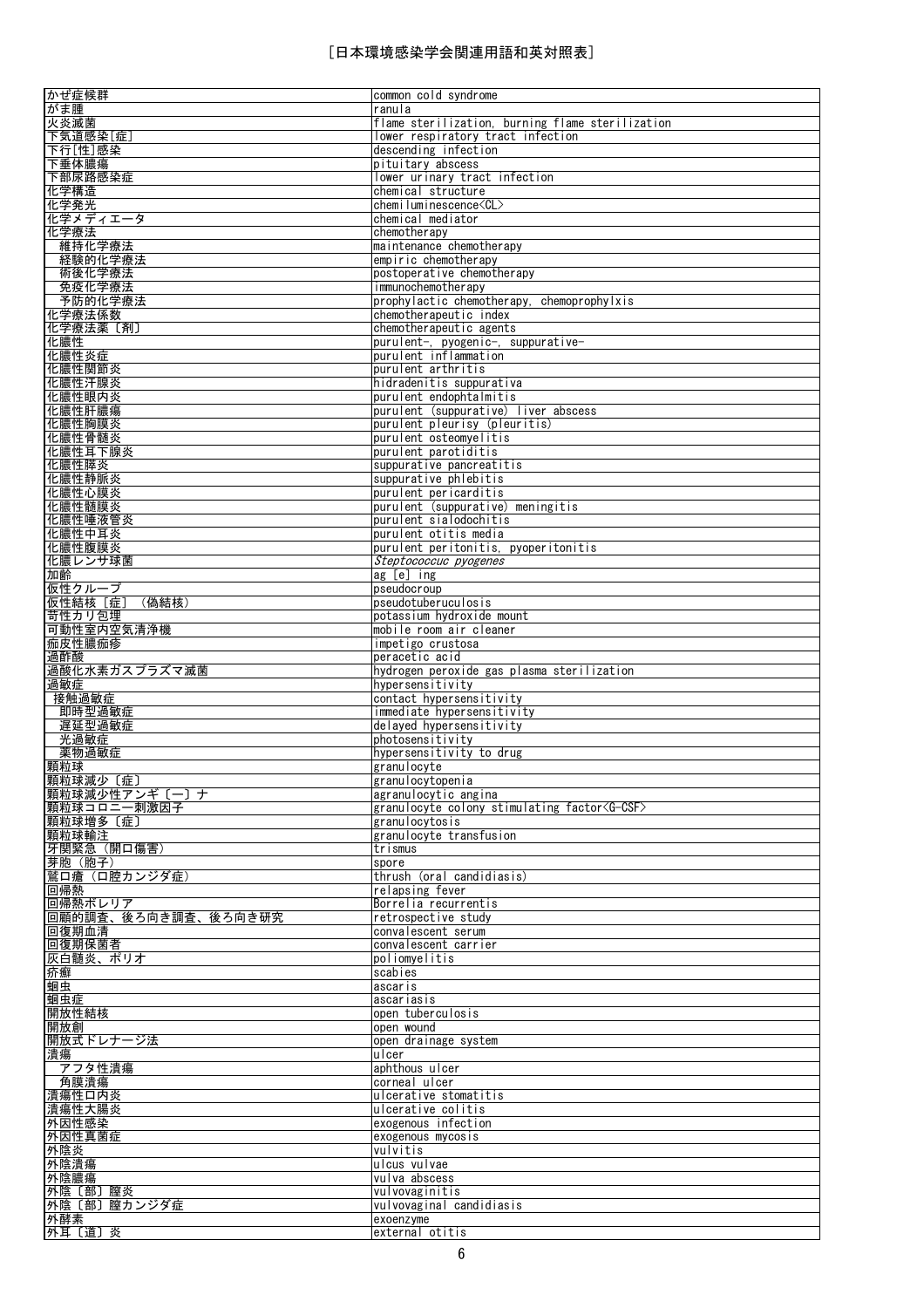| かぜ症候群                        | common cold syndrome                                                                  |
|------------------------------|---------------------------------------------------------------------------------------|
| がま腫                          | ranula                                                                                |
| 火炎滅菌<br>下気道感染[症]             | flame sterilization, burning flame sterilization<br>lower respiratory tract infection |
| 下行[性]感染                      | descending infection                                                                  |
| 下垂体膿瘍                        | pituitary abscess                                                                     |
| 下部尿路感染症                      | lower urinary tract infection                                                         |
| 化学構造                         | chemical structure                                                                    |
| 化学発光                         | chemiluminescence <cl></cl>                                                           |
| 化学メディエータ<br>化学療法             | chemical mediator<br>chemotherapy                                                     |
| 維持化学療法                       | maintenance chemotherapy                                                              |
| 経験的化学療法                      | empiric chemotherapy                                                                  |
| 術後化学療法                       | postoperative chemotherapy                                                            |
| 免疫化学療法                       | immunochemotherapy                                                                    |
| 予防的化学療法                      | prophylactic chemotherapy, chemoprophylxis                                            |
| 化学療法係数                       | chemotherapeutic index                                                                |
| 化学療法薬〔剤〕<br>化膿性              | chemotherapeutic agents<br>purulent-, pyogenic-, suppurative-                         |
| 化膿性炎症                        | purulent inflammation                                                                 |
| 化膿性関節炎                       | purulent arthritis                                                                    |
| 化膿性汗腺炎                       | hidradenitis suppurativa                                                              |
| 化膿性眼内炎                       | purulent endophtalmitis                                                               |
| 化膿性肝膿瘍                       | purulent (suppurative) liver abscess                                                  |
| 化膿性胸膜炎<br>化膿性骨髄炎             | purulent pleurisy (pleuritis)<br>purulent osteomyelitis                               |
| 化膿性耳下腺炎                      | purulent parotiditis                                                                  |
| 化膿性膵炎                        | suppurative pancreatitis                                                              |
| 化膿性静脈炎                       | suppurative phlebitis                                                                 |
| 化膿性心膜炎                       | purulent pericarditis                                                                 |
| 化膿性髄膜炎                       | purulent (suppurative) meningitis                                                     |
| 化膿性唾液管炎<br>化膿性中耳炎            | purulent sialodochitis<br>purulent otitis media                                       |
| 化膿性腹膜炎                       | purulent peritonitis, pyoperitonitis                                                  |
| 化膿レンサ球菌                      | Steptococcuc pyogenes                                                                 |
| 加齢                           | ag [e] ing                                                                            |
| 仮性クループ                       | pseudocroup                                                                           |
| 仮性結核 [症]<br>(偽結核)            | pseudotuberuculosis                                                                   |
| 苛性カリ包埋<br>可動性室内空気清浄機         | potassium hydroxide mount<br>mobile room air cleaner                                  |
| 痂皮性膿痂疹                       | impetigo crustosa                                                                     |
| 過酢酸                          | peracetic acid                                                                        |
|                              |                                                                                       |
| 過酸化水素ガスプラズマ滅菌                | hydrogen peroxide gas plasma sterilization                                            |
| 過敏症                          | hypersensitivity                                                                      |
| 接触過敏症                        | contact hypersensitivity                                                              |
| 即時型過敏症                       | immediate hypersensitivity                                                            |
| 遅延型過敏症                       | delayed hypersensitivity                                                              |
| 光過敏症<br>薬物過敏症                | photosensitivity<br>hypersensitivity to drug                                          |
| 顆粒球                          | granulocyte                                                                           |
| 顆粒球減少〔症〕                     | granulocytopenia                                                                      |
| 顆粒球減少性アンギ〔一〕ナ                | agranulocytic angina                                                                  |
| 顆粒球コロニー刺激因子                  | granulocyte colony stimulating factor <g-csf></g-csf>                                 |
| 顆粒球増多〔症〕                     | granulocytosis<br>granulocyte transfusion                                             |
| 顆粒球輸注<br>牙関緊急 (開口傷害)         | trismus                                                                               |
| 芽胞(胞子)                       | spore                                                                                 |
| 鷲口瘡(口腔カンジダ症)                 | thrush (oral candidiasis)                                                             |
| 回帰熱                          | relapsing fever                                                                       |
| 回帰熱ボレリア                      | Borrelia recurrentis<br>retrospective study                                           |
| 回顧的調査、後ろ向き調査、後ろ向き研究<br>回復期血清 | convalescent serum                                                                    |
| 回復期保菌者                       | convalescent carrier                                                                  |
| 灰白髄炎、ポリオ                     | poliomvelitis                                                                         |
| 疥癬                           | scabies                                                                               |
| 蛔虫                           | ascaris                                                                               |
| 蛔虫症                          | ascariasis                                                                            |
| 開放性結核                        | open tuberculosis                                                                     |
| 開放創<br>開放式ドレナージ法             | open wound<br>open drainage system                                                    |
| 潰瘍                           | ulcer                                                                                 |
| アフタ性潰瘍                       | aphthous ulcer                                                                        |
| 角膜潰瘍                         | corneal ulcer                                                                         |
| 潰瘍性口内炎                       | ulcerative stomatitis                                                                 |
| 潰瘍性大腸炎<br>外因性感染              | ulcerative colitis<br>exogenous infection                                             |
| 外因性真菌症                       | exogenous mycosis                                                                     |
| 外陰炎                          | vulvitis                                                                              |
| 外陰潰瘍                         | ulcus vulvae                                                                          |
| 外陰膿瘍                         | vulva abscess                                                                         |
| 外陰〔部〕膣炎                      | vulvovaginitis                                                                        |
| 外陰〔部〕膣カンジダ症<br>外酵素           | vulvovaginal candidiasis<br>exoenzyme                                                 |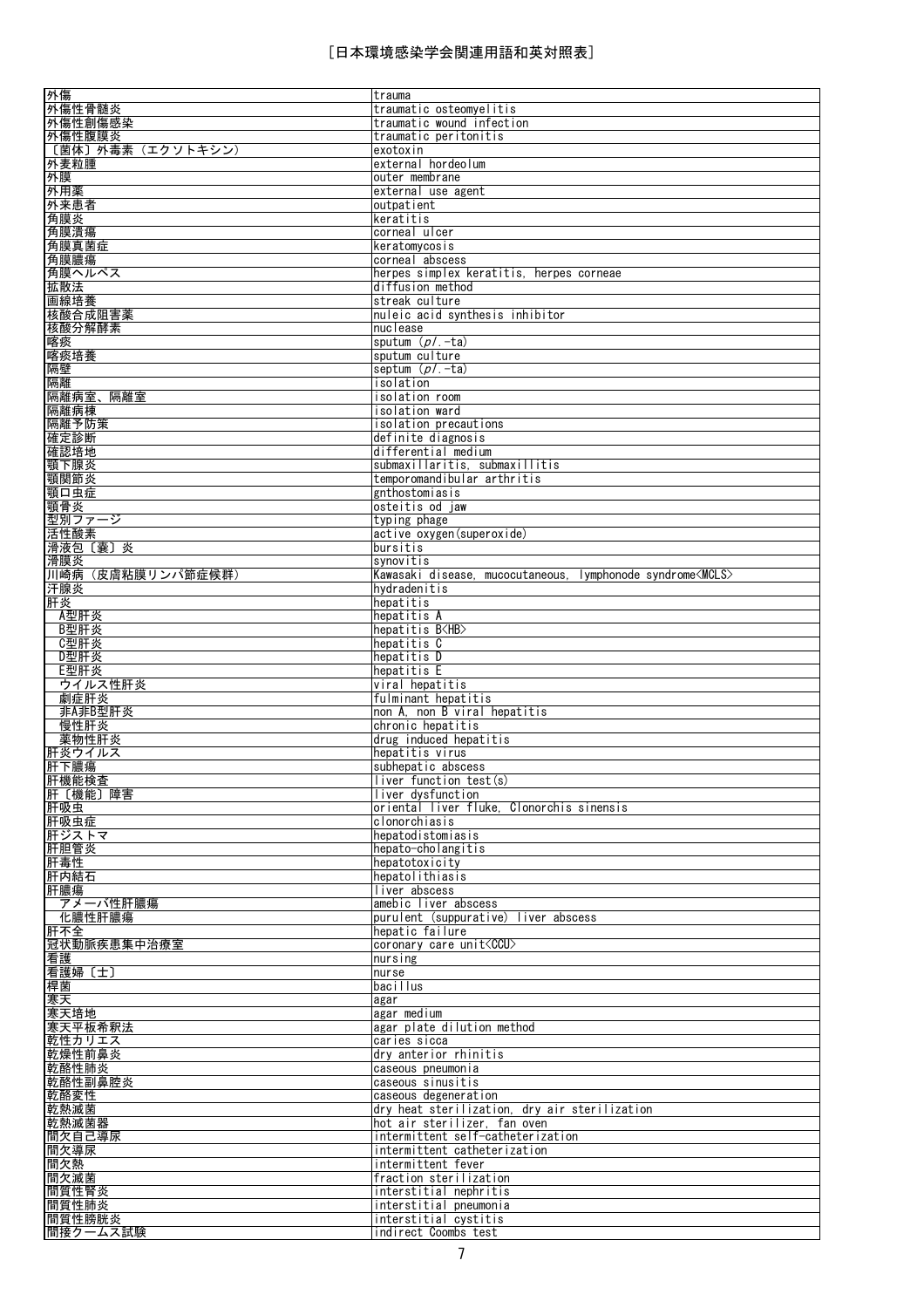| 外傷                                              | trauma                                                             |
|-------------------------------------------------|--------------------------------------------------------------------|
| 外傷性骨髄炎                                          | traumatic osteomyelitis                                            |
| 外傷性創傷感染                                         | traumatic wound infection                                          |
| 外傷性腹膜炎                                          | traumatic peritonitis                                              |
| 〔菌体〕外毒素(エクソトキシン)                                | exotoxin                                                           |
| 外麦粒腫                                            | external hordeolum                                                 |
| 外膜                                              | outer membrane                                                     |
| 外用薬                                             | external use agent                                                 |
| 外来患者                                            | outpatient                                                         |
| 角膜炎                                             | keratitis                                                          |
| 角膜潰瘍                                            | corneal ulcer                                                      |
| 角膜真菌症                                           | keratomycosis                                                      |
| 角膜膿瘍                                            | corneal abscess                                                    |
| 角膜ヘルペス                                          | herpes simplex keratitis, herpes corneae                           |
| 拡散法                                             | diffusion method                                                   |
| 画線培養                                            | streak culture                                                     |
| 核酸合成阻害薬                                         | nuleic acid synthesis inhibitor                                    |
| <u>核酸分解酵素</u>                                   | nuclease                                                           |
| 喀痰                                              | sputum $(p/-ta)$                                                   |
| 喀痰培養                                            | sputum culture                                                     |
| 隔壁                                              | septum ( <i>pl</i> .-ta)                                           |
| 隔離                                              | isolation                                                          |
|                                                 | isolation room                                                     |
| 隔離病室、隔離室<br>隔離病棟                                | isolation ward                                                     |
|                                                 |                                                                    |
| 隔離予防策                                           | isolation precautions<br>definite diagnosis                        |
| 確定診断<br>確認培地                                    | differential medium                                                |
|                                                 | submaxillaritis, submaxillitis                                     |
| 顎下腺炎                                            |                                                                    |
| 顎関節炎                                            | temporomandibular arthritis                                        |
| 顎口虫症                                            | gnthostomiasis                                                     |
| 顎骨炎<br>型別ファージ                                   | osteitis od iaw                                                    |
| 活性酸素                                            | typing phage<br>active oxygen(superoxide)                          |
| 滑液包〔囊〕炎                                         | bursitis                                                           |
| 滑膜炎                                             | synovitis                                                          |
| 川崎病(皮膚粘膜リンパ節症候群)                                | Kawasaki disease, mucocutaneous, lymphonode syndrome <mcls></mcls> |
| 汗腺炎                                             | hydradenitis                                                       |
| 肝炎                                              | hepatitis                                                          |
| A型肝炎                                            | hepatitis $\overline{A}$                                           |
| B型肝炎                                            | hepatitis B <hb></hb>                                              |
| C型肝炎                                            | hepatitis C                                                        |
|                                                 |                                                                    |
|                                                 |                                                                    |
| D型肝炎                                            | hepatitis D                                                        |
| E型肝炎                                            | hepatitis E                                                        |
| ウイルス性肝炎                                         | viral hepatitis                                                    |
| 劇症肝炎                                            | fulminant hepatitis                                                |
| 非A非B型肝炎<br>慢性肝炎                                 | non A, non B viral hepatitis<br>chronic hepatitis                  |
|                                                 | drug induced hepatitis                                             |
| 薬物性肝炎                                           | hepatitis virus                                                    |
| 肝炎ウイルス<br>肝下膿瘍                                  | subhepatic abscess                                                 |
|                                                 | liver function test(s)                                             |
| <u> 肝機能検査</u>                                   | liver dysfunction                                                  |
| 肝〔機能〕障害<br>肝吸虫                                  | oriental liver fluke. Clonorchis sinensis                          |
| 肝吸虫症                                            | clonorchiasis                                                      |
| 肝ジストマ                                           | hepatodistomiasis                                                  |
| 肝胆管炎                                            | hepato-cholangitis                                                 |
| 肝毒性                                             | hepatotoxicity                                                     |
| 肝内結石                                            | hepatolithiasis                                                    |
|                                                 | liver abscess                                                      |
| 肝膿瘍<br>アメーバ性肝膿瘍                                 | amebic liver abscess                                               |
| 化膿性肝膿瘍                                          | purulent (suppurative) liver abscess                               |
| 肝不全                                             | hepatic failure                                                    |
| 冠状動脈疾患集中治療室                                     | coronary care unit <ccu></ccu>                                     |
| 看護                                              | nursing                                                            |
|                                                 | nurse                                                              |
|                                                 | bacillus                                                           |
|                                                 | agar                                                               |
|                                                 | agar medium                                                        |
|                                                 | agar plate dilution method                                         |
| 看護婦〔士〕<br>桿菌<br>寒天<br>寒天培地<br>寒天平板希釈法<br>乾性カリエス | caries sicca                                                       |
|                                                 | dry anterior rhinitis                                              |
|                                                 | caseous pneumonia                                                  |
| 乾燥性前鼻炎<br>乾酪性肺炎<br>乾酪性副鼻腔炎                      | caseous sinusitis                                                  |
| 乾酪変性                                            | caseous degeneration                                               |
|                                                 | dry heat sterilization, dry air sterilization                      |
|                                                 | hot air sterilizer. fan oven                                       |
| 乾熱滅菌<br>乾熱滅菌器<br>間欠自己導尿                         | intermittent self-catheterization                                  |
| 間欠導尿                                            | intermittent catheterization                                       |
| 間欠熱                                             | intermittent fever                                                 |
| 間欠滅菌                                            | fraction sterilization                                             |
| 間質性腎炎                                           | interstitial nephritis                                             |
| 間質性肺炎<br>間質性膀胱炎                                 | interstitial pneumonia<br>interstitial cystitis                    |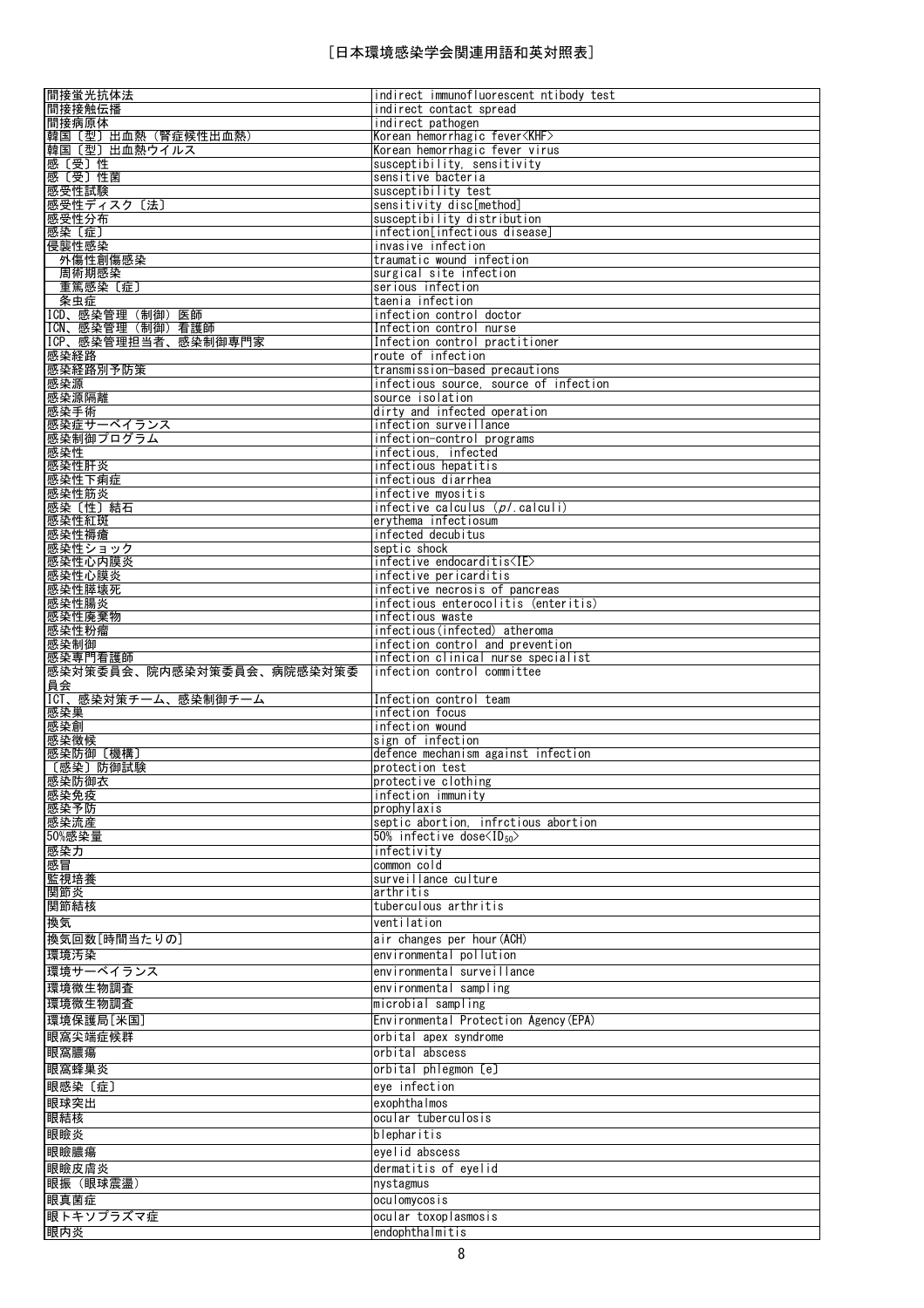| 間接蛍光抗体法                               | indirect immunofluorescent ntibody test                  |
|---------------------------------------|----------------------------------------------------------|
| 間接接触伝播                                | indirect contact spread<br>indirect pathogen             |
| 間接病原体<br>韓国〔型〕出血熱(腎症候性出血熱)            | Korean hemorrhagic fever <khf></khf>                     |
| 韓国〔型〕出血熱ウイルス                          | Korean hemorrhagic fever virus                           |
| 感〔受〕性                                 | susceptibility, sensitivity                              |
| 感〔受〕性菌                                | sensitive bacteria                                       |
| 感受性試験                                 | susceptibility test<br>sensitivity disc[method]          |
| 感受性ディスク〔法〕<br>感受性分布                   | susceptibility distribution                              |
| 感染〔症〕                                 | infection[infectious disease]                            |
| 侵襲性感染                                 | invasive infection                                       |
| 外傷性創傷感染                               | traumatic wound infection                                |
| 周術期感染                                 | surgical site infection<br>serious infection             |
| 重篤感染〔症〕<br>条虫症                        | taenia infection                                         |
| ICD、感染管理(制御)医師                        | infection control doctor                                 |
| ICN、感染管理 (制御) 看護師                     | Infection control nurse                                  |
| ICP、感染管理担当者、感染制御専門家                   | Infection control practitioner                           |
| 感染経路                                  | route of infection<br>transmission-based precautions     |
| 感染経路別予防策<br>感染源                       | infectious source, source of infection                   |
| 感染源隔離                                 | source isolation                                         |
| 感染手術                                  | dirty and infected operation                             |
| 感染症サーベイランス                            | infection surveillance                                   |
| 感染制御プログラム                             | infection-control programs<br>infectious, infected       |
| 感染性<br>感染性肝炎                          | infectious hepatitis                                     |
| 感染性下痢症                                | infectious diarrhea                                      |
| 感染性筋炎                                 | infective myositis                                       |
| 感染〔性〕結石                               | infective calculus $(p/$ calculi)                        |
| 感染性紅斑<br>感染性褥瘡                        | erythema infectiosum<br>infected decubitus               |
| 感染性ショック                               | septic shock                                             |
| 感染性心内膜炎                               | $infective endocarditis1E2$                              |
| 感染性心膜炎                                | infective pericarditis                                   |
| 感染性膵壊死                                | infective necrosis of pancreas                           |
| 感染性腸炎<br>感染性廃棄物                       | infectious enterocolitis (enteritis)<br>infectious waste |
| 感染性粉瘤                                 | infectious(infected) atheroma                            |
| 感染制御                                  | infection control and prevention                         |
|                                       | infection clinical nurse specialist                      |
| 感染専門看護師                               |                                                          |
| 感染対策委員会、院内感染対策委員会、病院感染対策委             | infection control committee                              |
| 員会                                    |                                                          |
| ICT、感染対策チーム、感染制御チーム<br>感染巣            | Infection control team<br>infection focus                |
| 感染創                                   | infection wound                                          |
| 感染徴候                                  | sign of infection                                        |
| 感染防御 [機構]                             | defence mechanism against infection                      |
| 〔感染〕防御試験<br>感染防御衣                     | protection test<br>protective clothing                   |
| 感染免疫                                  | infection immunity                                       |
| 感染予防                                  | prophylaxis                                              |
| 感染流産                                  | septic abortion, infrctious abortion                     |
| 50%感染量                                | 50% infective dose $\langle$ ID <sub>50</sub> $\rangle$  |
| 感染力<br>感冒                             | infectivity<br>common cold                               |
| 監視培養                                  | surveillance culture                                     |
| 関節炎                                   | arthritis                                                |
| 関節結核                                  | tuberculous arthritis                                    |
| 換気                                    | ventilation                                              |
| 換気回数[時間当たりの]                          | air changes per hour (ACH)                               |
| 環境汚染                                  | environmental pollution                                  |
| 環境サーベイランス                             | environmental surveillance                               |
| 環境微生物調査                               | environmental sampling                                   |
| 環境微生物調査                               | microbial sampling                                       |
| 環境保護局[米国]                             | Environmental Protection Agency (EPA)                    |
| 眼窩尖端症候群<br>眼窩膿瘍                       | orbital apex syndrome<br>orbital abscess                 |
| 眼窩蜂巣炎                                 | orbital phlegmon [e]                                     |
| 眼感染〔症〕                                | eye infection                                            |
| 眼球突出                                  | exophthalmos                                             |
| 眼結核                                   | ocular tuberculosis                                      |
|                                       | blepharitis                                              |
| 眼瞼炎<br>眼瞼膿瘍                           | eyelid abscess                                           |
| 眼瞼皮膚炎                                 | dermatitis of eyelid                                     |
|                                       | nystagmus                                                |
|                                       | oculomycosis                                             |
| 眼振 (眼球震盪)<br>眼真菌症<br>眼トキソプラズマ症<br>眼内炎 | ocular toxoplasmosis<br>endophthalmitis                  |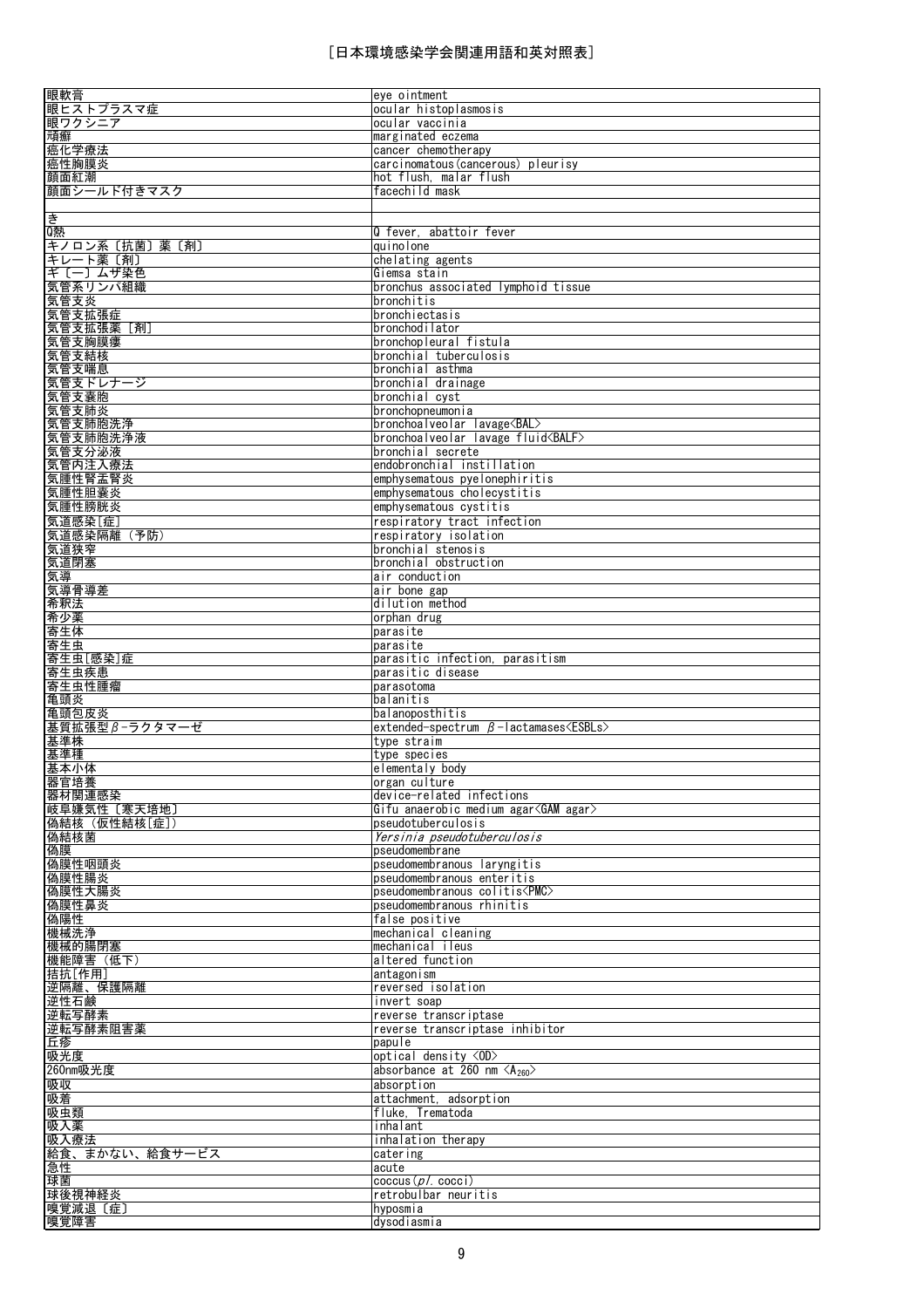| 眼軟膏                    | eye ointment                                                  |
|------------------------|---------------------------------------------------------------|
| 眼ヒストプラスマ症              | ocular histoplasmosis                                         |
| 眼ワクシニア                 | ocular vaccinia                                               |
| 頑癬                     | marginated eczema                                             |
| 癌化学療法                  | cancer chemotherapy                                           |
| 癌性胸膜炎                  | carcinomatous(cancerous) pleurisy                             |
| 顔面紅潮                   | hot flush, malar flush                                        |
| 顔面シールド付きマスク            | facechild mask                                                |
|                        |                                                               |
| き                      |                                                               |
| Q熱                     | Q fever, abattoir fever                                       |
| キノロン系〔抗菌〕薬〔剤〕          | auinolone                                                     |
| キレート薬[剤]               | chelating agents                                              |
| ギ〔一〕 ムザ染色              | Giemsa stain                                                  |
| 気管系リンパ組織               | bronchus associated lymphoid tissue                           |
| 気管支炎                   | bronchitis                                                    |
| 気管支拡張症                 | bronchiectasis                                                |
|                        | bronchodilator                                                |
| 気管支拡張薬 [剤]<br>気管支胸膜瘻   | bronchopleural fistula                                        |
|                        | bronchial tuberculosis                                        |
| 気管支結核                  | bronchial asthma                                              |
| 気管支喘息                  |                                                               |
| 気管支ドレナージ               | bronchial drainage                                            |
| 気管支嚢胞                  | bronchial cyst                                                |
| 気管支肺炎                  | bronchopneumonia<br>bronchoalveolar lavage <bal></bal>        |
| 気管支肺胞洗浄<br>気管支肺胞洗浄液    | bronchoalveolar lavage fluid <balf></balf>                    |
|                        | bronchial secrete                                             |
| 気管支分泌液<br>気管内注入療法      | endobronchial instillation                                    |
| 気腫性腎盂腎炎                |                                                               |
| 気腫性胆囊炎                 | emphysematous pyelonephiritis<br>emphysematous cholecystitis  |
|                        |                                                               |
| 気腫性膀胱炎                 | emphysematous cystitis                                        |
| 気道感染[症]<br>気道感染隔離 (予防) | respiratory tract infection<br>respiratory isolation          |
|                        | bronchial stenosis                                            |
| 気道狭窄                   |                                                               |
| 気道閉塞<br>気導             | bronchial obstruction<br>air conduction                       |
| 気導骨導差                  | air bone gap                                                  |
| 希釈法                    | dilution method                                               |
| 希少薬                    | orphan drug                                                   |
| 寄生体                    | parasite                                                      |
| 寄生虫                    | parasite                                                      |
| 寄生虫[感染]症               | parasitic infection, parasitism                               |
| 寄生虫疾患                  | parasitic disease                                             |
| 寄生虫性腫瘤                 | parasotoma                                                    |
| 亀頭炎                    | balanitis                                                     |
| 亀頭包皮炎                  | balanoposthitis                                               |
| 基質拡張型 β-ラクタマーゼ         | extended-spectrum $\beta$ -lactamases $\langle ESBLs \rangle$ |
| 基準株                    | type straim                                                   |
| 基準種                    | type species                                                  |
| 基本小体                   | elementaly body                                               |
| 器官培養                   | organ culture                                                 |
| 器材関連感染                 | device-related infections                                     |
| <u>岐阜嫌気性〔寒天培地〕</u>     | Gifu anaerobic medium agar <gam agar=""></gam>                |
| 偽結核 (仮性結核[症])          | pseudotuberculosis                                            |
| 偽結核菌                   | Yersinia pseudotuberculosis                                   |
| 偽膜                     | pseudomembrane                                                |
| 偽膜性咽頭炎                 | pseudomembranous laryngitis                                   |
| 偽膜性腸炎                  | pseudomembranous enteritis                                    |
| 偽膜性大腸炎                 | pseudomembranous colitis <pmc></pmc>                          |
| 偽膜性鼻炎                  | pseudomembranous rhinitis                                     |
| 偽陽性                    | false positive                                                |
| 機械洗浄                   | mechanical cleaning                                           |
| 機械的腸閉塞                 | mechanical ileus                                              |
| 機能障害(低下)               | altered function                                              |
| 拮抗[作用]                 | antagonism                                                    |
| 逆隔離、保護隔離               | reversed isolation                                            |
| 逆性石鹸                   | invert soap                                                   |
| 逆転写酵素                  | reverse transcriptase                                         |
| 逆転写酵素阻害薬               | reverse transcriptase inhibitor                               |
| 丘疹                     | papule                                                        |
| 吸光度                    | optical density <0D>                                          |
| 260nm吸光度               | absorbance at 260 nm $\langle A_{260} \rangle$                |
| 吸収                     | absorption                                                    |
| 吸着                     | attachment, adsorption                                        |
| 吸虫類                    | fluke. Trematoda                                              |
| 吸入薬                    | inhalant                                                      |
| 吸入療法                   | inhalation therapy                                            |
| 給食、まかない、給食サービス         | catering                                                      |
| <u>急性</u>              | acute                                                         |
| 球菌                     | cocus (p / . coci)                                            |
| 球後視神経炎                 | retrobulbar neuritis                                          |
| 嗅覚減退〔症〕<br>嗅覚障害        | hyposmia                                                      |
|                        | dysodiasmia                                                   |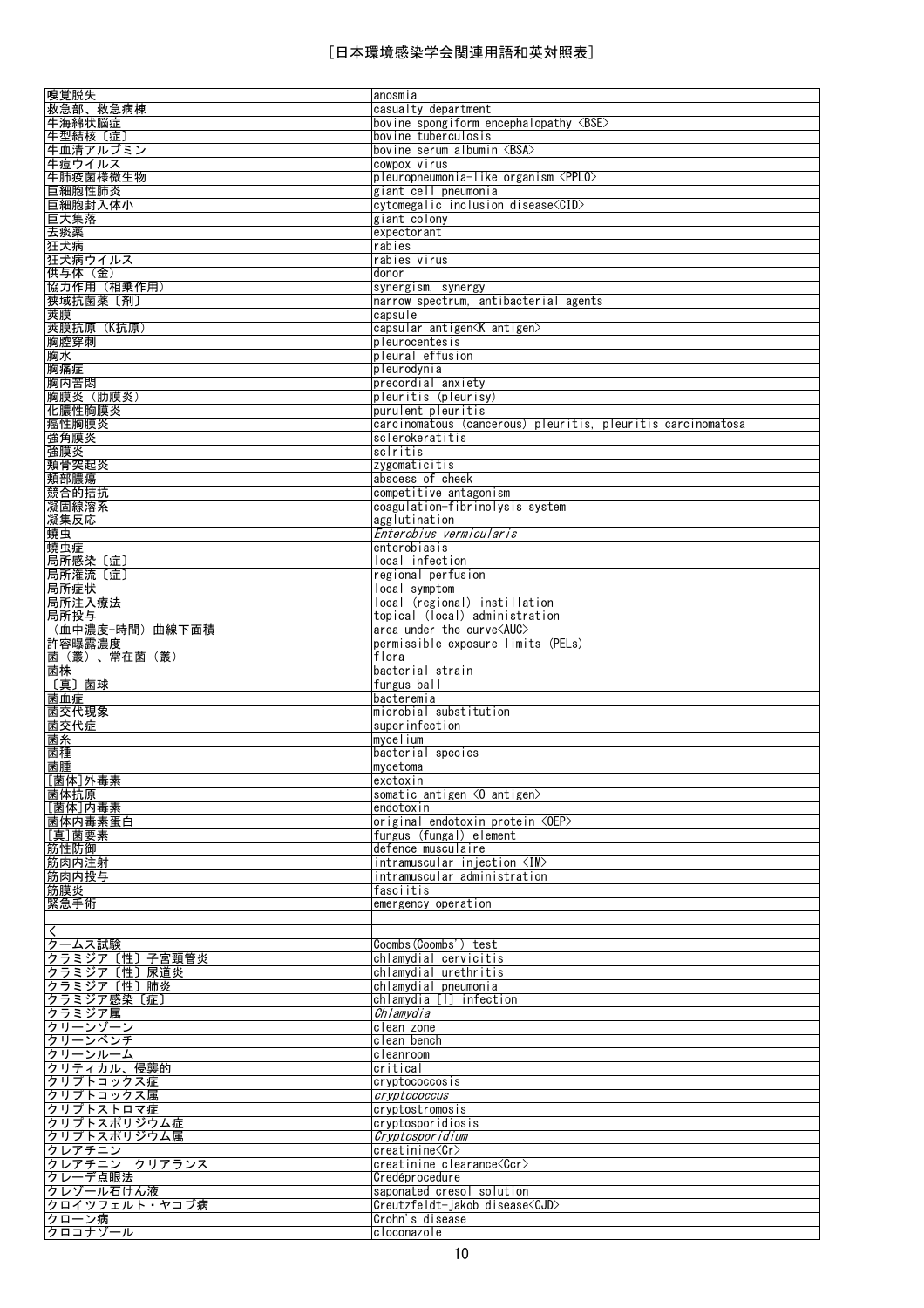| 嗅覚脱失                                                             | anosmia                                                      |
|------------------------------------------------------------------|--------------------------------------------------------------|
| 救急部、救急病棟                                                         | casualty department                                          |
|                                                                  |                                                              |
| 牛海綿状脳症                                                           | bovine spongiform encephalopathy <bse></bse>                 |
| 牛型結核〔症〕                                                          | bovine tuberculosis                                          |
| 牛血清アルブミン                                                         | bovine serum albumin <bsa></bsa>                             |
| 牛痘ウイルス                                                           | cowpox virus                                                 |
| <u>牛肺疫菌様微生物</u>                                                  | pleuropneumonia-like organism <pplo></pplo>                  |
| 巨細胞性肺炎                                                           | giant cell pneumonia                                         |
|                                                                  | cytomegalic inclusion disease <cid></cid>                    |
| 巨細胞封入体小                                                          |                                                              |
| 巨大集落                                                             | giant colony                                                 |
| 去痰薬                                                              | expectorant                                                  |
| 狂犬病                                                              | rabies                                                       |
| 狂犬病ウイルス                                                          | rabies virus                                                 |
| 供与体 (金)                                                          | donor                                                        |
| 協力作用(相乗作用)                                                       | synergism, synergy                                           |
|                                                                  |                                                              |
| 狭域抗菌薬〔剤〕                                                         | narrow spectrum, antibacterial agents                        |
| 莢膜                                                               | capsule                                                      |
| 莢膜抗原 (K抗原)                                                       | capsular antigen <k antigen=""></k>                          |
| 胸腔穿刺                                                             | pleurocentesis                                               |
| 胸水                                                               | pleural effusion                                             |
| 胸痛症                                                              | pleurodynia                                                  |
|                                                                  |                                                              |
| 胸内苦悶                                                             | precordial anxiety                                           |
| 胸膜炎(肋膜炎)                                                         | pleuritis (pleurisy)                                         |
| 化膿性胸膜炎                                                           | purulent pleuritis                                           |
| 癌性胸膜炎                                                            | carcinomatous (cancerous) pleuritis, pleuritis carcinomatosa |
| <u>強角膜炎</u>                                                      | sclerokeratitis                                              |
| 強膜炎                                                              | sclritis                                                     |
| 頬骨突起炎                                                            | zygomaticitis                                                |
|                                                                  |                                                              |
| 頬部膿瘍                                                             | abscess of cheek                                             |
| 競合的拮抗                                                            | competitive antagonism                                       |
| 凝固線溶系                                                            | coagulation-fibrinolysis system                              |
| 凝集反応                                                             | agglutination                                                |
| 蟯虫                                                               | Enterobius vermicularis                                      |
| 蟯虫症                                                              | enterobiasis                                                 |
|                                                                  |                                                              |
| 局所感染〔症〕                                                          | local infection                                              |
| 局所潅流〔症〕                                                          | regional perfusion                                           |
| 局所症状                                                             | local symptom                                                |
| 局所注入療法                                                           | local (regional) instillation                                |
| 局所投与                                                             | topical (local) administration                               |
| (血中濃度−時間)曲線下面積                                                   | area under the curve $\triangle$ AUC $>$                     |
|                                                                  |                                                              |
| 許容曝露濃度                                                           | permissible exposure limits (PELs)                           |
| 菌(叢)、常在菌(叢)                                                      | flora                                                        |
|                                                                  | bacterial strain                                             |
|                                                                  |                                                              |
|                                                                  | fungus ball                                                  |
|                                                                  |                                                              |
|                                                                  | bacteremia                                                   |
|                                                                  | microbial substitution                                       |
|                                                                  | superinfection                                               |
|                                                                  | mycelium                                                     |
|                                                                  | bacterial species                                            |
|                                                                  | mvcetoma                                                     |
|                                                                  | exotoxin                                                     |
| 菌株<br>〔真〕菌球<br>菌血症<br>菌交代現象<br>菌交代症<br>菌糸<br>菌種<br>菌腫<br>[菌体]外毒素 |                                                              |
|                                                                  | somatic antigen $\langle 0$ antigen $\rangle$                |
|                                                                  | endotoxin                                                    |
|                                                                  | original endotoxin protein <oep></oep>                       |
| 菌体抗原<br>[菌体]内毒素<br>菌体内毒素蛋白<br>[真]菌要素                             | fungus (fungal) element                                      |
| 筋性防御                                                             | defence musculaire                                           |
| 筋肉内注射                                                            | intramuscular injection <im></im>                            |
| 筋肉内投与                                                            | intramuscular administration                                 |
|                                                                  | fasciitis                                                    |
| 筋膜炎                                                              |                                                              |
| 緊急手術                                                             | emergency operation                                          |
|                                                                  |                                                              |
|                                                                  |                                                              |
| クームス試験                                                           | Coombs (Coombs') test                                        |
| クラミジア〔性〕子宮頸管炎                                                    | chlamydial cervicitis                                        |
| クラミジア〔性〕尿道炎                                                      | chlamydial urethritis                                        |
|                                                                  |                                                              |
| クラミジア〔性〕肺炎                                                       | chlamydial pneumonia                                         |
| クラミジア感染 [症]                                                      | chlamydia [I] infection                                      |
| クラミジア属                                                           | Chlamydia                                                    |
| クリーンゾーン                                                          | clean zone                                                   |
| クリーンベンチ                                                          | clean bench                                                  |
| クリーンルーム                                                          | cleanroom                                                    |
| クリティカル、侵襲的                                                       | critical                                                     |
| クリプトコックス症                                                        | cryptococcosis                                               |
|                                                                  |                                                              |
| クリプトコックス属                                                        | cryptococcus                                                 |
| クリプトストロマ症                                                        | cryptostromosis                                              |
| クリプトスポリジウム症                                                      | cryptosporidiosis                                            |
| クリプトスポリジウム属                                                      | Cryptosporidium                                              |
| クレアチニン                                                           | creatinine <cr></cr>                                         |
| クレアチニン クリアランス                                                    | creatinine clearance <ccr></ccr>                             |
| クレーデ点眼法                                                          | Credéprocedure                                               |
|                                                                  |                                                              |
| クレゾール石けん液                                                        | saponated cresol solution                                    |
| クロイツフェルト・ヤコブ病                                                    | Creutzfeldt-jakob disease <cjd></cjd>                        |
| クローン病<br>クロコナゾール                                                 | Crohn's disease<br>cloconazole                               |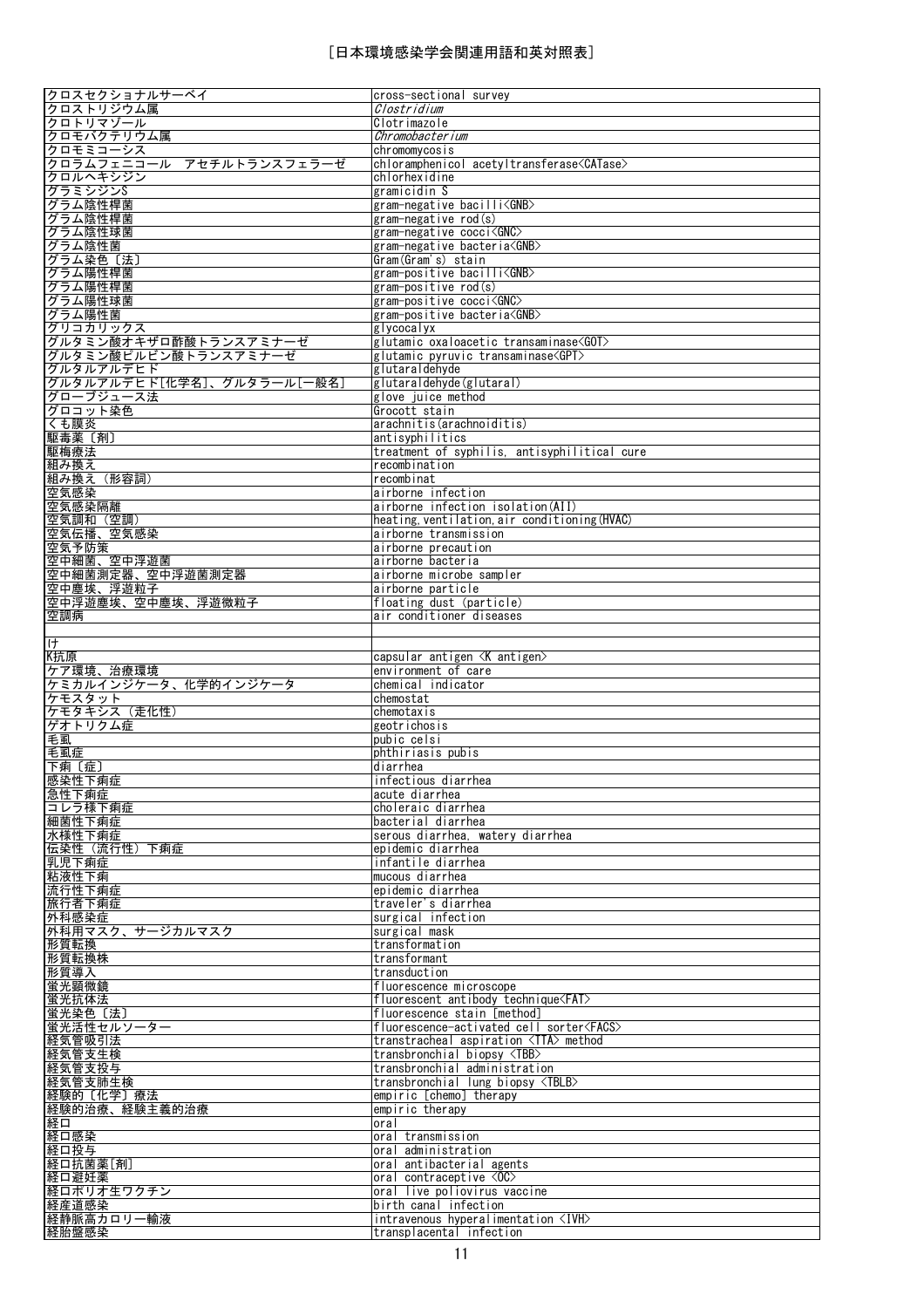| クロスセクショナルサーベイ                                                           | cross-sectional survey                                                 |
|-------------------------------------------------------------------------|------------------------------------------------------------------------|
| クロストリジウム属                                                               | Clostridium                                                            |
|                                                                         |                                                                        |
| クロトリマゾール                                                                | Clotrimazole                                                           |
| クロモバクテリウム属                                                              | Chromobacterium                                                        |
| クロモミコーシス                                                                | chromomycosis                                                          |
| クロラムフェニコール アセチルトランスフェラーゼ                                                | chloramphenicol acetyltransferase <catase></catase>                    |
|                                                                         |                                                                        |
| クロルヘキシジン                                                                | chlorhexidine                                                          |
| グラミシジンS                                                                 | gramicidin S                                                           |
| グラム陰性桿菌                                                                 | gram-negative bacilli <gnb></gnb>                                      |
|                                                                         |                                                                        |
| グラム陰性桿菌                                                                 | gram-negative rod(s)                                                   |
| グラム陰性球菌                                                                 | gram-negative cocci <gnc></gnc>                                        |
| グラム陰性菌                                                                  | gram-negative bacteria <gnb></gnb>                                     |
| グラム染色〔法〕                                                                | Gram(Gram's) stain                                                     |
|                                                                         |                                                                        |
| グラム陽性桿菌                                                                 | gram-positive bacilli <gnb></gnb>                                      |
| グラム陽性桿菌                                                                 | gram-positive rod(s)                                                   |
| グラム陽性球菌                                                                 | gram-positive cocci <gnc></gnc>                                        |
| グラム陽性菌                                                                  | gram-positive bacteria <gnb></gnb>                                     |
|                                                                         |                                                                        |
| グリコカリックス                                                                | glycocalyx                                                             |
| グルタミン酸オキザロ酢酸トランスアミナーゼ<br>グルタミン酸ピルビン酸トランスアミナーゼ                           | glutamic oxaloacetic transaminase <got></got>                          |
|                                                                         | glutamic pyruvic transaminase <gpt></gpt>                              |
| グルタルアルデヒド                                                               | glutaraldehyde                                                         |
|                                                                         |                                                                        |
| グルタルアルデヒド[化学名]、グルタラール[一般名]                                              | glutaraldehyde(glutaral)                                               |
| グローブジュース法                                                               | glove juice method                                                     |
| グロコット染色                                                                 | Grocott stain                                                          |
| くも膜炎                                                                    | arachnitis(arachnoiditis)                                              |
|                                                                         |                                                                        |
| 駆毒薬〔剤〕                                                                  | antisyphilitics                                                        |
| 駆梅療法                                                                    | treatment of syphilis, antisyphilitical cure                           |
| 組み換え                                                                    | recombination                                                          |
| 組み換え(形容詞)                                                               | recombinat                                                             |
|                                                                         |                                                                        |
| 空気感染                                                                    | airborne infection                                                     |
| 空気感染隔離                                                                  | airborne infection isolation (AII)                                     |
| 空気調和 (空調)                                                               | heating, ventilation, air conditioning (HVAC)                          |
| 空気伝播、空気感染                                                               | airborne transmission                                                  |
|                                                                         |                                                                        |
| 空気予防策                                                                   | airborne precaution                                                    |
| 空中細菌、空中浮遊菌                                                              | airborne bacteria                                                      |
| 空中細菌測定器、空中浮遊菌測定器                                                        | airborne microbe sampler                                               |
| 空中塵埃、浮遊粒子                                                               | airborne particle                                                      |
|                                                                         |                                                                        |
| 空中浮遊塵埃、空中塵埃、浮遊微粒子                                                       | floating dust (particle)                                               |
| 空調病                                                                     | air conditioner diseases                                               |
|                                                                         |                                                                        |
| ゖ                                                                       |                                                                        |
| K抗原                                                                     | capsular antigen <k antigen=""></k>                                    |
|                                                                         |                                                                        |
| ケア環境、治療環境                                                               | environment of care                                                    |
|                                                                         |                                                                        |
|                                                                         |                                                                        |
| ケミカルインジケータ、化学的インジケータ                                                    | chemical indicator                                                     |
| ケモスタット                                                                  | chemostat                                                              |
| ケモタキシス(走化性)                                                             | chemotaxis                                                             |
| ゲオトリクム症                                                                 | geotrichosis                                                           |
| 毛虱                                                                      | pubic celsi                                                            |
|                                                                         |                                                                        |
| 毛虱症                                                                     | phthiriasis pubis                                                      |
| 下痢〔症〕                                                                   | diarrhea                                                               |
| 感染性下痢症                                                                  | infectious diarrhea                                                    |
| 急性下痢症                                                                   | acute diarrhea                                                         |
| コレラ様下痢症                                                                 | choleraic diarrhea                                                     |
|                                                                         |                                                                        |
| 細菌性下痢症                                                                  | bacterial diarrhea                                                     |
| 水様性下痢症                                                                  | serous diarrhea, watery diarrhea                                       |
| 伝染性 (流行性) 下痢症                                                           | epidemic diarrhea                                                      |
| 乳児下痢症                                                                   | infantile diarrhea                                                     |
|                                                                         | mucous diarrhea                                                        |
| 粘液性下痢                                                                   |                                                                        |
| 流行性下痢症                                                                  | epidemic diarrhea                                                      |
| 旅行者下痢症                                                                  | traveler's diarrhea                                                    |
| 外科感染症                                                                   | surgical infection                                                     |
| 外科用マスク、サージカルマスク                                                         | surgical mask                                                          |
|                                                                         |                                                                        |
| 形質転換                                                                    | transformation                                                         |
| 形質転換株                                                                   | transformant                                                           |
| 形質導入                                                                    | transduction                                                           |
| 蛍光顕微鏡                                                                   | fluorescence microscope                                                |
|                                                                         |                                                                        |
| 蛍光抗体法                                                                   | fluorescent antibody technique <fat></fat>                             |
| 蛍光染色〔法〕                                                                 | fluorescence stain [method]                                            |
| 蛍光活性セルソーター                                                              | fluorescence-activated cell sorter <facs></facs>                       |
|                                                                         | transtracheal aspiration <tta> method</tta>                            |
|                                                                         | transbronchial biopsy <tbb></tbb>                                      |
| 経気管吸引法<br><u>経気管支生検</u>                                                 |                                                                        |
| 経気管支投与                                                                  | transbronchial administration                                          |
|                                                                         | transbronchial lung biopsy <tblb></tblb>                               |
|                                                                         | empiric [chemo] therapy                                                |
|                                                                         |                                                                        |
|                                                                         | empiric therapy                                                        |
|                                                                         | oral                                                                   |
|                                                                         | oral transmission                                                      |
|                                                                         | oral administration                                                    |
| 経気管支肺生検<br>経験的〔化学〕療法<br>経験的治療、経験主義的治療<br>経口<br>経口感染<br>経口投与<br>経口抗菌薬[剤] | oral antibacterial agents                                              |
|                                                                         | oral contraceptive <oc></oc>                                           |
| 経口避妊薬                                                                   |                                                                        |
| 経口ポリオ生ワクチン                                                              | oral live poliovirus vaccine                                           |
| 経産道感染                                                                   | birth canal infection                                                  |
| 経静脈高カロリー輸液<br>経胎盤感染                                                     | intravenous hyperalimentation <ivh><br/>transplacental infection</ivh> |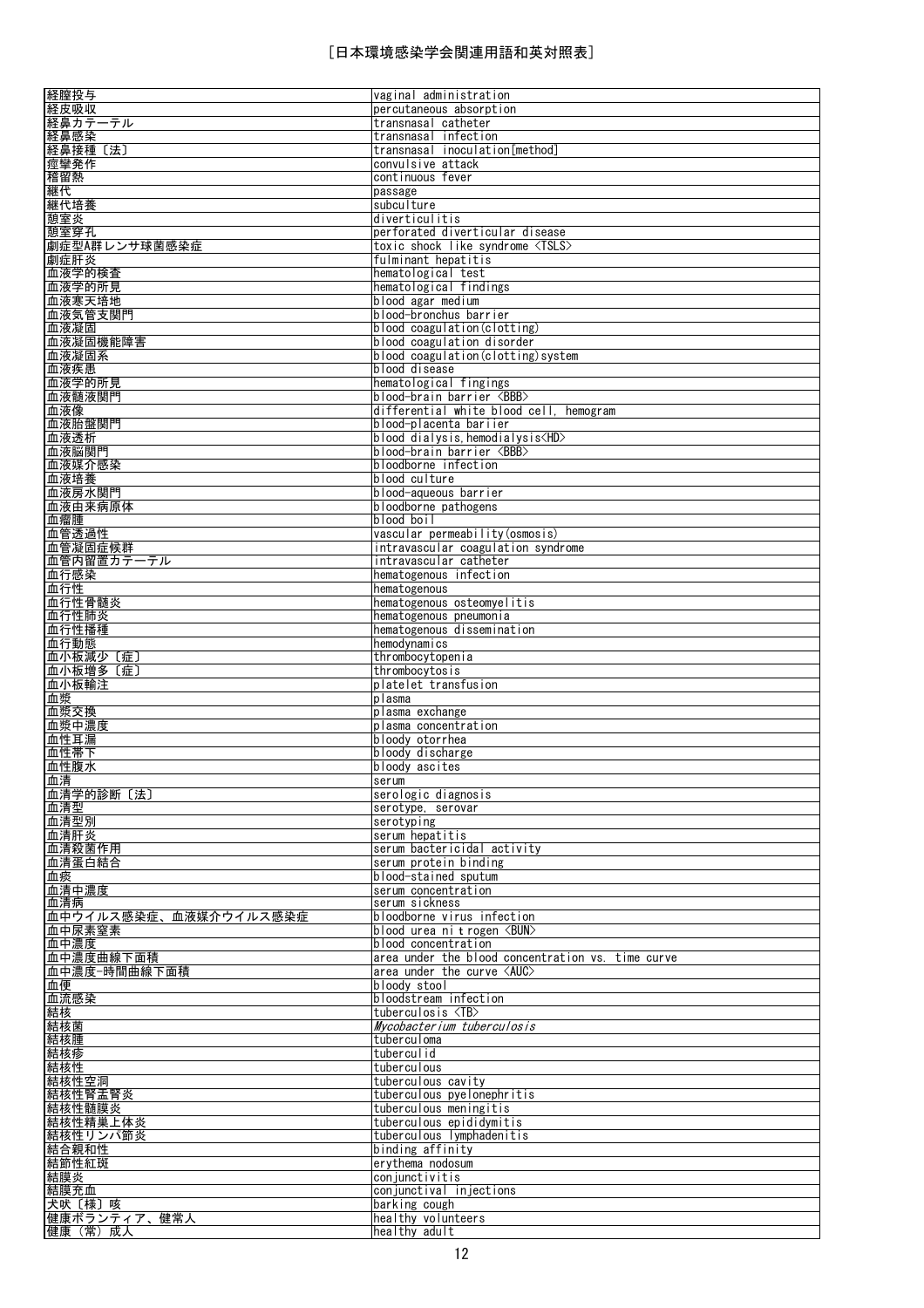| 経膣投与                    | vaginal administration                            |
|-------------------------|---------------------------------------------------|
| 経皮吸収                    | percutaneous absorption                           |
| 経鼻カテーテル                 | transnasal catheter                               |
| 経鼻感染                    | transnasal infection                              |
| 経鼻接種〔法〕                 | transnasal inoculation[method]                    |
| 痙攣発作                    | convulsive attack                                 |
| 稽留熱                     | continuous fever                                  |
| 継代                      | passage                                           |
| 継代培養                    | subculture                                        |
| 憩室炎                     | diverticulitis                                    |
| 憩室穿孔                    | perforated diverticular disease                   |
| 劇症型A群レンサ球菌感染症           |                                                   |
|                         | toxic shock like syndrome <tsls></tsls>           |
| 劇症肝炎                    | fulminant hepatitis                               |
| 血液学的検査                  | hematological test                                |
| 血液学的所見                  | hematological findings                            |
| 血液寒天培地                  | blood agar medium                                 |
| 血液気管支関門                 | blood-bronchus barrier                            |
| 血液凝固                    | blood coagulation(clotting)                       |
| 血液凝固機能障害                | blood coagulation disorder                        |
| 血液凝固系                   | blood coagulation(clotting)system                 |
| 血液疾患                    | blood disease                                     |
| 血液学的所見                  | hematological fingings                            |
| 血液髄液関門                  | blood-brain barrier <bbb></bbb>                   |
| 血液像                     | differential white blood cell.<br>hemogram        |
| 血液胎盤関門                  | blood-placenta bariier                            |
| 血液透析                    | blood dialysis, hemodialysis <hd></hd>            |
| 血液脳関門                   | blood-brain barrier <bbb></bbb>                   |
| 血液媒介感染                  | bloodborne infection                              |
| 血液培養                    | blood culture                                     |
| 血液房水関門                  | blood-aqueous barrier                             |
| 血液由来病原体                 | bloodborne pathogens                              |
| 血瘤腫                     | blood boil                                        |
| 血管透過性                   | vascular permeability (osmosis)                   |
| 血管凝固症候群                 | intravascular coagulation syndrome                |
| 血管内留置カテーテル              | intravascular catheter                            |
| 血行感染                    | hematogenous infection                            |
| 血行性                     | hematogenous                                      |
| 血行性骨髄炎                  | hematogenous osteomyelitis                        |
| 血行性肺炎                   | hematogenous pneumonia                            |
| 血行性播種                   | hematogenous dissemination                        |
| 血行動態                    | hemodynamics                                      |
| 血小板減少〔症〕                | thrombocytopenia                                  |
| 血小板増多〔症〕                | thrombocytosis                                    |
| 血小板輸注                   | platelet transfusion                              |
| 血漿                      | plasma                                            |
| 血漿交換                    | plasma exchange                                   |
| 血漿中濃度                   | plasma concentration                              |
| 血性耳漏                    | bloody otorrhea                                   |
| 血性帯下                    | bloody discharge                                  |
| 血性腹水                    | bloody ascites                                    |
| 血清                      | serum                                             |
| 血清学的診断〔法〕               | serologic diagnosis                               |
| 血清型                     | serotype, serovar                                 |
| 血清型別                    | serotyping                                        |
| 血清肝炎                    | serum hepatitis                                   |
| 血清殺菌作用                  | serum bactericidal activity                       |
| 血清蛋白結合                  | serum protein binding                             |
| 血痰                      | blood-stained sputum                              |
| 血清中濃度                   | serum concentration                               |
| 血清病                     | serum sickness                                    |
| 血中ウイルス感染症、血液媒介ウイルス感染症   | bloodborne virus infection                        |
| 血中尿素窒素                  | blood urea nitrogen <bun></bun>                   |
| 血中濃度                    | blood concentration                               |
| 血中濃度曲線下面積               | area under the blood concentration vs. time curve |
| 血中濃度-時間曲線下面積            | area under the curve <auc></auc>                  |
| 血便                      | bloody stool                                      |
| 血流感染                    | bloodstream infection                             |
|                         | tuberculosis $\langle TB \rangle$                 |
| 結核                      | Mycobacterium tuberculosis                        |
| 結核菌                     | tuberculoma                                       |
| 結核腫                     | tuberculid                                        |
| 結核疹                     |                                                   |
| 結核性                     | tuberculous                                       |
| 結核性空洞                   | tuberculous cavity                                |
| 結核性腎盂腎炎                 | tuberculous pyelonephritis                        |
| 結核性髄膜炎                  | tuberculous meningitis                            |
| 結核性精巣上体炎                | tuberculous epididymitis                          |
| 結核性リンパ節炎                | tuberculous lymphadenitis                         |
| 結合親和性                   | binding affinity                                  |
| 結節性紅斑                   | erythema nodosum                                  |
| 結膜炎                     | conjunctivitis                                    |
| 結膜充血                    | conjunctival injections                           |
| 犬吠〔様〕咳                  | barking cough                                     |
|                         |                                                   |
| 健康ボランティア、健常人<br>健康(常)成人 | healthy volunteers<br>healthy adult               |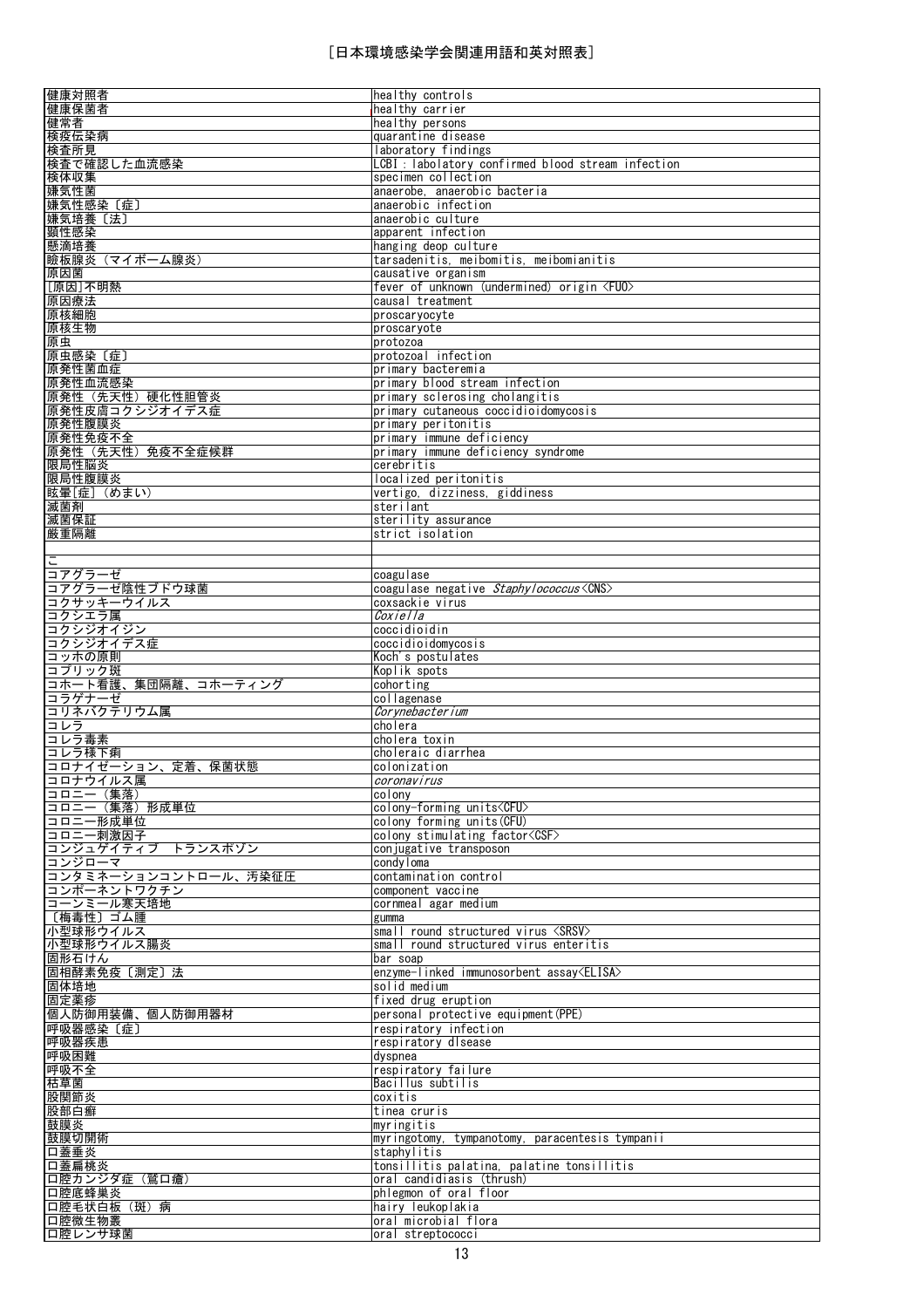| 健康対照者                | healthy controls                                   |
|----------------------|----------------------------------------------------|
| 健康保菌者                | healthy carrier                                    |
|                      |                                                    |
| 健常者                  | healthy persons                                    |
| 検疫伝染病                | quarantine disease                                 |
| 検査所見                 | laboratory findings                                |
| 検査で確認した血流感染          | LCBI : labolatory confirmed blood stream infection |
| 検体収集                 | specimen collection                                |
| 嫌気性菌                 | anaerobe, anaerobic bacteria                       |
| 嫌気性感染〔症〕             | anaerobic infection                                |
| 嫌気培養〔法〕              | anaerobic culture                                  |
|                      |                                                    |
| 顕性感染                 | apparent infection                                 |
| 懸滴培養                 | hanging deop culture                               |
| 瞼板腺炎 (マイボーム腺炎)       | tarsadenitis, meibomitis, meibomianitis            |
| 原因菌                  | causative organism                                 |
| [原因]不明熱              | fever of unknown (undermined) origin <fuo></fuo>   |
| 原因療法                 | causal treatment                                   |
| 原核細胞                 | proscaryocyte                                      |
| 原核生物                 | proscaryote                                        |
| 原虫                   | protozoa                                           |
|                      |                                                    |
| 原虫感染 〔症〕             | protozoal infection                                |
| 原発性菌血症               | primary bacteremia                                 |
| 原発性血流感染              | primary blood stream infection                     |
| 原発性(先天性)硬化性胆管炎       | primary sclerosing cholangitis                     |
| 原発性皮膚コクシジオイデス症       | primary cutaneous coccidioidomycosis               |
| 原発性腹膜炎               | primary peritonitis                                |
| 原発性免疫不全              | primary immune deficiency                          |
| 原発性(先天性)免疫不全症候群      | primary immune deficiency syndrome                 |
| 限局性脳炎                | cerebritis                                         |
|                      |                                                    |
| 限局性腹膜炎               | localized peritonitis                              |
| 眩暈[症] (めまい)          | vertigo, dizziness, giddiness                      |
| 滅菌剤                  | sterilant                                          |
| 滅菌保証                 | sterility assurance                                |
| 厳重隔離                 | strict isolation                                   |
|                      |                                                    |
|                      |                                                    |
| コアグラーゼ               | coagulase                                          |
| コアグラーゼ陰性ブドウ球菌        | coagulase negative Staphylococcus <cns></cns>      |
| コクサッキーウイルス           | coxsackie virus                                    |
| コクシエラ属               | <i>Coxiella</i>                                    |
| コクシジオイジン             | coccidioidin                                       |
| コクシジオイデス症            | coccidioidomycosis                                 |
| コッホの原則               | Koch's postulates                                  |
|                      |                                                    |
|                      |                                                    |
| コプリック斑               | Koplik spots                                       |
| コホート看護、集団隔離、コホーティング  | cohorting                                          |
| コラゲナーゼ               | collagenase                                        |
| コリネバクテリウム属           | Corynebacterium                                    |
| コレラ                  | cholera                                            |
| コレラ毒素                | cholera toxin                                      |
| コレラ様下痢               | choleraic diarrhea                                 |
| コロナイゼーション、定着、保菌状態    | colonization                                       |
| コロナウイルス属             | coronavirus                                        |
| コロニー (集落)            | colony                                             |
| コロニー(集落)形成単位         | colony-forming units <cfu></cfu>                   |
| コロニー形成単位             | colony forming units (CFU)                         |
| コロニー刺激因子             | colony stimulating factor <csf></csf>              |
| コンジュゲイティブ トランスポゾン    | conjugative transposon                             |
| コンジローマ               | condyloma                                          |
| コンタミネーションコントロール、汚染征圧 | contamination control                              |
| コンポーネントワクチン          | component vaccine                                  |
| コーンミール寒天培地           | cornmeal agar medium                               |
|                      | gumma                                              |
| 〔梅毒性〕ゴム腫             |                                                    |
| 小型球形ウイルス             | small round structured virus <srsv></srsv>         |
| 小型球形ウイルス腸炎           | small round structured virus enteritis             |
| 固形石けん                | bar soap                                           |
| 固相酵素免疫〔測定〕法          | enzyme-linked immunosorbent assay <elisa></elisa>  |
| 固体培地                 | solid medium                                       |
| 固定薬疹                 | fixed drug eruption                                |
| 個人防御用装備、個人防御用器材      | personal protective equipment (PPE)                |
| 呼吸器感染〔症〕             | respiratory infection                              |
| 呼吸器疾患                | respiratory disease                                |
| 呼吸困難                 | dyspnea                                            |
| 呼吸不全                 | respiratory failure                                |
| 枯草菌                  | Bacillus subtilis                                  |
| 股関節炎                 | coxitis                                            |
| 股部白癬                 | tinea cruris                                       |
| 鼓膜炎                  | myringitis                                         |
| 鼓膜切開術                | myringotomy, tympanotomy, paracentesis tympanii    |
| 口蓋垂炎                 | staphylitis                                        |
| 口蓋扁桃炎                | tonsillitis palatina, palatine tonsillitis         |
| 口腔カンジダ症(鷲口瘡)         | oral candidiasis (thrush)                          |
| 口腔底蜂巢炎               | phlegmon of oral floor                             |
| 口腔毛状白板(斑)病           | hairy leukoplakia                                  |
| 口腔微生物叢<br>口腔レンサ球菌    | oral microbial flora                               |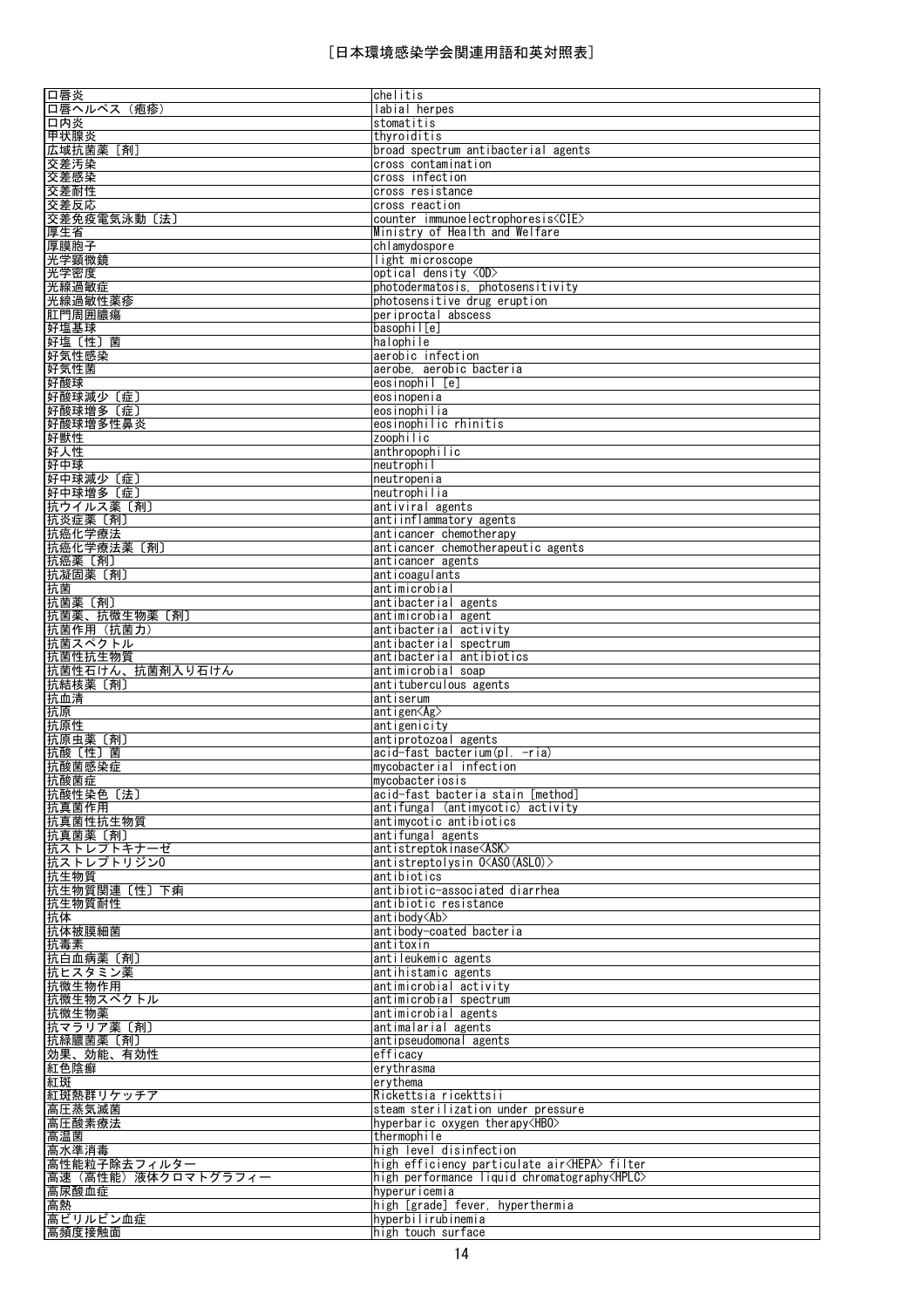| 口唇炎                                                                                   | chelitis                                               |
|---------------------------------------------------------------------------------------|--------------------------------------------------------|
| 口唇ヘルペス (疱疹)                                                                           | labial herpes                                          |
| 口内炎                                                                                   | stomatitis                                             |
| 甲状腺炎                                                                                  | thyroiditis                                            |
| 広域抗菌薬[剤]                                                                              | broad spectrum antibacterial agents                    |
| 交差汚染                                                                                  | cross contamination                                    |
| 交差感染                                                                                  | cross infection                                        |
| 交差耐性                                                                                  | cross resistance                                       |
| 交差反応                                                                                  | cross reaction                                         |
| 交差免疫電気泳動〔法〕                                                                           | counter immunoelectrophoresis <cie></cie>              |
| 厚生省                                                                                   | Ministry of Health and Welfare                         |
|                                                                                       | chlamydospore                                          |
| 厚膜胞子                                                                                  |                                                        |
| 光学顕微鏡                                                                                 | light microscope                                       |
| 光学密度                                                                                  | optical density <0D>                                   |
| 光線過敏症                                                                                 | photodermatosis, photosensitivity                      |
| 光線過敏性薬疹                                                                               | photosensitive drug eruption                           |
| 肛門周囲膿瘍                                                                                | periproctal abscess                                    |
| 好塩基球                                                                                  | basophil[e]                                            |
| 好塩〔性〕菌                                                                                | halophile                                              |
| 好気性感染                                                                                 | aerobic infection                                      |
| 好気性菌                                                                                  | aerobe, aerobic bacteria                               |
| 好酸球                                                                                   | eosinophil [e]                                         |
| 好酸球減少〔症〕                                                                              | eosinopenia                                            |
| 好酸球增多 〔症〕                                                                             | eosinophilia                                           |
| 好酸球増多性鼻炎                                                                              | eosinophilic rhinitis                                  |
| 好獣性                                                                                   | zoophilic                                              |
| 好人性                                                                                   | anthropophilic                                         |
| 好中球                                                                                   | neutrophil                                             |
|                                                                                       |                                                        |
| 好中球減少 〔症〕                                                                             | neutropenia                                            |
| 好中球増多〔症〕                                                                              | neutrophilia                                           |
| 抗ウイルス薬[剤]                                                                             | antiviral agents                                       |
| 抗炎症薬〔剤〕                                                                               | antiinflammatory agents                                |
| 抗癌化学療法                                                                                | anticancer chemotherapy                                |
| 抗癌化学療法薬〔剤〕                                                                            | anticancer chemotherapeutic agents                     |
| 抗癌薬〔剤〕                                                                                | anticancer agents                                      |
| 抗凝固薬〔剤〕                                                                               | anticoagulants                                         |
| 抗菌                                                                                    | antimicrobial                                          |
| 抗菌薬〔剤〕                                                                                | antibacterial agents                                   |
| 抗菌薬、抗微生物薬〔剤〕                                                                          | antimicrobial agent                                    |
| 抗菌作用(抗菌力)                                                                             | antibacterial activity                                 |
| 抗菌スペクトル                                                                               | antibacterial spectrum                                 |
|                                                                                       | antibacterial antibiotics                              |
|                                                                                       |                                                        |
| 抗菌性抗生物質                                                                               |                                                        |
| 抗菌性石けん、抗菌剤入り石けん                                                                       | antimicrobial soap                                     |
| 抗結核薬〔剤〕                                                                               | antituberculous agents                                 |
| 抗血清                                                                                   | antiserum                                              |
| 抗原                                                                                    | antigen <ag></ag>                                      |
| 抗原性                                                                                   | antigenicity                                           |
| 抗原虫薬〔剤〕                                                                               | antiprotozoal agents                                   |
| 抗酸〔性〕菌                                                                                | acid-fast bacterium(pl. -ria)                          |
| 抗酸菌感染症                                                                                | mycobacterial infection                                |
| 抗酸菌症                                                                                  | mycobacteriosis                                        |
| 抗酸性染色〔法〕                                                                              | acid-fast bacteria stain [method]                      |
| 抗真菌作用                                                                                 | antifungal (antimycotic) activity                      |
| 抗真菌性抗生物質                                                                              | antimycotic antibiotics                                |
| 抗真菌薬 [剤]                                                                              | antifungal agents                                      |
| 抗ストレプトキナーゼ                                                                            | antistreptokinase <ask></ask>                          |
|                                                                                       | antistreptolysin O <aso(aslo)></aso(aslo)>             |
|                                                                                       | antibiotics                                            |
|                                                                                       | antibiotic-associated diarrhea                         |
|                                                                                       | antibiotic resistance                                  |
|                                                                                       | antibody <ab></ab>                                     |
|                                                                                       | antibody-coated bacteria                               |
|                                                                                       | antitoxin                                              |
| 抗ストレプトリジン0<br>抗生物質<br>抗生物質関連〔性〕下痢<br><u>抗生物質耐性</u><br>抗体<br>抗体被膜細菌<br>抗毒素<br>抗白血病薬〔剤〕 | antileukemic agents                                    |
| 抗ヒスタミン薬                                                                               | antihistamic agents                                    |
| 抗微生物作用                                                                                | antimicrobial activity                                 |
| 抗微生物スペクトル                                                                             | antimicrobial spectrum                                 |
| 抗微生物薬                                                                                 | antimicrobial agents                                   |
| 抗マラリア薬〔剤〕                                                                             | antimalarial agents                                    |
|                                                                                       | antipseudomonal agents                                 |
|                                                                                       | efficacy                                               |
| 抗緑膿菌薬〔剤〕<br>効果、効能、有効性<br>紅色陰癬                                                         | erythrasma                                             |
| 紅斑                                                                                    | erythema                                               |
| 紅斑熱群リケッチア                                                                             | Rickettsia ricekttsii                                  |
| 高圧蒸気滅菌                                                                                | steam sterilization under pressure                     |
| 高圧酸素療法                                                                                | hyperbaric oxygen therapy <hbo></hbo>                  |
|                                                                                       | thermophile                                            |
| 高温菌<br>高水準消毒                                                                          | high level disinfection                                |
|                                                                                       | high efficiency particulate air <hepa> filter</hepa>   |
| 高性能粒子除去フィルター<br>高速(高性能)液体クロマトグラフィー                                                    | high performance liquid chromatography <hplc></hplc>   |
|                                                                                       | hvperuricemia                                          |
| 高尿酸血症                                                                                 |                                                        |
| 高熱<br>高ビリルビン血症                                                                        | high [grade] fever, hyperthermia<br>hyperbilirubinemia |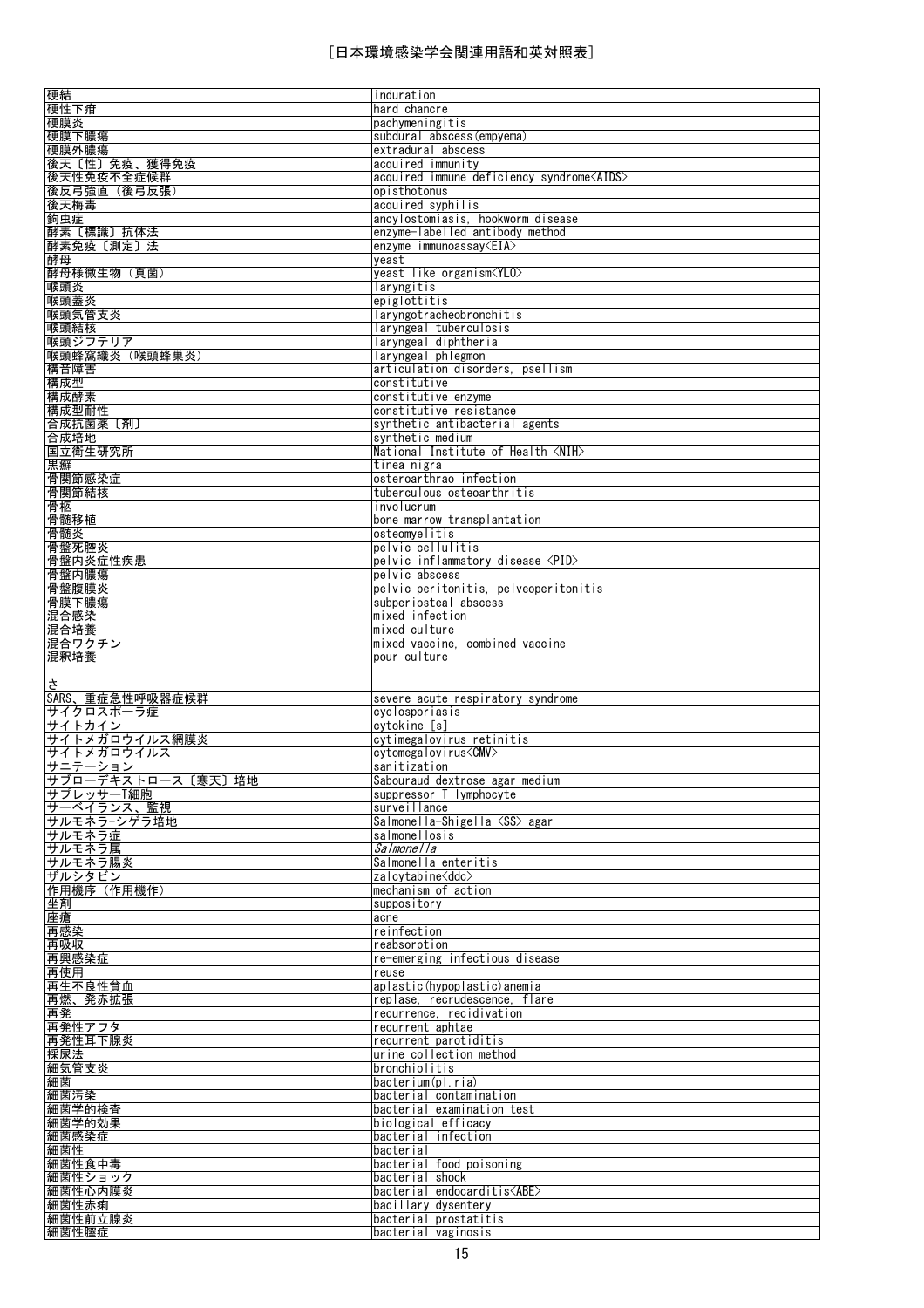| 硬結                                                                                                                        | induration                                        |
|---------------------------------------------------------------------------------------------------------------------------|---------------------------------------------------|
|                                                                                                                           | hard chancre                                      |
| 硬性下疳                                                                                                                      |                                                   |
| 硬膜炎                                                                                                                       | pachymeningitis                                   |
| 硬膜下膿瘍                                                                                                                     | subdural abscess (empyema)                        |
| 硬膜外膿瘍                                                                                                                     | extradural abscess                                |
|                                                                                                                           |                                                   |
| 後天〔性〕免疫、獲得免疫                                                                                                              | acquired immunity                                 |
| 後天性免疫不全症候群                                                                                                                | acquired immune deficiency syndrome <aids></aids> |
| 後反弓強直(後弓反張)                                                                                                               | opisthotonus                                      |
| 後天梅毒                                                                                                                      | acquired syphilis                                 |
|                                                                                                                           |                                                   |
| 鉤虫症                                                                                                                       | ancylostomiasis, hookworm disease                 |
| 酵素〔標識〕抗体法                                                                                                                 | enzyme-labelled antibody method                   |
|                                                                                                                           | enzyme immunoassay $\langle EIA \rangle$          |
| 酵素免疫〔測定〕法                                                                                                                 |                                                   |
| 酵母                                                                                                                        | yeast                                             |
| 酵母様微生物 (真菌)                                                                                                               | yeast like organism <ylo></ylo>                   |
| 喉頭炎                                                                                                                       | laryngitis                                        |
|                                                                                                                           | epiglottitis                                      |
| 喉頭蓋炎                                                                                                                      |                                                   |
| 喉頭気管支炎                                                                                                                    | laryngotracheobronchitis                          |
| 喉頭結核                                                                                                                      | laryngeal tuberculosis                            |
| 喉頭ジフテリア                                                                                                                   | laryngeal diphtheria                              |
|                                                                                                                           |                                                   |
| 喉頭蜂窩織炎 (喉頭蜂巣炎)                                                                                                            | laryngeal phlegmon                                |
| 構音障害                                                                                                                      | articulation disorders, psellism                  |
| 構成型                                                                                                                       | constitutive                                      |
| 構成酵素                                                                                                                      | constitutive enzyme                               |
|                                                                                                                           |                                                   |
| 構成型耐性                                                                                                                     | constitutive resistance                           |
| 合成抗菌薬〔剤〕                                                                                                                  | synthetic antibacterial agents                    |
| 合成培地                                                                                                                      | synthetic medium                                  |
|                                                                                                                           |                                                   |
| 国立衛生研究所                                                                                                                   | National Institute of Health <nih></nih>          |
| 黒癬                                                                                                                        | tinea nigra                                       |
| 骨関節感染症                                                                                                                    | osteroarthrao infection                           |
|                                                                                                                           |                                                   |
| 骨関節結核                                                                                                                     | tuberculous osteoarthritis                        |
| 骨柩                                                                                                                        | involucrum                                        |
| 骨髄移植                                                                                                                      | bone marrow transplantation                       |
| 骨髄炎                                                                                                                       | osteomvelitis                                     |
|                                                                                                                           |                                                   |
| 骨盤死腔炎                                                                                                                     | pelvic cellulitis                                 |
| 骨盤内炎症性疾患                                                                                                                  | pelvic inflammatory disease <pid></pid>           |
| 骨盤内膿瘍                                                                                                                     | pelvic abscess                                    |
|                                                                                                                           |                                                   |
| 骨盤腹膜炎                                                                                                                     | pelvic peritonitis, pelveoperitonitis             |
| 骨膜下膿瘍                                                                                                                     | subperiosteal abscess                             |
| 混合感染                                                                                                                      | mixed infection                                   |
|                                                                                                                           |                                                   |
| 混合培養                                                                                                                      | mixed culture                                     |
| 混合ワクチン                                                                                                                    | mixed vaccine, combined vaccine                   |
| 混釈培養                                                                                                                      | pour culture                                      |
|                                                                                                                           |                                                   |
|                                                                                                                           |                                                   |
|                                                                                                                           |                                                   |
|                                                                                                                           |                                                   |
| $\frac{4}{5}$                                                                                                             |                                                   |
| SARS、重症急性呼吸器症候群                                                                                                           | severe acute respiratory syndrome                 |
| サイクロスポーラ症                                                                                                                 | cyclosporiasis                                    |
|                                                                                                                           | cytokine [s]                                      |
|                                                                                                                           | cytimegalovirus retinitis                         |
|                                                                                                                           |                                                   |
|                                                                                                                           | cytomegalovirus <cmv></cmv>                       |
|                                                                                                                           | sanitization                                      |
|                                                                                                                           | Sabouraud dextrose agar medium                    |
|                                                                                                                           | suppressor T lymphocyte                           |
|                                                                                                                           |                                                   |
|                                                                                                                           | surveillance                                      |
|                                                                                                                           | Salmonella-Shigella <ss> agar</ss>                |
| サイトカイン<br>サイトメガロウイルス網膜炎<br>サイトメガロウイルス<br>サニテーション<br>サブローデキストロース〔寒天〕培地<br>サプレッサーT細胞<br>サーベイランス、監視<br>サルモネラーシゲラ培地<br>サルモネラ症 | salmonellosis                                     |
| サルモネラ属                                                                                                                    | Salmonella                                        |
|                                                                                                                           |                                                   |
|                                                                                                                           | Salmonella enteritis                              |
| サルモネラ腸炎<br>ザルシタビン                                                                                                         | zalcytabine <ddc></ddc>                           |
|                                                                                                                           | mechanism of action                               |
|                                                                                                                           | suppository                                       |
|                                                                                                                           | acne                                              |
|                                                                                                                           |                                                   |
|                                                                                                                           | reinfection                                       |
|                                                                                                                           | reabsorption                                      |
|                                                                                                                           | re-emerging infectious disease                    |
| 作用機序 (作用機作)<br>坐剤<br>座瘡<br>再感染<br>再吸収<br>再興感染症                                                                            |                                                   |
| 再使用                                                                                                                       | reuse                                             |
| 再生不良性貧血                                                                                                                   | aplastic(hypoplastic)anemia                       |
| 再燃、発赤拡張                                                                                                                   | replase, recrudescence, flare                     |
|                                                                                                                           |                                                   |
| 再発                                                                                                                        | recurrence, recidivation                          |
| 再発性アフタ                                                                                                                    | recurrent aphtae                                  |
|                                                                                                                           | recurrent parotiditis                             |
|                                                                                                                           | urine collection method                           |
| 再発性耳下腺炎<br>採尿法                                                                                                            |                                                   |
| 細気管支炎                                                                                                                     | bronchiolitis                                     |
| 細菌                                                                                                                        | bacterium(pl.ria)                                 |
| 細菌汚染                                                                                                                      | bacterial contamination                           |
|                                                                                                                           | bacterial examination test                        |
|                                                                                                                           |                                                   |
|                                                                                                                           | biological efficacy                               |
|                                                                                                                           | bacterial infection                               |
|                                                                                                                           | bacterial                                         |
|                                                                                                                           |                                                   |
| 細菌学的検査<br>細菌学的効果<br>細菌感染症<br>細菌性<br>細菌性食中毒                                                                                | bacterial food poisoning                          |
| 細菌性ショック                                                                                                                   | bacterial shock                                   |
| 細菌性心内膜炎                                                                                                                   | bacterial endocarditis <abe></abe>                |
| 細菌性赤痢                                                                                                                     | bacillary dysentery                               |
|                                                                                                                           |                                                   |
| 細菌性前立腺炎<br>細菌性膣症                                                                                                          | bacterial prostatitis<br>bacterial vaginosis      |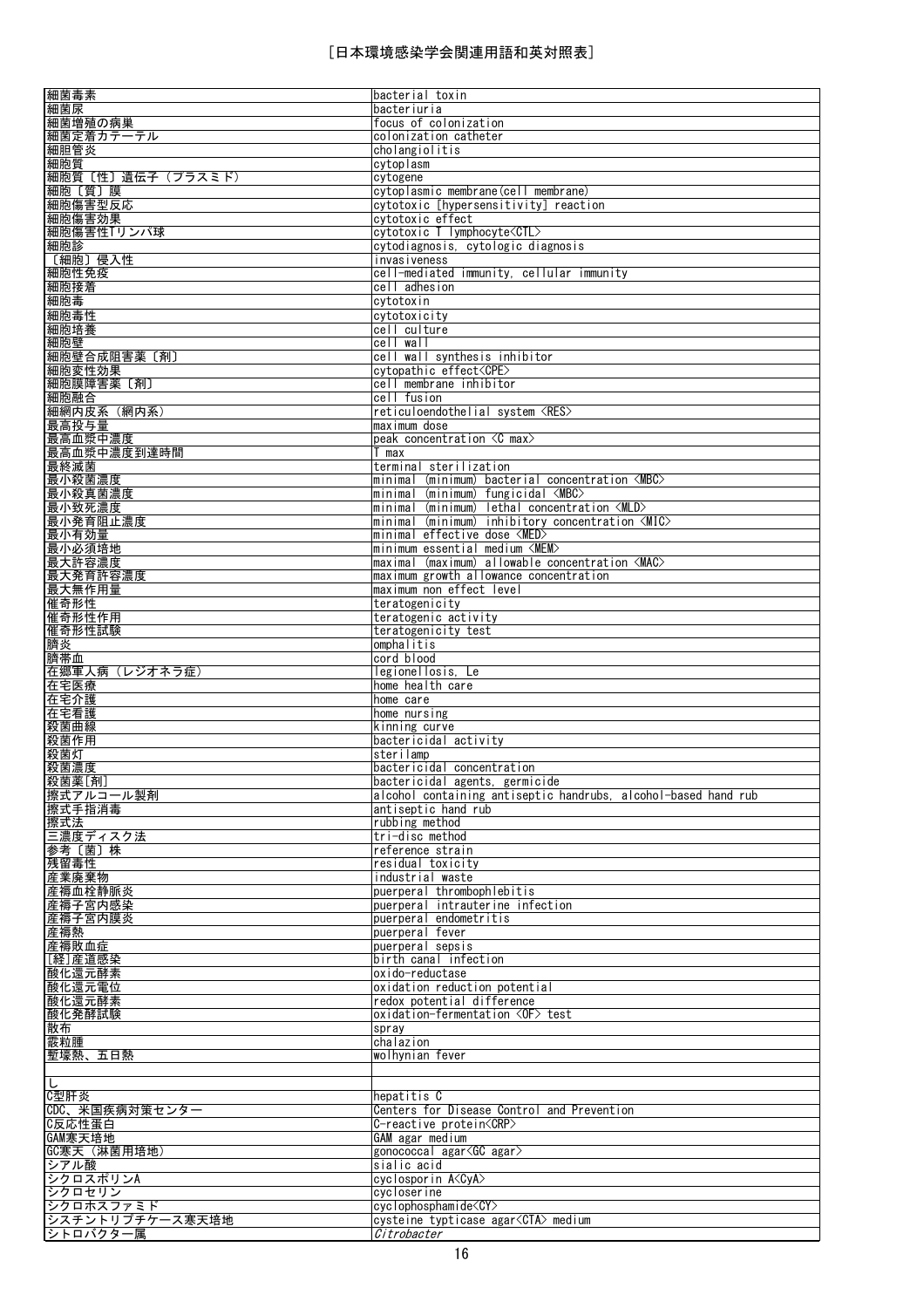|                                                                                                           | bacterial toxin                                                                 |
|-----------------------------------------------------------------------------------------------------------|---------------------------------------------------------------------------------|
| 細菌毒素<br>細菌尿                                                                                               | bacteriuria                                                                     |
| 細菌増殖の病巣                                                                                                   | focus of colonization                                                           |
| 細菌定着カテーテル                                                                                                 | colonization catheter                                                           |
| 細胆管炎                                                                                                      | cholangiolitis                                                                  |
| 細胞質                                                                                                       | cytoplasm                                                                       |
| 細胞質〔性〕遺伝子(プラスミド)                                                                                          | cytogene                                                                        |
| 細胞〔質〕膜                                                                                                    | cytoplasmic membrane(cell membrane)                                             |
| 細胞傷害型反応                                                                                                   | cytotoxic [hypersensitivity] reaction                                           |
| 細胞傷害効果                                                                                                    | cytotoxic effect                                                                |
| 細胞傷害性Tリンパ球                                                                                                | cytotoxic T lymphocyte <ctl></ctl>                                              |
| 細胞診                                                                                                       | cytodiagnosis, cytologic diagnosis                                              |
| 〔細胞〕侵入性                                                                                                   | invasiveness                                                                    |
| 細胞性免疫                                                                                                     | cell-mediated immunity, cellular immunity                                       |
| 細胞接着                                                                                                      | cell adhesion                                                                   |
| 細胞毒                                                                                                       | cytotoxin                                                                       |
|                                                                                                           |                                                                                 |
| 細胞毒性                                                                                                      | cytotoxicity                                                                    |
| 細胞培養<br>細胞壁                                                                                               | cell culture                                                                    |
|                                                                                                           | cell wall                                                                       |
| 細胞壁合成阻害薬 [剤]                                                                                              | cell wall synthesis inhibitor                                                   |
| 細胞変性効果                                                                                                    | cytopathic effect <cpe></cpe>                                                   |
| 細胞膜障害薬 [剤]                                                                                                | cell membrane inhibitor                                                         |
| 細胞融合                                                                                                      | cell fusion                                                                     |
| 細網内皮系 (網内系)                                                                                               | reticuloendothelial system <res><br/>maximum dose</res>                         |
| 最高投与量                                                                                                     |                                                                                 |
| 最高血漿中濃度                                                                                                   | peak concentration $\zeta$ C max $>$                                            |
| 最高血漿中濃度到達時間                                                                                               | T max                                                                           |
| 最終滅菌<br>最小殺菌濃度                                                                                            | terminal sterilization<br>minimal (minimum) bacterial concentration <mbc></mbc> |
|                                                                                                           | minimal (minimum) fungicidal <mbc></mbc>                                        |
| 最小殺真菌濃度<br>最小致死濃度                                                                                         | minimal (minimum) lethal concentration <mld></mld>                              |
| 最小発育阻止濃度                                                                                                  | minimal (minimum) inhibitory concentration <mic></mic>                          |
| 最小有効量                                                                                                     | minimal effective dose <med></med>                                              |
| 最小必須培地                                                                                                    | minimum essential medium <mem></mem>                                            |
| 最大許容濃度                                                                                                    | maximal (maximum) allowable concentration <mac></mac>                           |
| 最大発育許容濃度                                                                                                  | maximum growth allowance concentration                                          |
| 最大無作用量                                                                                                    | maximum non effect level                                                        |
| 催奇形性                                                                                                      | teratogenicity                                                                  |
| 催奇形性作用                                                                                                    | teratogenic activity                                                            |
| 催奇形性試験                                                                                                    | teratogenicity test                                                             |
| 臍炎                                                                                                        | omphalitis                                                                      |
| 臍帯血                                                                                                       | cord blood                                                                      |
| 在郷軍人病 (レジオネラ症)                                                                                            | legionellosis. Le                                                               |
| 在宅医療                                                                                                      | home health care                                                                |
| 在宅介護                                                                                                      | home care                                                                       |
| 在宅看護                                                                                                      | home nursing                                                                    |
| 殺菌曲線                                                                                                      | kinning curve                                                                   |
| 殺菌作用                                                                                                      | bactericidal activity                                                           |
| 殺菌灯                                                                                                       | sterilamp                                                                       |
| 殺菌濃度                                                                                                      | bactericidal concentration                                                      |
| 殺菌薬[剤]                                                                                                    | bactericidal agents, germicide                                                  |
| 擦式アルコール製剤                                                                                                 | alcohol containing antiseptic handrubs, alcohol-based hand rub                  |
|                                                                                                           |                                                                                 |
| 擦式手指消毒                                                                                                    | antiseptic hand rub                                                             |
| 擦式法                                                                                                       | rubbing method                                                                  |
| 三濃度ディスク法                                                                                                  | tri-disc method                                                                 |
| 参考〔菌〕株                                                                                                    | reference strain                                                                |
|                                                                                                           | residual toxicity                                                               |
| 残留毒性<br>産業廃棄物                                                                                             | industrial waste                                                                |
|                                                                                                           | puerperal thrombophlebitis                                                      |
|                                                                                                           | puerperal intrauterine infection                                                |
|                                                                                                           | puerperal endometritis                                                          |
|                                                                                                           | puerperal fever                                                                 |
|                                                                                                           | puerperal sepsis                                                                |
|                                                                                                           | birth canal infection                                                           |
|                                                                                                           | oxido-reductase                                                                 |
|                                                                                                           | oxidation reduction potential                                                   |
|                                                                                                           | redox potential difference                                                      |
| 産褥血栓静脈炎<br>産褥子宮内感染<br>産褥子宮内膜炎<br><u> 産褥熱</u><br>産褥敗血症<br>[経] 産道感染<br>酸化還元酵素<br>酸化還元電位<br>酸化還元酵素<br>酸化発酵試験 | oxidation-fermentation <of> test</of>                                           |
|                                                                                                           | spray                                                                           |
|                                                                                                           | chalazion                                                                       |
|                                                                                                           | wolhynian fever                                                                 |
|                                                                                                           |                                                                                 |
| L                                                                                                         |                                                                                 |
|                                                                                                           | hepatitis C                                                                     |
|                                                                                                           | Centers for Disease Control and Prevention<br>C-reactive protein <crp></crp>    |
|                                                                                                           | GAM agar medium                                                                 |
|                                                                                                           | gonococcal agar <gc agar=""></gc>                                               |
| シアル酸                                                                                                      | sialic acid                                                                     |
|                                                                                                           | cyclosporin A <cya></cya>                                                       |
| 散布<br>霰粒腫<br>塹壕熱、五日熱<br>C型肝炎<br>CDC、米国疾病対策センター<br>C反応性蛋白<br>GAM寒天培地<br>GC寒天 (淋菌用培地)<br>シクロスポリンA<br>シクロセリン | cycloserine                                                                     |
| シクロホスファミド                                                                                                 | cyclophosphamide <cy></cy>                                                      |
| シスチントリプチケース寒天培地<br>シトロバクター属                                                                               | cysteine typticase agar <cta> medium<br/>Citrobacter</cta>                      |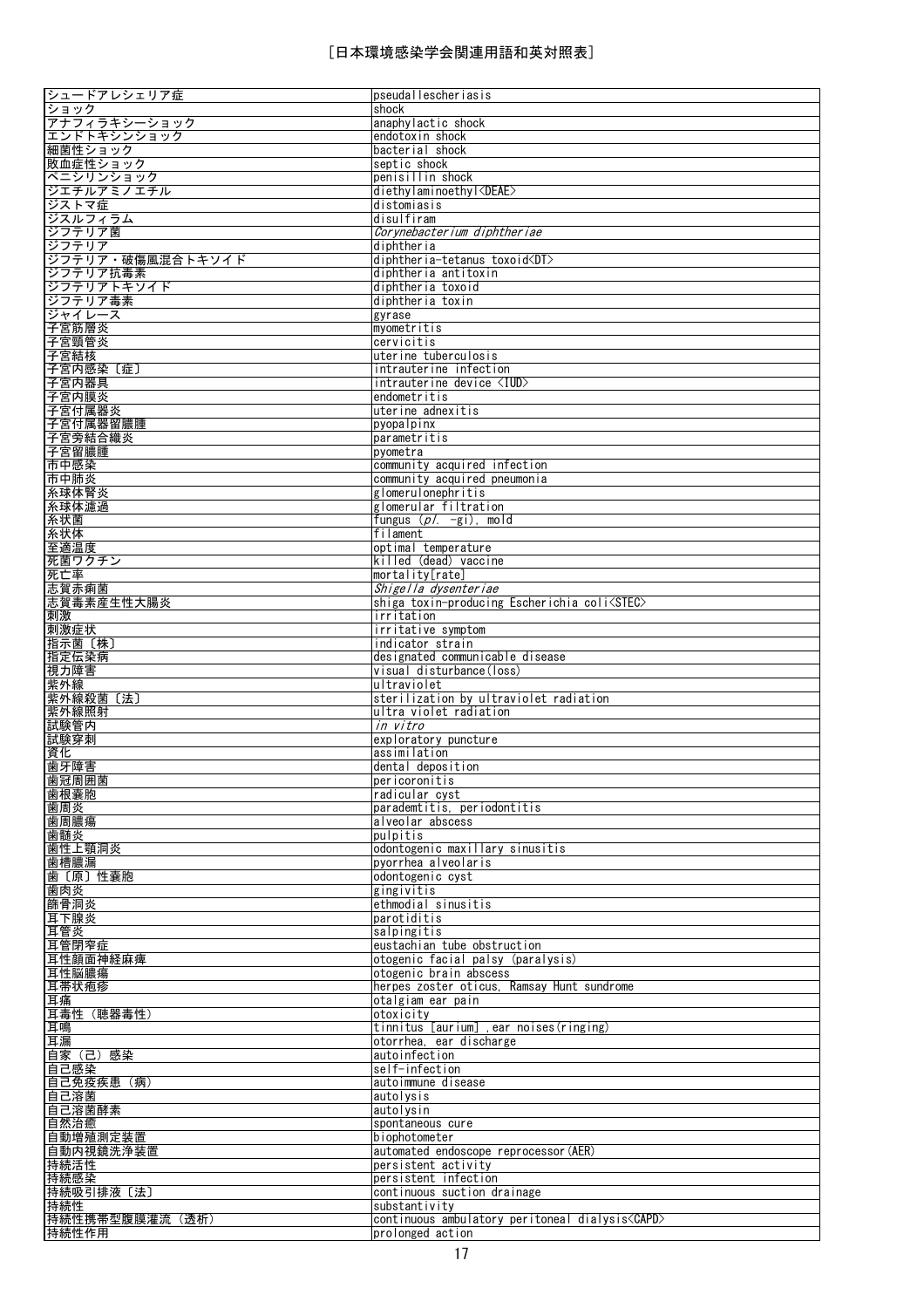| シュードアレシェリア症         | pseudallescheriasis                                              |
|---------------------|------------------------------------------------------------------|
| ショック                | shock                                                            |
| アナフィラキシーショック        | anaphylactic shock                                               |
| エンドトキシンショック         | endotoxin shock                                                  |
| 細菌性ショック<br>敗血症性ショック | bacterial shock<br>septic shock                                  |
| ペニシリンショック           | penisillin shock                                                 |
| ジエチルアミノエチル          | diethylaminoethyl <deae></deae>                                  |
| ジストマ症               | distomiasis                                                      |
| ジスルフィラム             | disulfiram                                                       |
| ジフテリア菌              | Corynebacterium diphtheriae                                      |
| ジフテリア               | diphtheria                                                       |
| シフテリア・破傷風混合トキソイド    | diphtheria-tetanus toxoid <dt></dt>                              |
| ジフテリア抗毒素            | diphtheria antitoxin                                             |
| ジフテリアトキソイド          | diphtheria toxoid                                                |
| ジフテリア毒素             | diphtheria toxin                                                 |
| ジャイレース              | gyrase                                                           |
| 子宮筋層炎               | myometritis                                                      |
| 子宮頸管炎<br>子宮結核       | cervicitis<br>uterine tuberculosis                               |
| 子宮内感染〔症〕            | intrauterine infection                                           |
| 子宮内器具               | intrauterine device <iud></iud>                                  |
| 子宮内膜炎               | endometritis                                                     |
| 子宮付属器炎              | uterine adnexitis                                                |
| 子宮付属器留膿腫            | pyopalpinx                                                       |
| 子宮旁結合織炎             | parametritis                                                     |
| 子宮留膿腫               | pyometra                                                         |
| 市中感染                | community acquired infection                                     |
| 市中肺炎                | community acquired pneumonia                                     |
| 糸球体腎炎               | glomerulonephritis                                               |
| 糸球体濾過               | glomerular filtration                                            |
| 糸状菌                 | fungus $(p/- -gi)$ , mold                                        |
| 糸状体<br>至適温度         | filament<br>optimal temperature                                  |
| 死菌ワクチン              | killed (dead) vaccine                                            |
| 死亡率                 | mortality[rate]                                                  |
| 志賀赤痢菌               | Shigella dysenteriae                                             |
| 志賀毒素産生性大腸炎          | shiga toxin-producing Escherichia coli <stec></stec>             |
| 刺激                  | irritation                                                       |
| 刺激症状                | irritative symptom                                               |
| 指示菌〔株〕              | indicator strain                                                 |
| 指定伝染病               | designated communicable disease                                  |
| 視力障害                | visual disturbance(loss)                                         |
| 紫外線<br>紫外線殺菌〔法〕     | ultraviolet<br>sterilization by ultraviolet radiation            |
| 紫外線照射               | ultra violet radiation                                           |
| 試験管内                | in vitro                                                         |
| 試験穿刺                | exploratory puncture                                             |
| 資化                  | assimilation                                                     |
| 歯牙障害                | dental deposition                                                |
| 歯冠周囲菌               | pericoronitis                                                    |
| 歯根囊胞<br>歯周炎         | radicular cyst<br>parademtitis, periodontitis                    |
| 歯周膿瘍                | alveolar abscess                                                 |
| 歯髄炎                 | pulpitis                                                         |
| 歯性上顎洞炎              | odontogenic maxillary sinusitis                                  |
| 歯槽膿漏                | pyorrhea alveolaris                                              |
| 歯〔原〕性囊胞             | odontogenic cyst                                                 |
| 歯肉炎                 | gingivitis                                                       |
| 篩骨洞炎                | ethmodial sinusitis                                              |
| 耳下腺炎                | parotiditis                                                      |
| 耳管炎                 | salpingitis                                                      |
| 耳管閉窄症<br>耳性顔面神経麻痺   | eustachian tube obstruction<br>otogenic facial palsy (paralysis) |
| 耳性脳膿瘍               | otogenic brain abscess                                           |
| 耳帯状疱疹               | herpes zoster oticus, Ramsay Hunt sundrome                       |
| 耳痛                  | otalgiam ear pain                                                |
| 耳毒性 (聴器毒性)          | otoxicity                                                        |
| 耳鳴                  | tinnitus [aurium] .ear noises(ringing)                           |
| 耳漏                  | otorrhea, ear discharge                                          |
| 自家 (己) 感染           | autoinfection                                                    |
| 自己感染                | self-infection                                                   |
| 自己免疫疾患(病)<br>自己溶菌   | autoimmune disease                                               |
| 自己溶菌酵素              | autolysis<br>autolysin                                           |
| 自然治癒                | spontaneous cure                                                 |
| 自動増殖測定装置            | biophotometer                                                    |
| 自動内視鏡洗浄装置           | automated endoscope reprocessor (AER)                            |
| 持続活性                | persistent activity                                              |
| 持続感染                | persistent infection                                             |
| 持続吸引排液〔法〕           | continuous suction drainage                                      |
| 持続性                 | substantivity                                                    |
| 持続性携帯型腹膜灌流 (透析)     | continuous ambulatory peritoneal dialysis <capd></capd>          |
| 持続性作用               | prolonged action                                                 |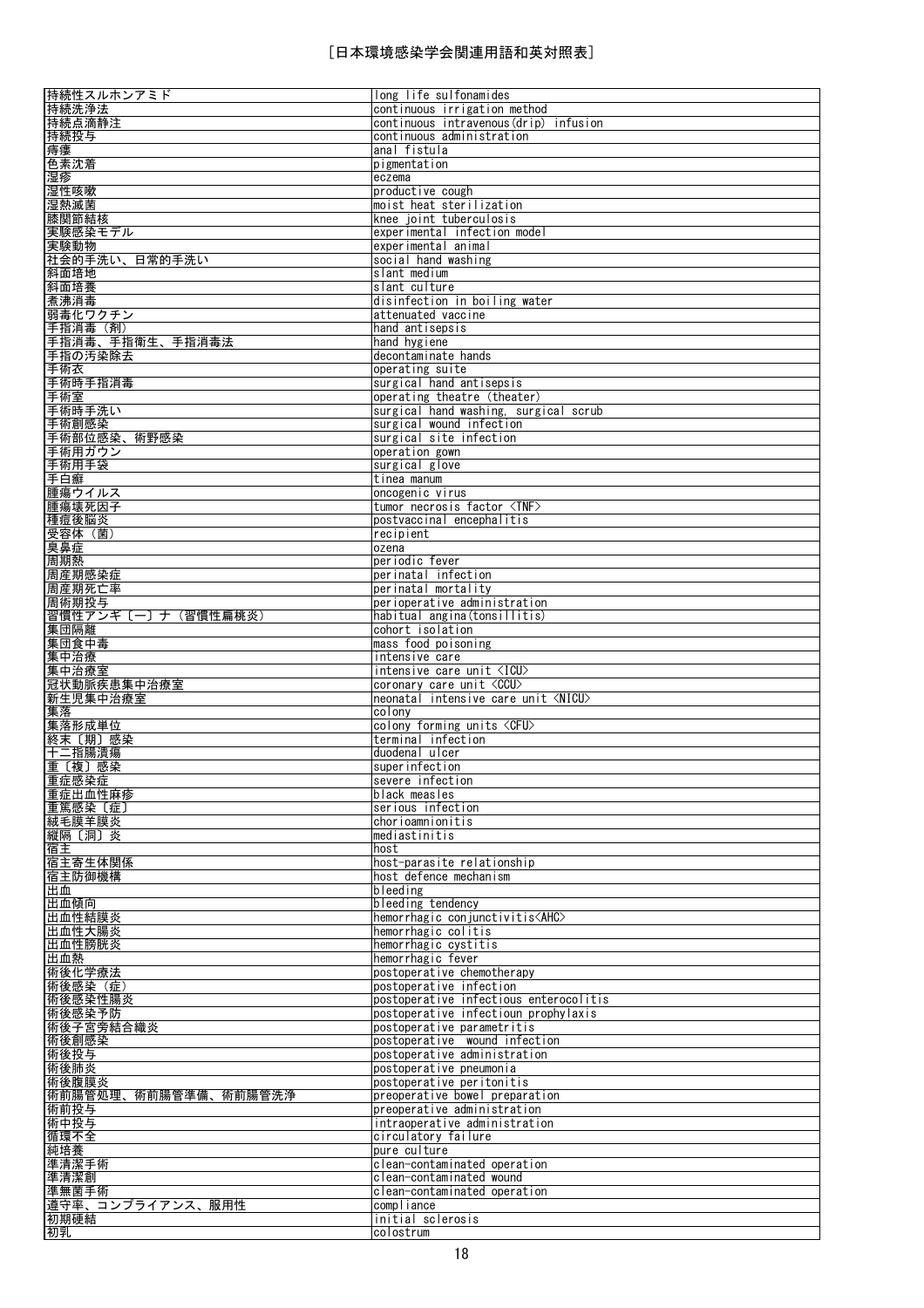| 持続性スルホンアミド                                                                                                                                                                                                       | long life sulfonamides                     |
|------------------------------------------------------------------------------------------------------------------------------------------------------------------------------------------------------------------|--------------------------------------------|
| 持続洗浄法                                                                                                                                                                                                            | continuous irrigation method               |
| 持続点滴静注                                                                                                                                                                                                           | continuous intravenous(drip) infusion      |
| 持続投与                                                                                                                                                                                                             | continuous administration                  |
| 痔瘻                                                                                                                                                                                                               | anal fistula                               |
| 色素沈着                                                                                                                                                                                                             | pigmentation                               |
| 湿疹                                                                                                                                                                                                               | eczema                                     |
| 湿性咳嗽                                                                                                                                                                                                             | productive cough                           |
| 湿熱滅菌                                                                                                                                                                                                             | moist heat sterilization                   |
| 膝関節結核                                                                                                                                                                                                            | knee joint tuberculosis                    |
| 実験感染モデル                                                                                                                                                                                                          | experimental infection model               |
| 実験動物                                                                                                                                                                                                             | experimental animal                        |
| 社会的手洗い、日常的手洗い                                                                                                                                                                                                    | social hand washing                        |
| 斜面培地                                                                                                                                                                                                             | slant medium                               |
| 斜面培養                                                                                                                                                                                                             | slant culture                              |
| 煮沸消毒                                                                                                                                                                                                             | disinfection in boiling water              |
| 弱毒化ワクチン                                                                                                                                                                                                          | attenuated vaccine                         |
| 手指消毒(剤)                                                                                                                                                                                                          | hand antisepsis                            |
| 手指消毒、手指衛生、手指消毒法                                                                                                                                                                                                  | hand hygiene                               |
|                                                                                                                                                                                                                  |                                            |
| 手指の汚染除去                                                                                                                                                                                                          | decontaminate hands                        |
| 手術衣                                                                                                                                                                                                              | operating suite                            |
| 手術時手指消毒                                                                                                                                                                                                          | surgical hand antisepsis                   |
| 手術室                                                                                                                                                                                                              | operating theatre (theater)                |
| 手術時手洗い                                                                                                                                                                                                           | surgical hand washing, surgical scrub      |
| 手術創感染                                                                                                                                                                                                            | surgical wound infection                   |
| 手術部位感染、術野感染                                                                                                                                                                                                      | surgical site infection                    |
| 手術用ガウン                                                                                                                                                                                                           | operation gown                             |
| 手術用手袋                                                                                                                                                                                                            | surgical glove                             |
| 手白癬                                                                                                                                                                                                              | tinea manum                                |
| 腫瘍ウイルス                                                                                                                                                                                                           | oncogenic virus                            |
| 腫瘍壊死因子                                                                                                                                                                                                           | tumor necrosis factor <tnf></tnf>          |
| 種痘後脳炎                                                                                                                                                                                                            | postvaccinal encephalitis                  |
| 受容体 (菌)                                                                                                                                                                                                          | recipient                                  |
| 臭鼻症                                                                                                                                                                                                              | ozena                                      |
| 周期熱                                                                                                                                                                                                              | periodic fever                             |
| 周産期感染症                                                                                                                                                                                                           | perinatal infection                        |
| 周産期死亡率                                                                                                                                                                                                           | perinatal mortality                        |
| 周術期投与                                                                                                                                                                                                            | perioperative administration               |
| 習慣性アンギ〔一〕ナ(習慣性扁桃炎)                                                                                                                                                                                               | habitual angina(tonsillitis)               |
| 集団隔離                                                                                                                                                                                                             | cohort isolation                           |
|                                                                                                                                                                                                                  |                                            |
| 集団食中毒                                                                                                                                                                                                            | mass food poisoning<br>intensive care      |
|                                                                                                                                                                                                                  |                                            |
| 集中治療                                                                                                                                                                                                             |                                            |
| 集中治療室                                                                                                                                                                                                            | intensive care unit <icu></icu>            |
| 冠状動脈疾患集中治療室                                                                                                                                                                                                      | coronary care unit <ccu></ccu>             |
| 新生児集中治療室                                                                                                                                                                                                         | neonatal intensive care unit <nicu></nicu> |
|                                                                                                                                                                                                                  | colony                                     |
|                                                                                                                                                                                                                  | colony forming units <cfu></cfu>           |
|                                                                                                                                                                                                                  | terminal infection                         |
|                                                                                                                                                                                                                  | duodenal ulcer                             |
|                                                                                                                                                                                                                  | superinfection                             |
|                                                                                                                                                                                                                  | severe infection                           |
|                                                                                                                                                                                                                  | black measles                              |
|                                                                                                                                                                                                                  | serious infection                          |
| 集落<br>集落形成単位<br>終末〔期〕感染<br>十二指腸潰瘍<br>重〔複〕感染<br>重症感染症<br>重症出血性麻疹<br>重篤感染 〔症〕<br>絨毛膜羊膜炎                                                                                                                            | chorioamnionitis                           |
|                                                                                                                                                                                                                  | mediastinitis                              |
| 縦隔〔洞〕炎<br>宿主                                                                                                                                                                                                     | host                                       |
| 宿主寄生体関係                                                                                                                                                                                                          | host-parasite relationship                 |
|                                                                                                                                                                                                                  | host defence mechanism                     |
|                                                                                                                                                                                                                  | bleeding                                   |
|                                                                                                                                                                                                                  | bleeding tendency                          |
|                                                                                                                                                                                                                  | hemorrhagic conjunctivitis <ahc></ahc>     |
|                                                                                                                                                                                                                  | hemorrhagic colitis                        |
|                                                                                                                                                                                                                  | hemorrhagic cystitis                       |
|                                                                                                                                                                                                                  | hemorrhagic fever                          |
|                                                                                                                                                                                                                  | postoperative chemotherapy                 |
|                                                                                                                                                                                                                  | postoperative infection                    |
|                                                                                                                                                                                                                  | postoperative infectious enterocolitis     |
|                                                                                                                                                                                                                  | postoperative infectioun prophylaxis       |
|                                                                                                                                                                                                                  | postoperative parametritis                 |
|                                                                                                                                                                                                                  | postoperative wound infection              |
|                                                                                                                                                                                                                  | postoperative administration               |
|                                                                                                                                                                                                                  | postoperative pneumonia                    |
|                                                                                                                                                                                                                  | postoperative peritonitis                  |
|                                                                                                                                                                                                                  | preoperative bowel preparation             |
|                                                                                                                                                                                                                  |                                            |
|                                                                                                                                                                                                                  | preoperative administration                |
|                                                                                                                                                                                                                  | intraoperative administration              |
|                                                                                                                                                                                                                  | circulatory failure                        |
| <u>宿主防御機構</u><br>出血<br>出血傾向<br>出血性結膜炎<br>出血性大腸炎<br>出血性膀胱炎<br>出血熱<br>術後化学療法<br>術後感染(症)<br>術後感染性腸炎<br>術後感染予防<br>術後子宮旁結合織炎<br>術後創感染<br>術後投与<br>術後肺炎<br>術後腹膜炎<br>術前腸管処理、術前腸管準備、術前腸管洗浄<br>術前投与<br>術中投与<br>循環不全<br>純培養 | pure culture                               |
| 準清潔手術                                                                                                                                                                                                            | clean-contaminated operation               |
| 準清潔創                                                                                                                                                                                                             | clean-contaminated wound                   |
| 準無菌手術                                                                                                                                                                                                            | clean-contaminated operation               |
| 遵守率、コンプライアンス、服用性                                                                                                                                                                                                 | compliance                                 |
| 初期硬結<br>初乳                                                                                                                                                                                                       | initial sclerosis<br>colostrum             |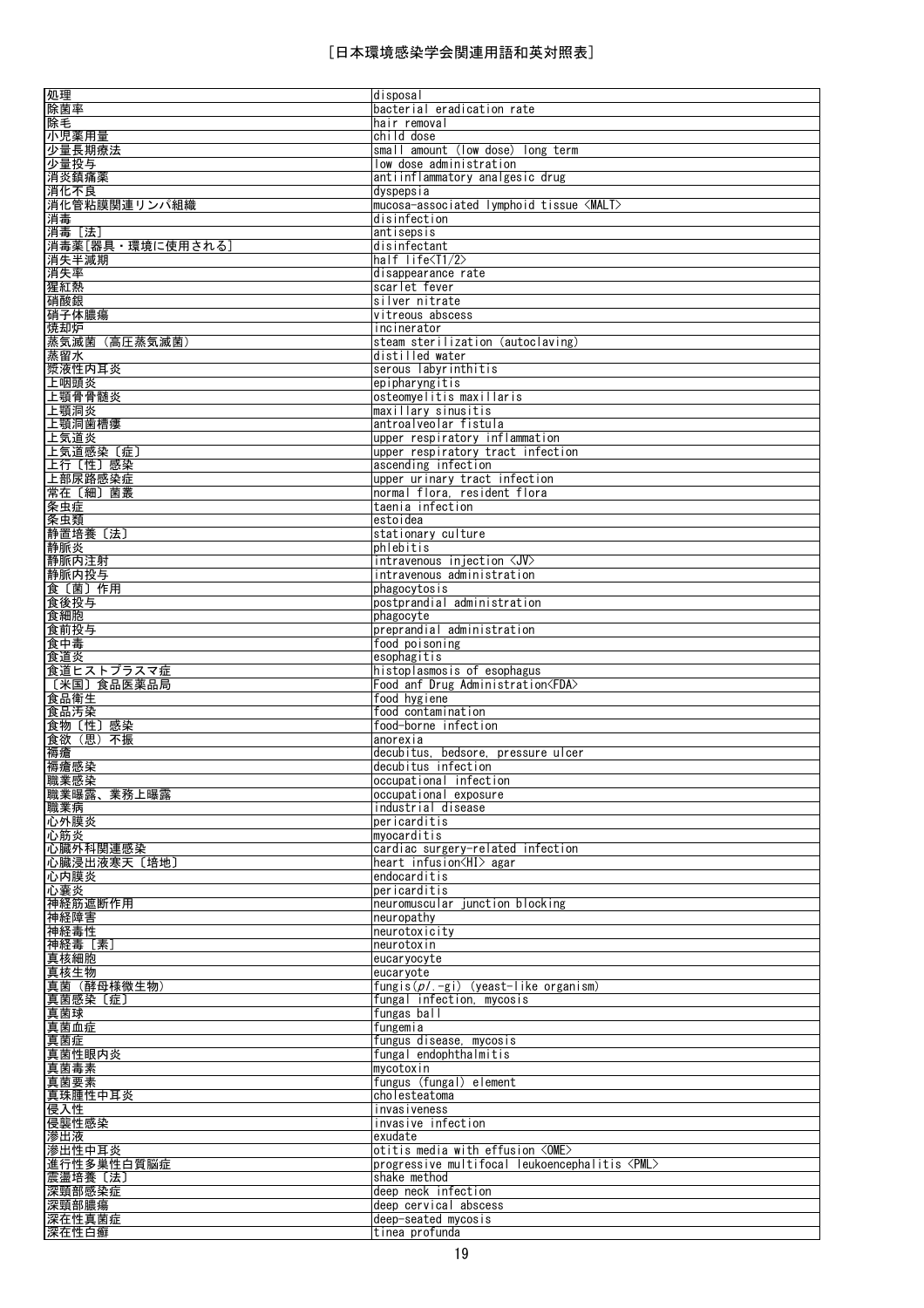| 処理                     | disposal                                             |
|------------------------|------------------------------------------------------|
| 除菌率                    | bacterial eradication rate                           |
| 除毛                     | hair removal                                         |
|                        |                                                      |
| 小児薬用量                  | child dose                                           |
| 少量長期療法                 | small amount (low dose) long term                    |
| 少量投与                   | low dose administration                              |
| 消炎鎮痛薬                  | antiinflammatory analgesic drug                      |
|                        |                                                      |
| 消化不良                   | dyspepsia                                            |
| 消化管粘膜関連リンパ組織           | mucosa-associated lymphoid tissue <malt></malt>      |
| 消毒                     | disinfection                                         |
| 消毒 [法]                 | antisepsis                                           |
|                        |                                                      |
| 消毒薬[器具・環境に使用される]       | disinfectant                                         |
| 消失半減期                  | half life <t1 2=""></t1>                             |
| 消失率                    | disappearance rate                                   |
| 猩紅熱                    | scarlet fever                                        |
|                        |                                                      |
| 硝酸銀                    | silver nitrate                                       |
| 硝子体膿瘍                  | vitreous abscess                                     |
| 焼却炉                    | incinerator                                          |
|                        | steam sterilization (autoclaving)                    |
| 蒸気滅菌(高圧蒸気滅菌)           |                                                      |
| 蒸留水                    | distilled water                                      |
| 漿液性内耳炎                 | serous labyrinthitis                                 |
| 上咽頭炎                   | epipharyngitis                                       |
| 上顎骨骨髄炎                 | osteomyelitis maxillaris                             |
|                        |                                                      |
| 上顎洞炎                   | maxillary sinusitis                                  |
| 上顎洞歯槽瘻                 | antroalveolar fistula                                |
| 上気道炎                   | upper respiratory inflammation                       |
| 上気道感染〔症〕               | upper respiratory tract infection                    |
|                        |                                                      |
| 上行〔性〕感染                | ascending infection                                  |
| 上部尿路感染症                | upper urinary tract infection                        |
| 常在〔細〕菌叢                | normal flora, resident flora                         |
| 条虫症                    | taenia infection                                     |
|                        |                                                      |
| 条虫類                    | estoidea                                             |
| 静置培養〔法〕                | stationary culture                                   |
| 静脈炎                    | phlebitis                                            |
| 静脈内注射                  | intravenous injection <jv></jv>                      |
|                        |                                                      |
| 静脈内投与                  | intravenous administration                           |
| 食〔菌〕作用                 | phagocytosis                                         |
| 食後投与                   | postprandial administration                          |
| 食細胞                    | phagocyte                                            |
|                        |                                                      |
| 食前投与                   | preprandial administration                           |
| 食中毒                    | food poisoning                                       |
| 食道炎                    | esophagitis                                          |
| 食道ヒストプラスマ症             | histoplasmosis of esophagus                          |
|                        |                                                      |
| 〔米国〕食品医薬品局             | Food anf Drug Administration <fda></fda>             |
| 食品衛生                   | food hygiene                                         |
| 食品汚染                   | food contamination                                   |
| 食物〔性〕感染                | food-borne infection                                 |
|                        |                                                      |
| 食欲(思)不振                | anorexia                                             |
| 褥瘡                     | decubitus, bedsore, pressure ulcer                   |
| 褥瘡感染                   | decubitus infection                                  |
| 職業感染                   | occupational infection                               |
| 職業曝露、業務上曝露             | occupational exposure                                |
|                        |                                                      |
| 職業病                    | industrial disease                                   |
| 心外膜炎                   | pericarditis                                         |
| 心筋炎                    | myocarditis                                          |
| 心臓外科関連感染               | cardiac surgery-related infection                    |
|                        |                                                      |
| 心臓浸出液寒天〔培地〕            | heart infusion <hi> agar</hi>                        |
| 心内膜炎                   | endocarditis                                         |
| 心囊炎                    | pericarditis                                         |
| 神経筋遮断作用                | neuromuscular junction blocking                      |
| 神経障害                   | neuropathy                                           |
|                        |                                                      |
| 神経毒性                   | neurotoxicity                                        |
| 神経毒 [素]                | neurotoxin                                           |
| 真核細胞                   | eucaryocyte                                          |
| 真核生物                   | eucarvote                                            |
|                        |                                                      |
| 真菌 (酵母様微生物)            | fungis $(p/-g)$ (yeast-like organism)                |
| 真菌感染〔症〕                | fungal infection, mycosis                            |
| 真菌球                    | fungas ball                                          |
| 真菌血症                   | fungemia                                             |
| 真菌症                    | fungus disease, mycosis                              |
|                        |                                                      |
| 真菌性眼内炎                 | fungal endophthalmitis                               |
| 真菌毒素                   | mycotoxin                                            |
| 真菌要素                   |                                                      |
|                        | fungus (fungal) element                              |
|                        |                                                      |
|                        | cholesteatoma                                        |
| 真珠腫性中耳炎                | <i>invasiveness</i>                                  |
|                        | invasive infection                                   |
|                        | exudate                                              |
|                        |                                                      |
| 滲出液<br>滲出性中耳炎          | otitis media with effusion <ome></ome>               |
| 進行性多巣性白質脳症             | progressive multifocal leukoencephalitis <pml></pml> |
| 震盪培養〔法〕                | shake method                                         |
| 侵入性<br>侵襲性感染<br>深頸部感染症 | deep neck infection                                  |
|                        | deep cervical abscess                                |
| 深頸部膿瘍                  |                                                      |
| 深在性真菌症<br>深在性白癬        | deep-seated mycosis<br>tinea profunda                |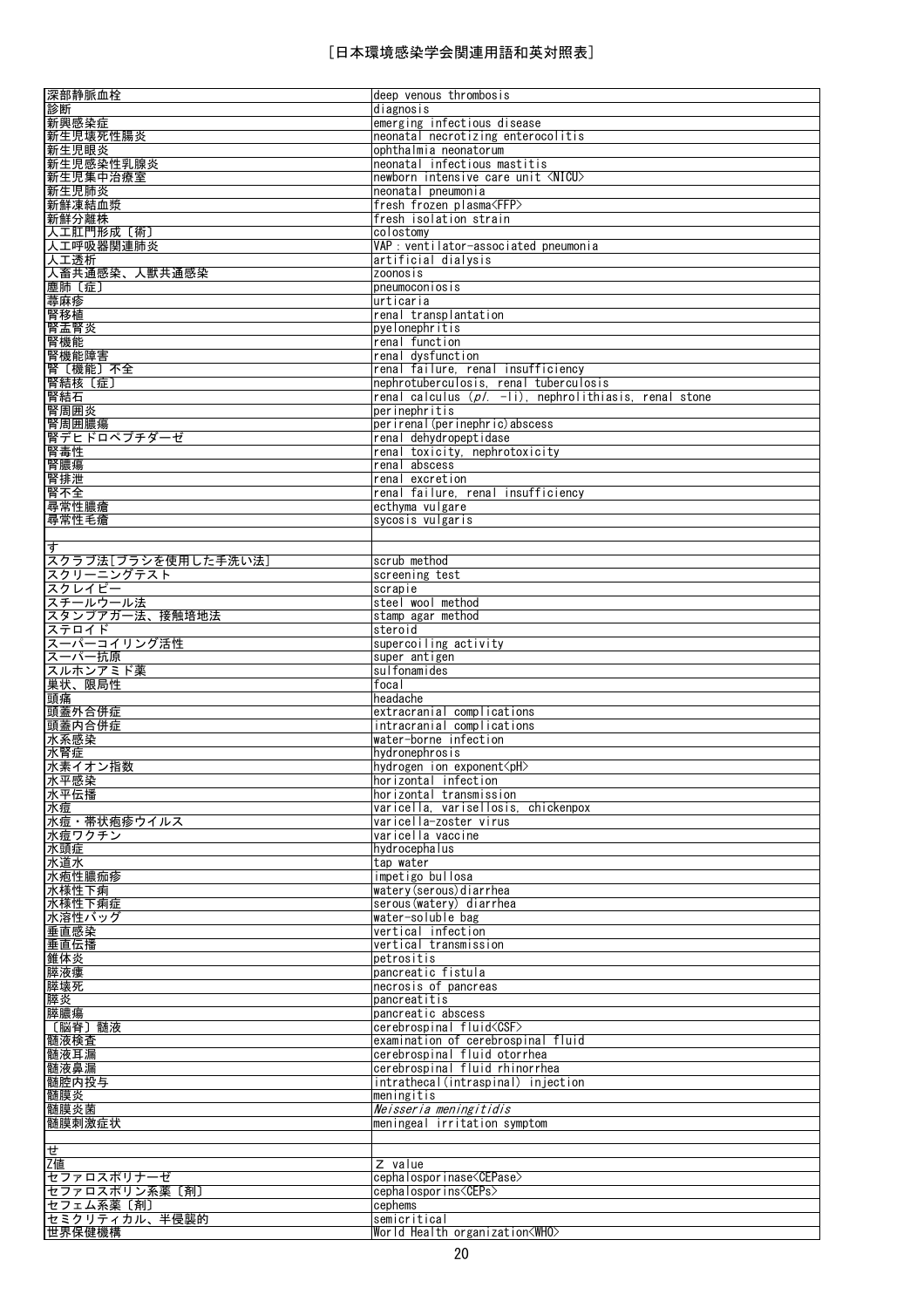| 深部静脈血栓                   | deep venous thrombosis                                      |
|--------------------------|-------------------------------------------------------------|
| 診断                       | diagnosis                                                   |
| 新興感染症                    | emerging infectious disease                                 |
| 新生児壊死性腸炎<br>新生児眼炎        | neonatal necrotizing enterocolitis<br>ophthalmia neonatorum |
| 新生児感染性乳腺炎                | neonatal infectious mastitis                                |
| 新生児集中治療室                 | newborn intensive care unit <nicu></nicu>                   |
| 新生児肺炎                    | neonatal pneumonia                                          |
| 新鮮凍結血漿                   | fresh frozen plasma <ffp></ffp>                             |
| 新鮮分離株                    | fresh isolation strain                                      |
| 人工肛門形成 〔術〕               | colostomy                                                   |
| 人工呼吸器関連肺炎                | VAP : ventilator-associated pneumonia                       |
| 人工透析                     | artificial dialysis                                         |
| 人畜共通感染、人獣共通感染            | zoonosis                                                    |
| 塵肺〔症〕                    | pneumoconiosis                                              |
| 蕁麻疹                      | urticaria                                                   |
| 腎移植                      | renal transplantation                                       |
| 腎盂腎炎<br>腎機能              | pyelonephritis<br>renal function                            |
| 腎機能障害                    | renal dysfunction                                           |
| 腎〔機能〕不全                  | renal failure, renal insufficiency                          |
| 腎結核 〔症〕                  | nephrotuberculosis, renal tuberculosis                      |
| 腎結石                      | renal calculus $(p/- -1)$ , nephrolithiasis, renal stone    |
| 腎周囲炎                     | perinephritis                                               |
| 腎周囲膿瘍                    | perirenal (perinephric) abscess                             |
| 腎デヒドロペプチダーゼ              | renal dehydropeptidase                                      |
| 腎毒性                      | renal toxicity, nephrotoxicity                              |
| 腎膿瘍                      | renal abscess                                               |
| 腎排泄                      | renal excretion<br>renal failure, renal insufficiency       |
| 腎不全<br>尋常性膿瘡             | ecthyma vulgare                                             |
| 尋常性毛瘡                    | sycosis vulgaris                                            |
|                          |                                                             |
| す                        |                                                             |
| スクラブ法[ブラシを使用した手洗い法]      | scrub method                                                |
| スクリーニングテスト               | screening test                                              |
| スクレイピー                   | scrapie                                                     |
| スチールウール法                 | steel wool method                                           |
| スタンプアガー法、接触培地法           | stamp agar method                                           |
| ステロイド                    | steroid                                                     |
| スーパーコイリング活性<br>スーパー抗原    | supercoiling activity                                       |
|                          | super antigen                                               |
|                          |                                                             |
| スルホンアミド薬                 | sulfonamides                                                |
| 巣状、限局性                   | focal                                                       |
| 頭痛                       | headache<br>extracranial complications                      |
| 頭蓋外合併症<br> 頭蓋内合併症        | intracranial complications                                  |
| 水系感染                     | water-borne infection                                       |
| 水腎症                      | hydronephrosis                                              |
| 水素イオン指数                  | hydrogen ion exponent <ph></ph>                             |
| 水平感染                     | horizontal infection                                        |
| 水平伝播                     | horizontal transmission                                     |
| 水痘                       | varicella, varisellosis, chickenpox                         |
| 水痘・帯状疱疹ウイルス              | varicella-zoster virus                                      |
| 水痘ワクチン                   | varicella vaccine                                           |
| 水頭症                      | hydrocephalus<br>tap water                                  |
| 水道水<br>水疱性膿痂疹            | impetigo bullosa                                            |
| 水様性下痢                    | watery (serous) diarrhea                                    |
| 水様性下痢症                   | serous (watery) diarrhea                                    |
| 水溶性バッグ                   | water-soluble bag                                           |
| 垂直感染                     | vertical infection                                          |
| 垂直伝播                     | vertical transmission                                       |
| 錐体炎                      | petrositis                                                  |
| 膵液瘻                      | pancreatic fistula                                          |
| 膵壊死                      | necrosis of pancreas                                        |
| 膵炎                       | pancreatitis<br>pancreatic abscess                          |
| 膵膿瘍<br>〔脳脊〕髄液            | cerebrospinal fluid <csf></csf>                             |
| 髄液検査                     | examination of cerebrospinal fluid                          |
| 髄液耳漏                     | cerebrospinal fluid otorrhea                                |
| 髄液鼻漏                     | cerebrospinal fluid rhinorrhea                              |
| 髄腔内投与                    | intrathecal(intraspinal) injection                          |
| 髄膜炎                      | meningitis                                                  |
| 髄膜炎菌                     | Neisseria meningitidis                                      |
| 髄膜刺激症状                   | meningeal irritation symptom                                |
|                          |                                                             |
| せ                        |                                                             |
| Z値<br>セファロスポリナーゼ         | Z value<br>cephalospor inase <cepase></cepase>              |
| セファロスポリン系薬〔剤〕            | cephalospor ins <ceps></ceps>                               |
| セフェム系薬〔剤〕                | cephems                                                     |
| セミクリティカル、半侵襲的<br> 世界保健機構 | semicritical<br>World Health organization <who></who>       |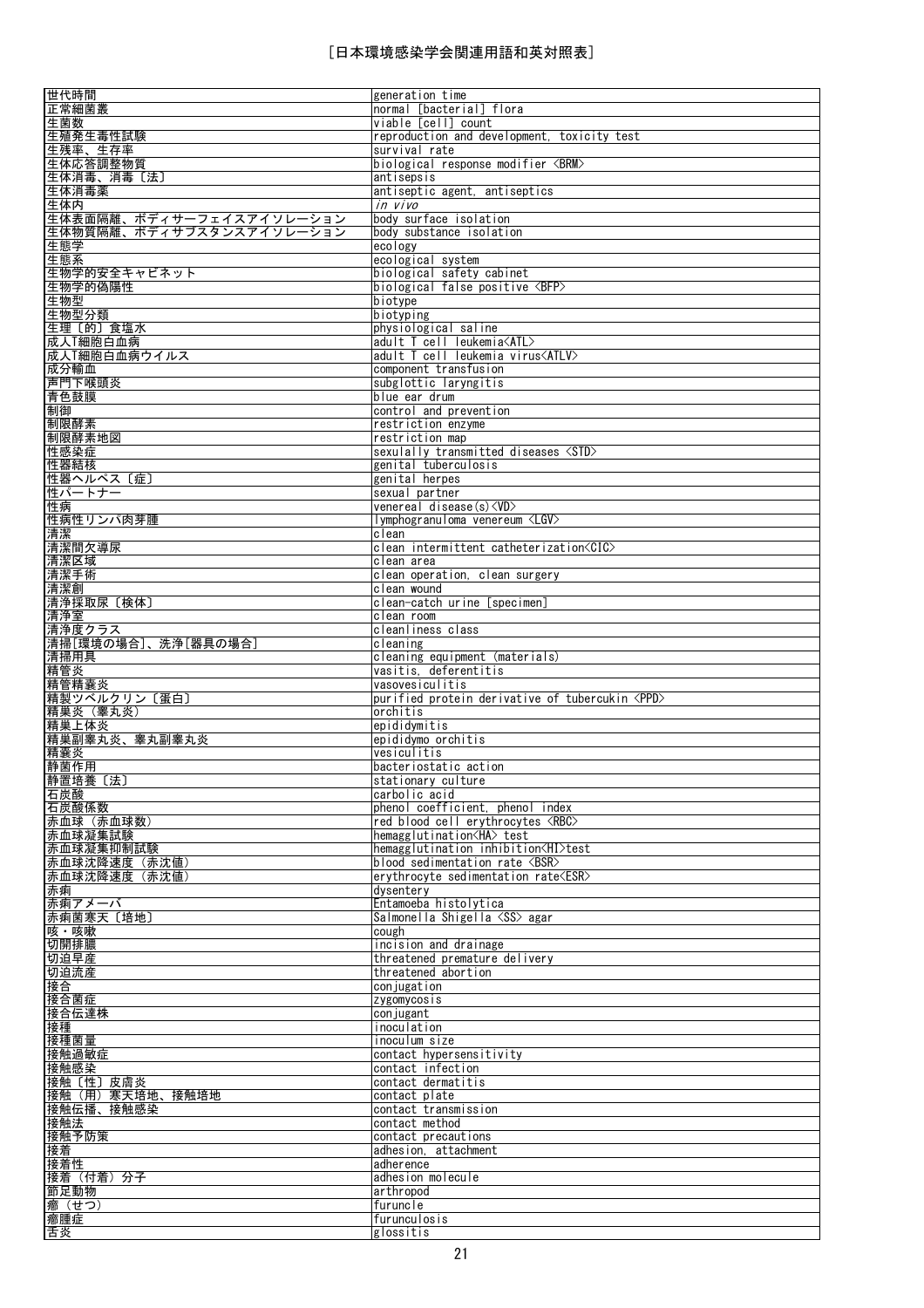| 世代時間                      | generation time                                                           |
|---------------------------|---------------------------------------------------------------------------|
| 正常細菌叢<br>生菌数              | normal [bacterial] flora<br>viable [cell] count                           |
| 生殖発生毒性試験                  | reproduction and development, toxicity test                               |
| 生残率、生存率                   | survival rate                                                             |
| 生体応答調整物質                  | biological response modifier <brm></brm>                                  |
| 生体消毒、消毒〔法〕<br>生体消毒薬       | antisepsis<br>antiseptic agent, antiseptics                               |
| 生体内                       | in vivo                                                                   |
| 生体表面隔離、ボディサーフェイスアイソレーション  | body surface isolation                                                    |
| 生体物質隔離、ボディサブスタンスアイソレーション  | body substance isolation                                                  |
| 生態学<br>生態系                | ecology<br>ecological system                                              |
| 生物学的安全キャビネット              | biological safety cabinet                                                 |
| 生物学的偽陽性                   | biological false positive <bfp></bfp>                                     |
| 生物型                       | biotype                                                                   |
| 生物型分類                     | biotyping                                                                 |
| 生理〔的〕食塩水<br>成人T細胞白血病      | physiological saline<br>adult T cell leukemia <atl></atl>                 |
| 成人「細胞白血病ウイルス              | adult T cell leukemia virus <atlv></atlv>                                 |
| 成分輸血                      | component transfusion                                                     |
| 声門下喉頭炎                    | subglottic laryngitis                                                     |
| 青色鼓膜<br>制御                | blue ear drum<br>control and prevention                                   |
| 制限酵素                      | restriction enzyme                                                        |
| 制限酵素地図                    | restriction map                                                           |
| 性感染症                      | sexulally transmitted diseases <std></std>                                |
| 性器結核                      | genital tuberculosis                                                      |
| 性器ヘルペス〔症〕<br>性パートナー       | genital herpes<br>sexual partner                                          |
| 性病                        | venereal disease(s) <vd></vd>                                             |
| 性病性リンパ肉芽腫                 | Iymphogranuloma venereum <lgv></lgv>                                      |
| 清潔                        | clean                                                                     |
| 清潔間欠導尿<br>清潔区域            | clean intermittent catheterization <cic><br/>clean area</cic>             |
| 清潔手術                      | clean operation, clean surgery                                            |
| <u>清潔創</u>                | clean wound                                                               |
| 清浄採取尿〔検体〕                 | clean-catch urine [specimen]                                              |
| 清浄室<br>清浄度クラス             | clean room<br>cleanliness class                                           |
| 清掃[環境の場合]、洗浄[器具の場合]       | cleaning                                                                  |
| 清掃用具                      | cleaning equipment (materials)                                            |
| 精管炎                       | vasitis deferentitis                                                      |
| 精管精囊炎<br>精製ツベルクリン〔蛋白〕     | vasovesiculitis<br>purified protein derivative of tubercukin <ppd></ppd>  |
| 精巣炎(睾丸炎)                  | orchitis                                                                  |
| 精巣上体炎                     | epididymitis                                                              |
| 精巣副睾丸炎、睾丸副睾丸炎             | epididymo orchitis                                                        |
| 精囊炎<br>静菌作用               | vesiculitis<br>bacteriostatic action                                      |
| 静置培養〔法〕                   | stationary culture                                                        |
| 石炭酸                       | carbolic acid                                                             |
| 石炭酸係数                     | phenol coefficient, phenol index                                          |
| 赤血球 (赤血球数)<br>赤血球凝集試験     | red blood cell erythrocytes <rbc><br/>hemagglutination<ha>test</ha></rbc> |
| 赤血球凝集抑制試験                 | hemagglutination inhibition <hi>test</hi>                                 |
| 赤血球沈降速度(赤沈値)              | blood sedimentation rate $\langle\mathrm{BSR}\rangle$                     |
| 赤血球沈降速度(赤沈値)              | ervthrocvte sedimentation rate $\langle ESR\rangle$                       |
| 赤痢<br>赤痢アメーバ              | dysentery<br>Entamoeba histolytica                                        |
| 赤痢菌寒天〔培地〕                 | Salmonella Shigella <ss> agar</ss>                                        |
| 咳・咳嗽                      | cough                                                                     |
| 切開排膿                      | incision and drainage                                                     |
| 切迫早産                      | threatened premature delivery                                             |
| 切迫流産<br>接合                | threatened abortion<br>conjugation                                        |
| 接合菌症                      | zygomycosis                                                               |
| 接合伝達株                     | conjugant                                                                 |
| 接種                        | inoculation                                                               |
| 接種菌量<br>接触過敏症             | inoculum size<br>contact hypersensitivity                                 |
| 接触感染                      | contact infection                                                         |
| 接触〔性〕皮膚炎                  | contact dermatitis                                                        |
| 接触(用)寒天培地、接触培地            | contact plate                                                             |
| 接触伝播、接触感染<br>接触法          | contact transmission<br>contact method                                    |
| 接触予防策                     | contact precautions                                                       |
| 接着                        |                                                                           |
|                           | adhesion, attachment                                                      |
| 接着性                       | adherence                                                                 |
|                           | adhesion molecule                                                         |
| 接着(付着)分子<br>節足動物<br>癤(せつ) | arthropod<br>furuncle                                                     |
| 癤腫症<br>舌炎                 | furunculosis<br>glossitis                                                 |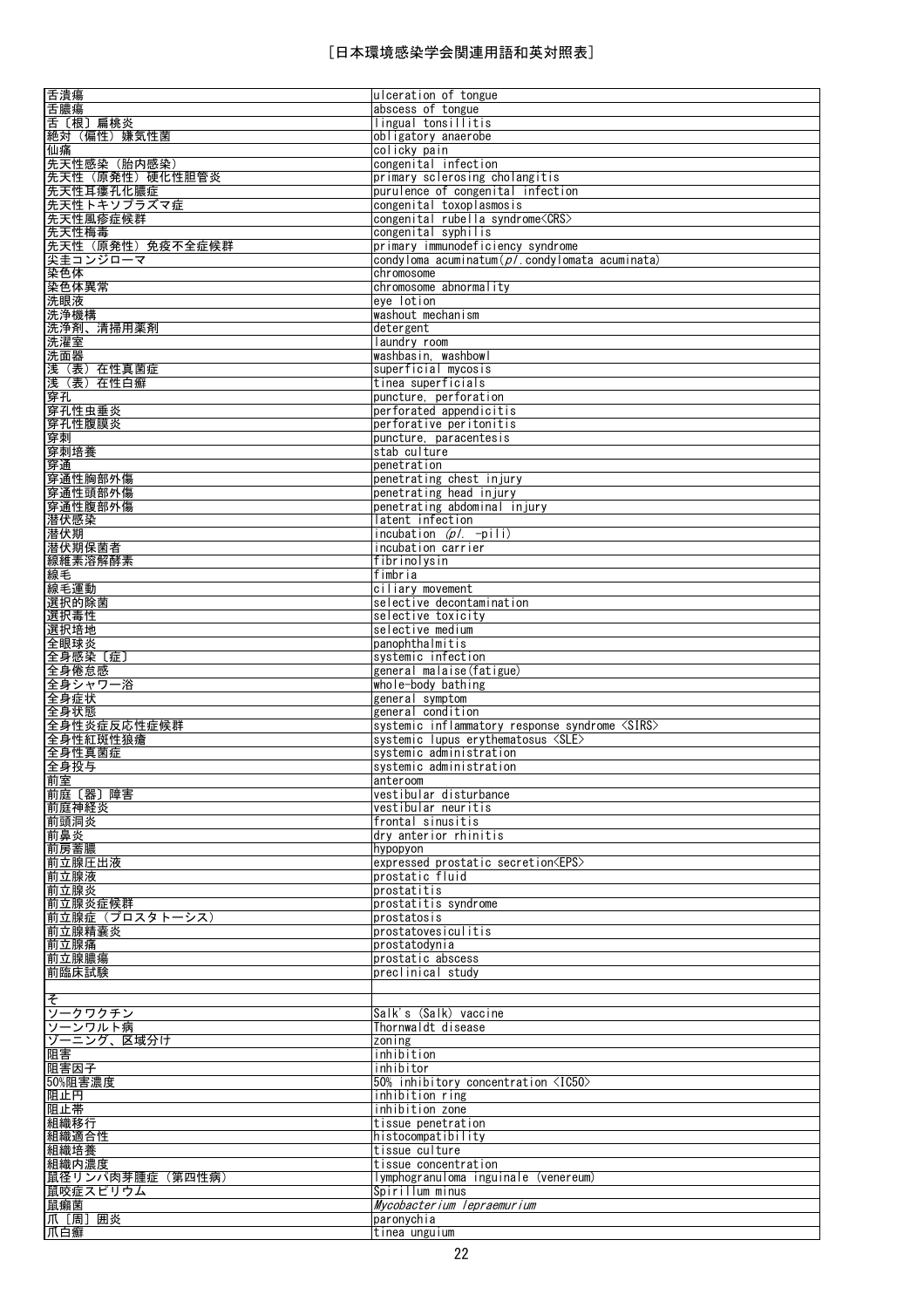| 舌潰瘍                        | ulceration of tongue                                  |
|----------------------------|-------------------------------------------------------|
| 舌膿瘍                        | abscess of tongue                                     |
| 舌〔根〕扁桃炎                    | lingual tonsillitis                                   |
| 絶対(偏性)嫌気性菌                 | obligatory anaerobe                                   |
|                            |                                                       |
| 仙痛                         | colicky pain                                          |
| 先天性感染 (胎内感染)               | congenital infection                                  |
| 先天性(原発性)硬化性胆管炎             | primary sclerosing cholangitis                        |
|                            |                                                       |
| 先天性耳瘻孔化膿症                  | purulence of congenital infection                     |
| 先天性トキソプラズマ症                | congenital toxoplasmosis                              |
| 先天性風疹症候群                   | congenital rubella syndrome <crs></crs>               |
|                            |                                                       |
| 先天性梅毒                      | congenital syphilis                                   |
| 先天性(原発性)免疫不全症候群            | primary immunodeficiency syndrome                     |
| 尖圭コンジローマ                   | condyloma acuminatum $(p/$ condylomata acuminata)     |
|                            |                                                       |
|                            | chromosome                                            |
| 染色体<br>染色体異常               | chromosome abnormality                                |
| 洗眼液                        | eye lotion                                            |
|                            |                                                       |
| 洗浄機構                       | washout mechanism                                     |
| 洗浄剤、清掃用薬剤                  | detergent                                             |
| 洗濯室                        | laundry room                                          |
|                            |                                                       |
| 洗面器                        | washbasin, washbowl                                   |
| 浅(表)在性真菌症                  | superficial mycosis                                   |
| 浅 (表) 在性白癬                 | tinea superficials                                    |
|                            |                                                       |
| 穿孔                         | puncture, perforation                                 |
| 穿孔性虫垂炎<br>穿孔性腹膜炎           | perforated appendicitis                               |
|                            | perforative peritonitis                               |
| 穿刺                         | puncture, paracentesis                                |
|                            |                                                       |
| 穿刺培養                       | stab culture                                          |
| 靊                          | penetration                                           |
| 穿通性胸部外傷                    | penetrating chest injury                              |
|                            |                                                       |
| 穿通性頭部外傷                    | penetrating head injury                               |
| <del>穿通性腹部外傷</del><br>潜伏感染 | penetrating abdominal injury                          |
|                            | latent infection                                      |
|                            |                                                       |
| 潜伏期                        | incubation $(p/- -pi)$                                |
| 潜伏期保菌者                     | incubation carrier                                    |
| 線維素溶解酵素                    | fibrinolysin                                          |
|                            |                                                       |
| 線毛                         | fimbria                                               |
| 線毛運動                       | ciliary movement                                      |
| 選択的除菌                      | selective decontamination                             |
|                            |                                                       |
| 選択毒性                       | selective toxicity                                    |
| 選択培地                       | selective medium                                      |
| 全眼球炎                       | panophthalmitis                                       |
|                            |                                                       |
| 全身感染〔症〕                    | systemic infection                                    |
| 全身倦怠感                      | general malaise (fatigue)                             |
| 全身シャワー浴                    | whole-body bathing                                    |
|                            |                                                       |
|                            |                                                       |
| 全身症状                       | general symptom                                       |
|                            | general condition                                     |
| 全身状態                       |                                                       |
| 全身性炎症反応性症候群                | systemic inflammatory response syndrome <sirs></sirs> |
|                            | systemic lupus erythematosus <sle></sle>              |
|                            | systemic administration                               |
| 全身性紅斑性狼瘡<br>全身性真菌症         |                                                       |
| 全身投与                       | systemic administration                               |
| 前室                         | anteroom                                              |
| 前庭〔器〕障害                    | vestibular disturbance                                |
|                            |                                                       |
| 前庭神経炎                      | vestibular neuritis                                   |
|                            | frontal sinusitis                                     |
| 前頭洞炎<br>前鼻炎                | dry anterior rhinitis                                 |
|                            | hypopyon                                              |
| 前房蓄膿                       |                                                       |
| 前立腺圧出液                     | expressed prostatic secretion <eps></eps>             |
| 前立腺液                       | prostatic fluid                                       |
| 前立腺炎                       | prostatitis                                           |
|                            |                                                       |
| 前立腺炎症候群                    | prostatitis syndrome                                  |
| 前立腺症(プロスタトーシス)             | prostatosis                                           |
| 前立腺精囊炎                     | prostatovesiculitis                                   |
|                            | prostatodynia                                         |
| 前立腺痛                       |                                                       |
| 前立腺膿瘍                      | prostatic abscess                                     |
| 前臨床試験                      | preclinical study                                     |
|                            |                                                       |
|                            |                                                       |
|                            |                                                       |
| そ<br>ソークワクチン               | Salk's (Salk) vaccine                                 |
| ソーンワルト病                    | Thornwaldt disease                                    |
|                            |                                                       |
| ゾーニング、区域分け                 | zoning                                                |
| 阻害                         | inhibition                                            |
| 阻害因子                       | inhibitor                                             |
|                            |                                                       |
| 50%阻害濃度                    | 50% inhibitory concentration <ic50></ic50>            |
| 阻止円                        | inhibition ring                                       |
|                            | inhibition zone                                       |
| 阻止帯                        |                                                       |
|                            | tissue penetration                                    |
|                            | histocompatibility                                    |
|                            | tissue culture                                        |
| 組織移行<br>組織適合性<br>組織培養      | tissue concentration                                  |
| 組織内濃度                      |                                                       |
| 鼠径リンパ肉芽腫症 (第四性病)           | lymphogranuloma inguinale (venereum)                  |
| 鼠咬症スピリウム                   | Spirillum minus                                       |
|                            | Mycobacterium lepraemurium                            |
| 鼠癩菌                        |                                                       |
| 爪 [周] 囲炎<br>爪白癬            | paronychia<br>tinea unguium                           |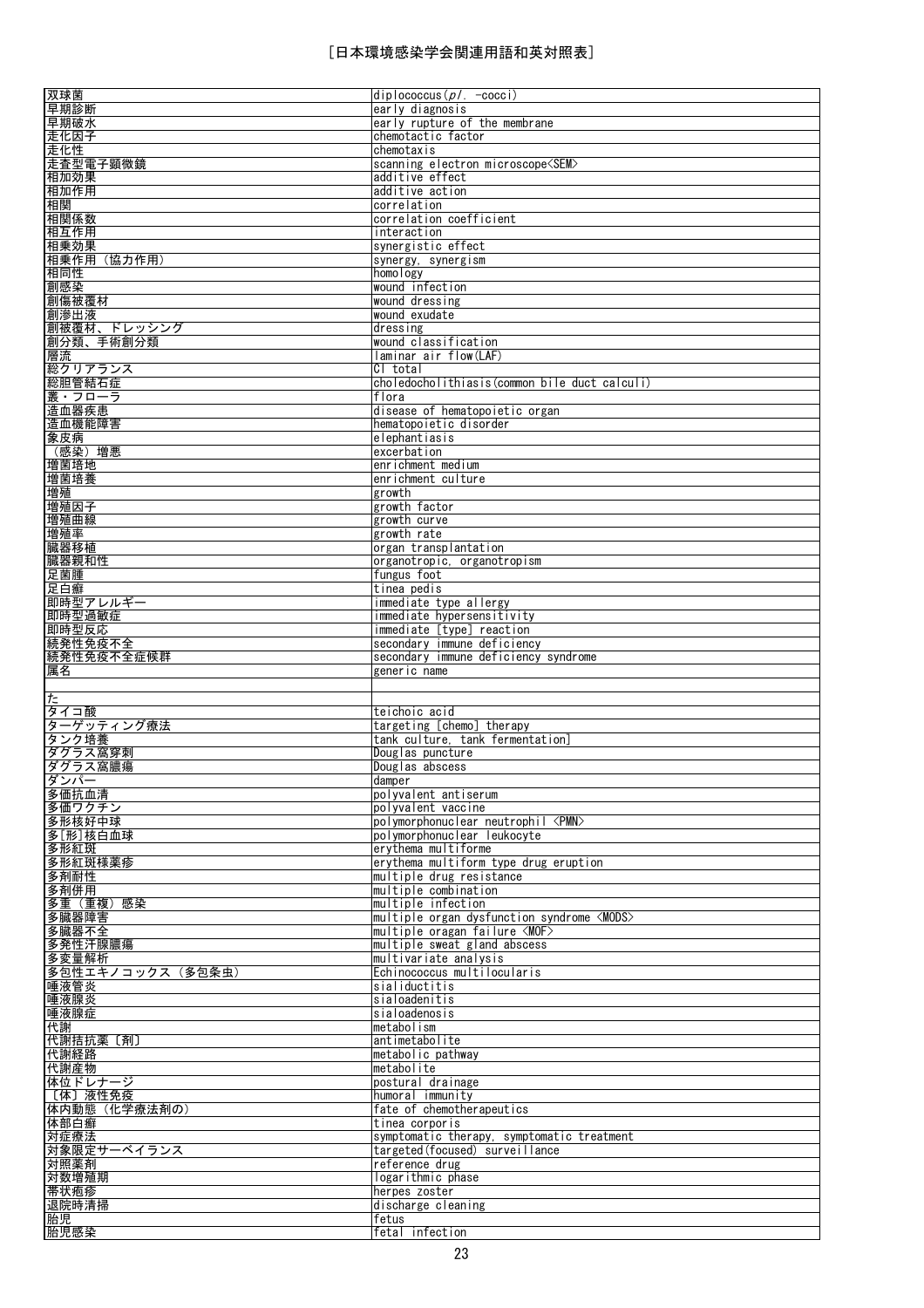| 双球菌                                 | $diplococcus(p/- -cocc)$                          |
|-------------------------------------|---------------------------------------------------|
| 早期診断                                | early diagnosis                                   |
|                                     |                                                   |
| 早期破水                                | early rupture of the membrane                     |
| 走化因子                                | chemotactic factor                                |
| 走化性                                 | chemotaxis                                        |
| 走査型電子顕微鏡                            | scanning electron microscope <sem></sem>          |
| 相加効果                                | additive effect                                   |
| 相加作用                                | additive action                                   |
|                                     |                                                   |
| 相関                                  | correlation                                       |
| 相関係数                                | correlation coefficient                           |
| 相互作用                                | interaction                                       |
| 相乗効果                                | synergistic effect                                |
|                                     |                                                   |
| 相乗作用 (協力作用)                         | synergy, synergism                                |
| 相同性                                 | homology                                          |
| 創感染                                 | wound infection                                   |
| 創傷被覆材                               | wound dressing                                    |
| 創滲出液                                | wound exudate                                     |
| 創被覆材、ドレッシング                         | dressing                                          |
|                                     |                                                   |
| 創分類、手術創分類                           | wound classification                              |
| 層流                                  | laminar air flow(LAF)                             |
| 総クリアランス                             | CI total                                          |
| 総胆管結石症                              | choledocholithiasis (common bile duct calculi)    |
| 叢・フローラ                              | flora                                             |
|                                     |                                                   |
| 造血器疾患                               | disease of hematopoietic organ                    |
| 造血機能障害                              | hematopoietic disorder                            |
| 象皮病                                 | elephantiasis                                     |
| (感染) 増悪                             | excerbation                                       |
| 増菌培地                                | enrichment medium                                 |
|                                     |                                                   |
| 増菌培養                                | enrichment culture                                |
| 増殖                                  | growth                                            |
| 增殖因子                                | growth factor                                     |
| 増殖曲線                                | growth curve                                      |
| 増殖率                                 | growth rate                                       |
|                                     |                                                   |
| 臓器移植                                | organ transplantation                             |
| 臓器親和性                               | organotropic, organotropism                       |
| 足菌腫                                 | fungus foot                                       |
| 足白癬                                 | tinea pedis                                       |
| 即時型アレルギー                            | immediate type allergy                            |
| 即時型過敏症                              | immediate hypersensitivity                        |
|                                     |                                                   |
| 即時型反応                               | immediate [type] reaction                         |
| 続発性免疫不全                             | secondary immune deficiency                       |
|                                     | secondary immune deficiency syndrome              |
| 続発性免疫不全症候群                          |                                                   |
|                                     |                                                   |
| 属名                                  | generic name                                      |
|                                     |                                                   |
| た                                   |                                                   |
| タイコ酸                                | teichoic acid                                     |
| ターゲッティング療法                          | targeting [chemo] therapy                         |
| タンク培養                               | tank culture, tank fermentation]                  |
|                                     |                                                   |
| ダグラス窩穿刺                             | Douglas puncture                                  |
| ダグラス窩膿瘍                             | Douglas abscess                                   |
|                                     | damper                                            |
| 多価抗血清                               | polyvalent antiserum                              |
| ダンパー<br>多価ワクチン                      | polyvalent vaccine                                |
| 多形核好中球                              | polymorphonuclear neutrophil <pmn></pmn>          |
|                                     | polymorphonuclear leukocyte                       |
| 多[形]核白血球                            |                                                   |
| 多形紅斑                                | ervthema multiforme                               |
|                                     | erythema multiform type drug eruption             |
| 多形紅斑様薬疹<br>多剤耐性                     | multiple drug resistance                          |
|                                     | multiple combination                              |
|                                     | multiple infection                                |
|                                     |                                                   |
| 多剤併用<br>多重 (重複) 感染<br>多臓器障害         | multiple organ dysfunction syndrome <mods></mods> |
|                                     | $multiple$ oragan failure $\langle MOF \rangle$   |
|                                     | multiple sweat gland abscess                      |
| 多臓器不全<br>多発性汗腺膿瘍<br>多変量解析           | multivariate analysis                             |
| 多包性エキノコックス (多包条虫)                   | Echinococcus multilocularis                       |
| 唾液管炎                                | sialiductitis                                     |
|                                     |                                                   |
| 唾液腺炎                                | sialoadenitis                                     |
| 唾液腺症                                | sialoadenosis                                     |
| 代謝                                  | metabolism                                        |
|                                     | antimetabolite                                    |
| 代謝経路                                | metabolic pathway                                 |
| 代謝拮抗薬 [剤]                           | metabolite                                        |
| 代謝産物                                |                                                   |
| 体位ドレナージ                             | postural drainage                                 |
| 〔体〕液性免疫                             | humoral immunity                                  |
| 体内動態(化学療法剤の)                        | fate of chemotherapeutics                         |
|                                     | tinea corporis                                    |
|                                     |                                                   |
|                                     | symptomatic therapy, symptomatic treatment        |
|                                     | targeted (focused) surveillance                   |
| 体部白癬<br>対症療法<br>対象限定サーベイランス<br>対照薬剤 | reference drug                                    |
| 対数増殖期                               | logarithmic phase                                 |
| 帯状疱疹                                | herpes zoster                                     |
|                                     | discharge cleaning                                |
| 退院時清掃                               |                                                   |
| 胎児<br>胎児感染                          | fetus<br>fetal infection                          |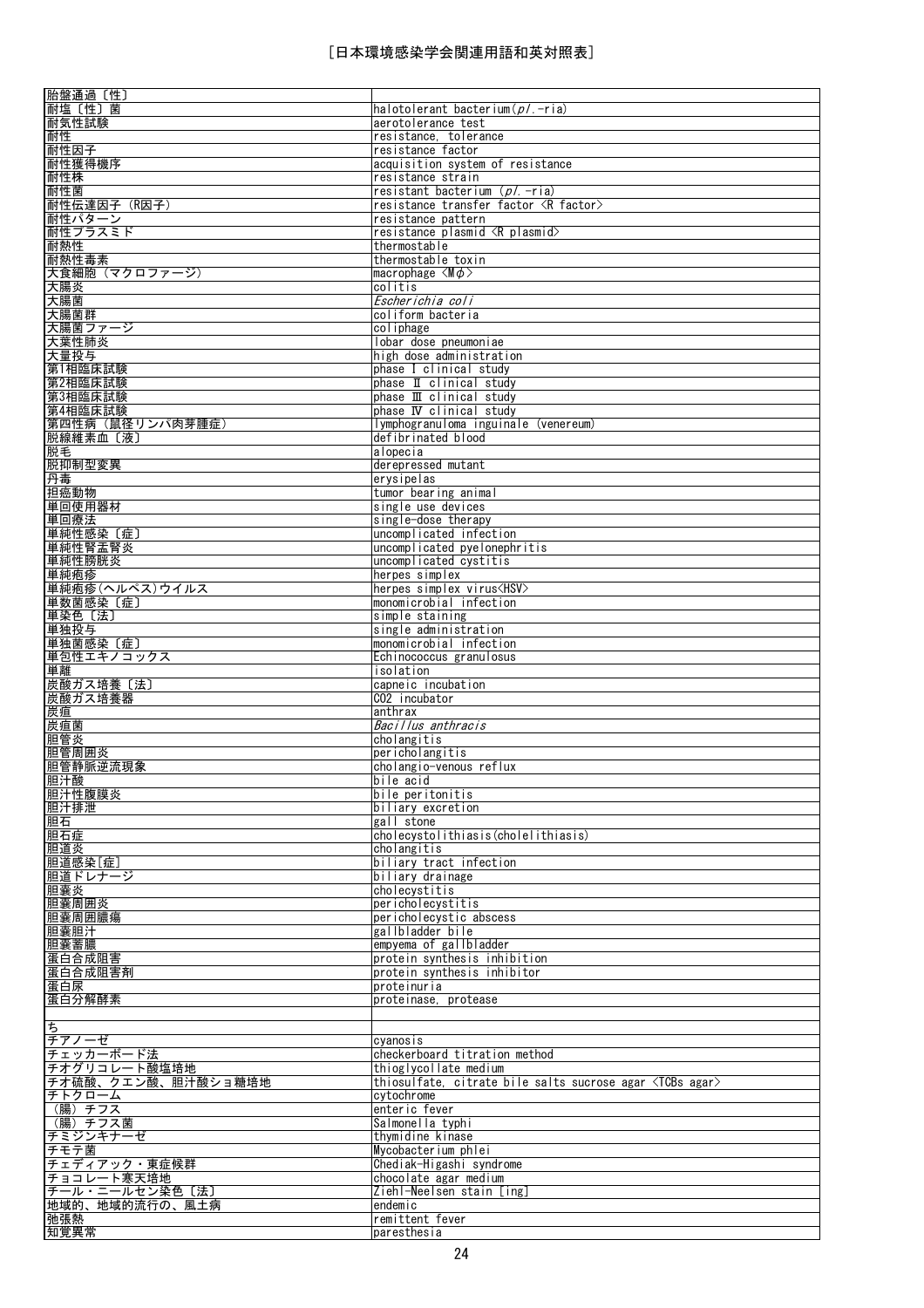| 胎盤通過〔性〕                  |                                                                    |
|--------------------------|--------------------------------------------------------------------|
| 耐塩〔性〕菌                   | halotolerant bacterium(p/.-ria)                                    |
| 耐気性試験                    | aerotolerance test                                                 |
| 耐性                       | resistance, tolerance                                              |
| 耐性因子                     | resistance factor                                                  |
| 耐性獲得機序                   | acquisition system of resistance                                   |
|                          |                                                                    |
| 耐性株                      | resistance strain                                                  |
| 耐性菌                      | resistant bacterium ( <i>pl.</i> -ria)                             |
| 耐性伝達因子 (R因子)             | resistance transfer factor <r factor=""></r>                       |
| 耐性パターン                   | resistance pattern                                                 |
| 耐性プラスミド                  | resistance plasmid <r plasmid=""></r>                              |
| 耐熱性                      | thermostable                                                       |
| 耐熱性毒素                    | thermostable toxin                                                 |
| 大食細胞 (マクロファージ)           |                                                                    |
|                          | macrophage $\langle M\phi\rangle$                                  |
| 大腸炎                      | colitis                                                            |
| 大腸菌                      | Escherichia coli                                                   |
| 大腸菌群                     | coliform bacteria                                                  |
| 大腸菌ファージ                  | coliphage                                                          |
| 大葉性肺炎                    | lobar dose pneumoniae                                              |
| 大量投与                     | high dose administration                                           |
| 第1相臨床試験                  | phase I clinical study                                             |
|                          |                                                                    |
| 第2相臨床試験                  | phase II clinical study                                            |
| 第3相臨床試験                  | phase III clinical study                                           |
| 第4相臨床試験                  | phase IV clinical study                                            |
| 第四性病 (鼠径リンパ肉芽腫症)         | lymphogranuloma inguinale (venereum)                               |
| 脱線維素血〔液〕                 | defibrinated blood                                                 |
| 脱毛                       | alopecia                                                           |
| 脱抑制型変異                   | derepressed mutant                                                 |
| 丹毒                       | erysipelas                                                         |
| 担癌動物                     |                                                                    |
|                          | tumor bearing animal                                               |
| 単回使用器材                   | single use devices                                                 |
| 単回療法                     | single-dose therapy                                                |
| 単純性感染〔症〕                 | uncomplicated infection                                            |
| 単純性腎盂腎炎                  | uncomplicated pyelonephritis                                       |
| 単純性膀胱炎                   | uncomplicated cystitis                                             |
| 単純疱疹                     | herpes simplex                                                     |
| 単純疱疹(ヘルペス)ウイルス           | herpes simplex virus <hsv></hsv>                                   |
| 単数菌感染〔症〕                 | monomicrobial infection                                            |
|                          |                                                                    |
| 単染色〔法〕                   | simple staining                                                    |
| 単独投与                     | single administration                                              |
| 単独菌感染〔症〕                 | monomicrobial infection                                            |
| 単包性エキノコックス               | Echinococcus granulosus                                            |
| 単離                       | isolation                                                          |
| 炭酸ガス培養〔法〕                | capneic incubation                                                 |
| 炭酸ガス培養器                  | CO2 incubator                                                      |
|                          | anthrax                                                            |
|                          |                                                                    |
|                          |                                                                    |
| 炭疽<br>炭疽菌                | Bacillus anthracis                                                 |
| 胆管炎                      | cholangitis                                                        |
|                          | pericholangitis                                                    |
|                          | cholangio-venous reflux                                            |
| 胆管周囲炎<br>胆管静脈逆流現象<br>胆汁酸 | bile acid                                                          |
| 胆汁性腹膜炎                   | bile peritonitis                                                   |
| 胆汁排泄                     | biliary excretion                                                  |
| 胆石                       | gall stone                                                         |
|                          | cholecystolithiasis(cholelithiasis)                                |
| 胆石症<br>胆道炎               | cholangitis                                                        |
| 胆道感染[症]                  |                                                                    |
|                          | biliary tract infection                                            |
| 胆道ドレナージ                  | biliary drainage                                                   |
| 胆囊炎                      | cholecystitis                                                      |
|                          | pericholecystitis                                                  |
| 胆囊周囲炎<br>胆囊周囲膿瘍          | pericholecystic abscess                                            |
|                          | gallbladder bile                                                   |
| 胆囊蓄膿                     | empyema of gallbladder                                             |
| 胆囊胆汁<br>蛋白合成阻害           | protein synthesis inhibition                                       |
| 蛋白合成阻害剤                  | protein synthesis inhibitor                                        |
| 蛋白尿                      | proteinuria                                                        |
|                          |                                                                    |
| 蛋白分解酵素                   | proteinase, protease                                               |
|                          |                                                                    |
| ち                        |                                                                    |
| チアノーゼ                    | cyanosis                                                           |
| チェッカーボード法                | checkerboard titration method                                      |
|                          | thioglycollate medium                                              |
| チオ硫酸、クエン酸、胆汁酸ショ糖培地       | thiosulfate, citrate bile salts sucrose agar <tcbs agar=""></tcbs> |
| チトクローム                   | cytochrome                                                         |
| (腸)チフス                   | enteric fever                                                      |
| チオグリコレート酸塩培地<br>(腸)チフス菌  | Salmonella typhi                                                   |
| チミジンキナーゼ                 | thymidine kinase                                                   |
|                          |                                                                    |
| チモテ菌                     | Mycobacterium phlei                                                |
| チェディアック・東症候群             | Chediak-Higashi syndrome                                           |
| チョコレート寒天培地               | chocolate agar medium                                              |
| チール・ニールセン染色〔法〕           | Ziehl-Neelsen stain [ing]                                          |
| 地域的、地域的流行の、風土病           | endemic                                                            |
| 弛張熱<br>知覚異常              | remittent fever<br>paresthesia                                     |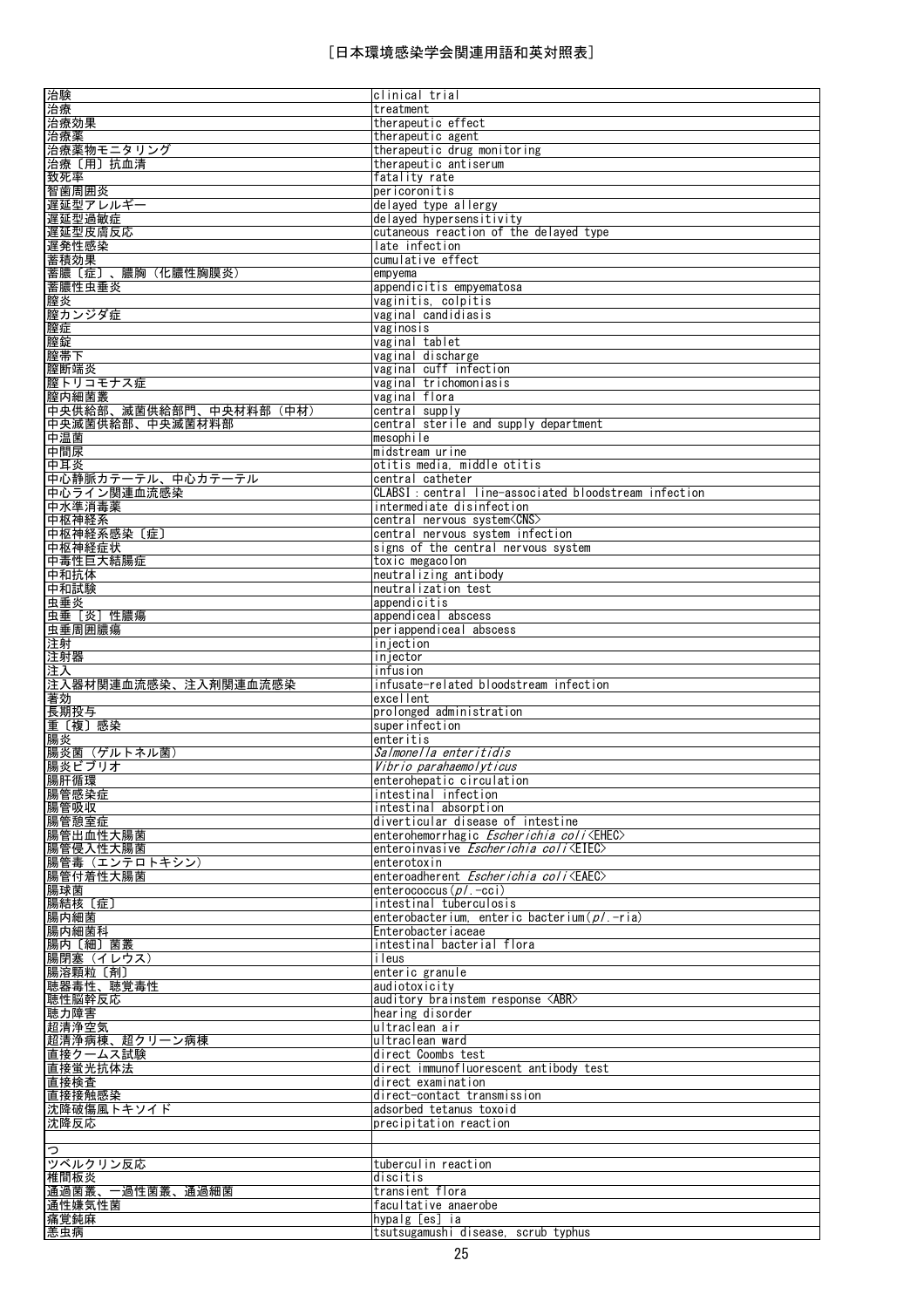| 治験<br>治療                                   | clinical trial<br>treatment                                                         |
|--------------------------------------------|-------------------------------------------------------------------------------------|
| 治療効果                                       | therapeutic effect                                                                  |
| 治療薬                                        | therapeutic agent                                                                   |
| 治療薬物モニタリング                                 | therapeutic drug monitoring                                                         |
| 治療〔用〕抗血清<br>致死率                            | therapeutic antiserum<br>fatality rate                                              |
| 智歯周囲炎                                      | pericoronitis                                                                       |
| 遅延型アレルギー                                   | delayed type allergy                                                                |
| 遅延型過敏症                                     | delayed hypersensitivity                                                            |
| 遅延型皮膚反応                                    | cutaneous reaction of the delayed type                                              |
| 遅発性感染<br>蓄積効果                              | late infection<br>cumulative effect                                                 |
| 蓄膿〔症〕、膿胸(化膿性胸膜炎)                           | empyema                                                                             |
| 蓄膿性虫垂炎                                     | appendicitis empyematosa                                                            |
| 膣炎                                         | vaginitis, colpitis                                                                 |
| 膣カンジダ症                                     | vaginal candidiasis                                                                 |
| 膣症<br>膣錠                                   | vaginosis<br>vaginal tablet                                                         |
| 膣帯下                                        | vaginal discharge                                                                   |
| 膣断端炎                                       | vaginal cuff infection                                                              |
| 膣トリコモナス症                                   | vaginal trichomoniasis                                                              |
| 膣内細菌叢                                      | vaginal flora                                                                       |
| 中央供給部、滅菌供給部門、中央材料部 (中材)<br>中央滅菌供給部、中央滅菌材料部 | central supply<br>central sterile and supply department                             |
| 中温菌                                        | mesophile                                                                           |
| 中間尿                                        | midstream urine                                                                     |
| 中耳炎                                        | otitis media, middle otitis                                                         |
| 中心静脈カテーテル、中心カテーテル                          | central catheter                                                                    |
| 中心ライン関連血流感染<br>中水準消毒薬                      | CLABSI : central line-associated bloodstream infection<br>intermediate disinfection |
| 中枢神経系                                      | central nervous system <cns></cns>                                                  |
| 中枢神経系感染 〔症〕                                | central nervous system infection                                                    |
| 中枢神経症状                                     | signs of the central nervous system                                                 |
| 中毒性巨大結腸症<br>中和抗体                           | toxic megacolon<br>neutralizing antibody                                            |
| 中和試験                                       | neutralization test                                                                 |
| 虫垂炎                                        | appendicitis                                                                        |
| 虫垂 [炎] 性膿瘍                                 | appendiceal abscess                                                                 |
| 虫垂周囲膿瘍                                     | periappendiceal abscess                                                             |
| 注射<br>注射器                                  | injection<br>injector                                                               |
| 注入                                         | infusion                                                                            |
| 注入器材関連血流感染、注入剤関連血流感染                       | infusate-related bloodstream infection                                              |
| 著効                                         | excellent                                                                           |
| 長期投与<br>重〔複〕感染                             | prolonged administration<br>superinfection                                          |
| 腸炎                                         | enteritis                                                                           |
| 腸炎菌 (ゲルトネル菌)                               | Salmonella enteritidis                                                              |
| 腸炎ビブリオ                                     | Vibrio parahaemolyticus                                                             |
| 腸肝循環<br>腸管感染症                              | enterohepatic circulation<br>intestinal infection                                   |
| 腸管吸収                                       | intestinal absorption                                                               |
| 腸管憩室症                                      | diverticular disease of intestine                                                   |
| 腸管出血性大腸菌                                   | enterohemorrhagic <i>Escherichia coli</i> <ehec></ehec>                             |
| 腸管侵入性大腸菌                                   | enteroinvasive Escherichia coli <eiec></eiec>                                       |
| 腸管毒 (エンテロトキシン)<br>腸管付着性大腸菌                 | enterotoxin<br>enteroadherent Escherichia coli <eaec></eaec>                        |
| 腸球菌                                        | enterococcus $(p/$ . -cci)                                                          |
| 腸結核 〔症〕                                    | intestinal tuberculosis                                                             |
| 腸内細菌                                       | enterobacterium, enteric bacterium $(p/-$ ria)                                      |
| 腸内細菌科<br>腸内〔細〕菌叢                           | Enterobacter i aceae<br>intestinal bacterial flora                                  |
| 腸閉塞(イレウス)                                  | ileus                                                                               |
| 腸溶顆粒〔剤〕                                    | enteric granule                                                                     |
| 聴器毒性、聴覚毒性                                  | audiotoxicity                                                                       |
| 聴性脳幹反応<br>聴力障害                             | auditory brainstem response <abr><br/>hearing disorder</abr>                        |
| 超清浄空気                                      | ultraclean air                                                                      |
| 超清浄病棟、超クリーン病棟                              | ultraclean ward                                                                     |
| 直接クームス試験                                   | direct Coombs test                                                                  |
| 直接蛍光抗体法                                    | direct immunofluorescent antibody test                                              |
| 直接検査<br>直接接触感染                             | direct examination<br>direct-contact transmission                                   |
| 沈降破傷風トキソイド                                 | adsorbed tetanus toxoid                                                             |
| 沈降反応                                       | precipitation reaction                                                              |
|                                            |                                                                                     |
| b<br>ツベルクリン反応                              | tuberculin reaction                                                                 |
| 椎間板炎                                       | discitis                                                                            |
| 通過菌叢、一過性菌叢、通過細菌                            | transient flora                                                                     |
| 通性嫌気性菌                                     | facultative anaerobe                                                                |
| 痛覚鈍麻<br>恙虫病                                | hypalg [es] ia<br>tsutsugamushi disease, scrub typhus                               |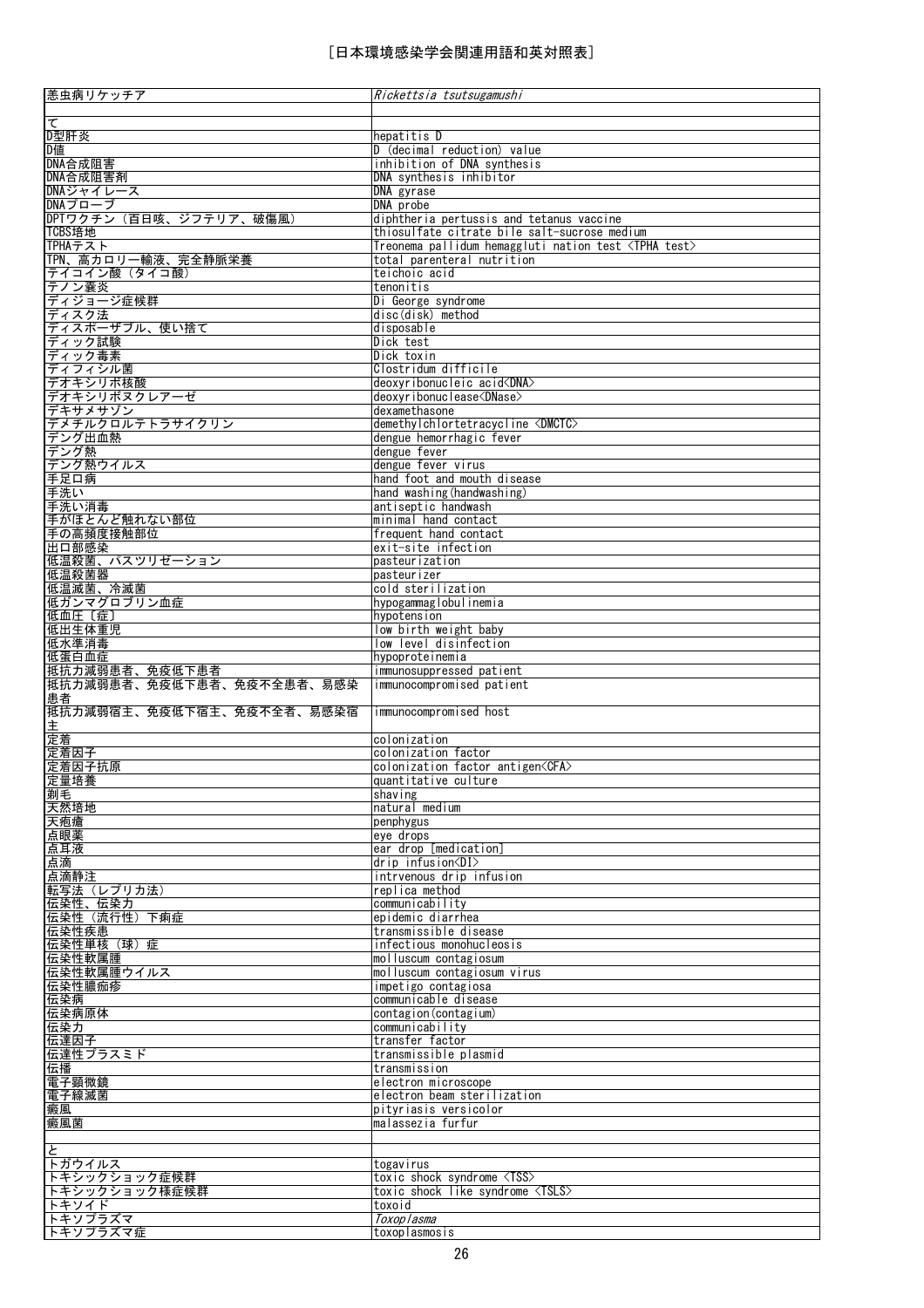| 恙虫病リケッチア                                                                                                                             | Rickettsia tsutsugamushi                                                     |
|--------------------------------------------------------------------------------------------------------------------------------------|------------------------------------------------------------------------------|
| $\overline{\tau}$                                                                                                                    |                                                                              |
| D型肝炎                                                                                                                                 | hepatitis D                                                                  |
| - <del>- -------</del><br>D値<br>DNA合成阻害                                                                                              | D (decimal reduction) value                                                  |
|                                                                                                                                      | inhibition of DNA synthesis                                                  |
| DNA合成阻害剤<br>DNAジャイレース                                                                                                                | DNA synthesis inhibitor<br>DNA gyrase                                        |
| DNAプローブ                                                                                                                              | DNA probe                                                                    |
| DPTワクチン(百日咳、ジフテリア、破傷風)                                                                                                               | diphtheria pertussis and tetanus vaccine                                     |
| TCBS培地                                                                                                                               | thiosulfate citrate bile salt-sucrose medium                                 |
| TPHAテスト                                                                                                                              | Treonema pallidum hemaggluti nation test <tpha test=""></tpha>               |
| TPN、高カロリー輸液、完全静脈栄養                                                                                                                   | total parenteral nutrition                                                   |
| テイコイン酸(タイコ酸)                                                                                                                         | teichoic acid                                                                |
| テノン嚢炎                                                                                                                                | tenonitis                                                                    |
| ディジョージ症候群<br>ディスク法                                                                                                                   | Di George syndrome                                                           |
|                                                                                                                                      | disc(disk) method                                                            |
| ディスポーザブル、使い捨て<br>ディック試験                                                                                                              | disposable                                                                   |
| ディック毒素                                                                                                                               | Dick test<br>Dick toxin                                                      |
| ディフィシル菌                                                                                                                              | Clostridum difficile                                                         |
| デオキシリボ核酸                                                                                                                             | deoxyribonucleic acid <dna></dna>                                            |
| デオキシリボヌクレアーゼ                                                                                                                         | deoxyribonuclease <dnase></dnase>                                            |
| デキサメサゾン                                                                                                                              | dexamethasone                                                                |
| デメチルクロルテトラサイクリン <br> デング出血熱                                                                                                          | demethylchlortetracycline <dmctc></dmctc>                                    |
|                                                                                                                                      | dengue hemorrhagic fever                                                     |
|                                                                                                                                      | dengue fever                                                                 |
|                                                                                                                                      | dengue fever virus                                                           |
|                                                                                                                                      | hand foot and mouth disease                                                  |
| テング<br>デングが熱しているので、<br>子子足の病<br>手子足の病の消毒<br>子足にはとんど触れない部位<br>子足の部の腹膜接触部位<br>子の高部度接触部位<br>コロロの部の<br>出血の部の<br>出血の部の<br>出血のの意味<br>およいない | hand washing (handwashing)<br>antiseptic handwash                            |
|                                                                                                                                      | minimal hand contact                                                         |
|                                                                                                                                      | frequent hand contact                                                        |
|                                                                                                                                      | exit-site infection                                                          |
| 低温殺菌、パスツリゼーション                                                                                                                       | pasteurization                                                               |
| 低温殺菌器                                                                                                                                | pasteurizer                                                                  |
| 低温滅菌、冷滅菌                                                                                                                             | cold sterilization                                                           |
| 低ガンマグロブリン血症                                                                                                                          | hypogammaglobulinemia                                                        |
| 低血圧〔症〕                                                                                                                               | hypotension                                                                  |
| 低出生体重児                                                                                                                               | low birth weight baby                                                        |
| 低水準消毒<br>低蛋白血症                                                                                                                       | low level disinfection<br>hypoproteinemia                                    |
| 抵抗力減弱患者、免疫低下患者                                                                                                                       | immunosuppressed patient                                                     |
| 抵抗力減弱患者、免疫低下患者、免疫不全患者、易感染                                                                                                            | immunocompromised patient                                                    |
| 患者                                                                                                                                   |                                                                              |
| 抵抗力減弱宿主、免疫低下宿主、免疫不全者、易感染宿                                                                                                            | immunocompromised host                                                       |
| 主<br>定着<br>定着因子                                                                                                                      |                                                                              |
|                                                                                                                                      | colonization                                                                 |
|                                                                                                                                      | colonization factor                                                          |
| ————————————————————<br>定量培養                                                                                                         | colonization factor antigen <cfa><br/>quantitative culture</cfa>             |
|                                                                                                                                      | shaving                                                                      |
| <u>と当拍受</u><br><u>剃毛<br/>天然培地</u>                                                                                                    | natural medium                                                               |
|                                                                                                                                      | penphygus                                                                    |
| 天疱瘡<br>点眼薬                                                                                                                           | eye drops                                                                    |
| 点耳液<br>点滴                                                                                                                            | ear drop [medication]                                                        |
|                                                                                                                                      | $dr$ ip infusion $\langle DI \rangle$                                        |
| 点滴静注                                                                                                                                 | intrvenous drip infusion                                                     |
| 転写法 (レプリカ法)                                                                                                                          | replica method                                                               |
| 伝染性、伝染力<br>伝染性 (流行性) 下痢症                                                                                                             | communicability<br>epidemic diarrhea                                         |
| 伝染性疾患                                                                                                                                | transmissible disease                                                        |
| 伝染性単核 (球)症                                                                                                                           | infectious monohucleosis                                                     |
| 伝染性軟属腫                                                                                                                               | molluscum contagiosum                                                        |
|                                                                                                                                      | molluscum contagiosum virus                                                  |
| 伝染性軟属腫ウイルス<br>伝染性膿痂疹                                                                                                                 | impetigo contagiosa                                                          |
| 伝染病                                                                                                                                  | communicable disease                                                         |
| 伝染病原体                                                                                                                                | contagion (contagium)                                                        |
| 伝染力<br>伝達因子                                                                                                                          | communicability<br>transfer factor                                           |
|                                                                                                                                      | transmissible plasmid                                                        |
| 伝達性プラスミド<br>伝播                                                                                                                       | transmission                                                                 |
| 電子顕微鏡                                                                                                                                | electron microscope                                                          |
| 電子線滅菌                                                                                                                                | electron beam sterilization                                                  |
| 癜風                                                                                                                                   | pityriasis versicolor                                                        |
| 癜風菌                                                                                                                                  | malassezia furfur                                                            |
|                                                                                                                                      |                                                                              |
| と                                                                                                                                    |                                                                              |
| トガウイルス                                                                                                                               | togavirus                                                                    |
| トキシックショック症候群<br>トキシックショック様症候群                                                                                                        | toxic shock syndrome <tss><br/>toxic shock like syndrome <tsls></tsls></tss> |
| トキソイド                                                                                                                                | toxoid                                                                       |
| トキソプラズマ                                                                                                                              | Toxoplasma                                                                   |
| トキソプラズマ症                                                                                                                             | toxoplasmosis                                                                |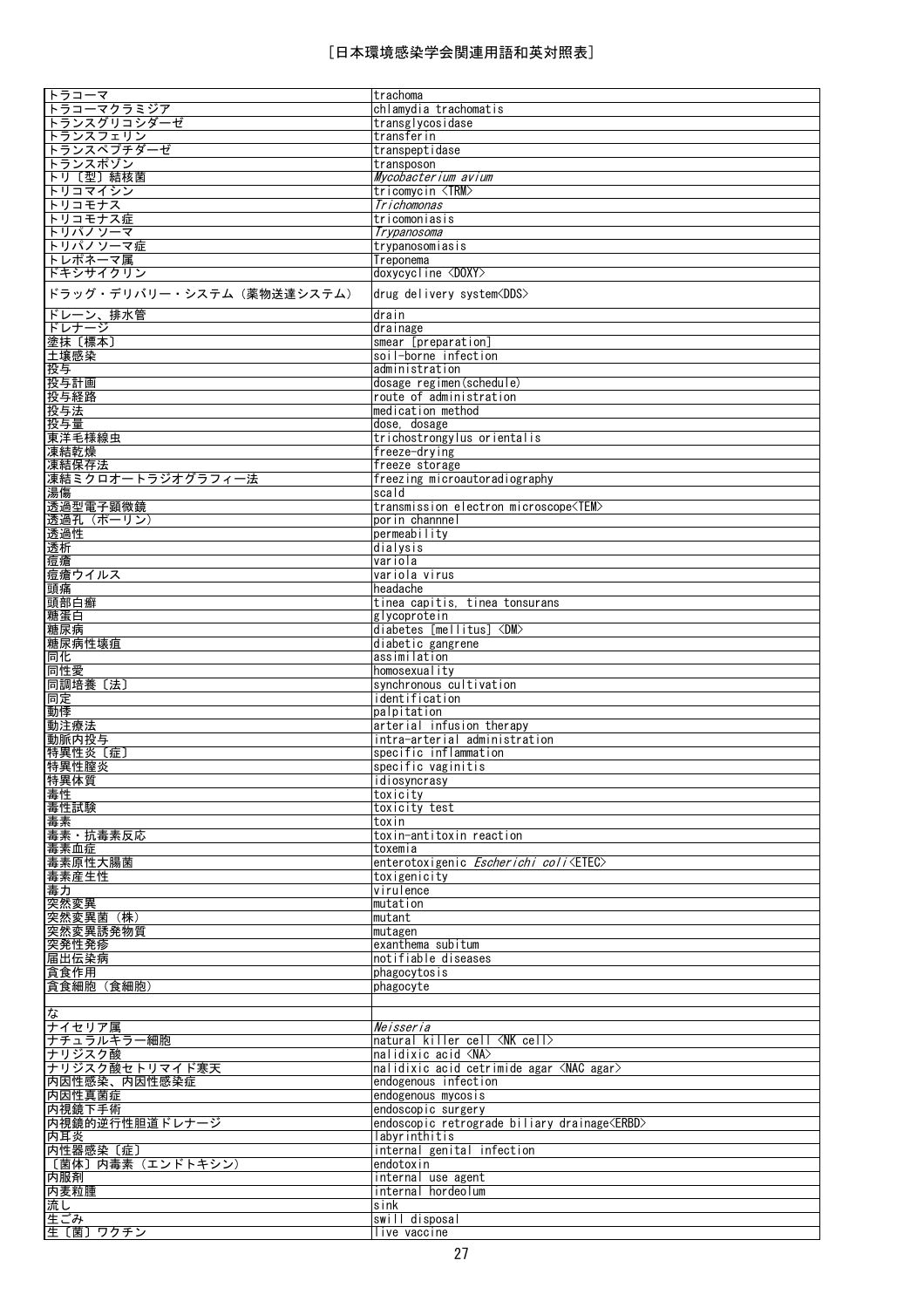| トラコーマ                      | trachoma                                             |
|----------------------------|------------------------------------------------------|
| トラコーマクラミジア                 | chlamydia trachomatis                                |
|                            |                                                      |
| トランスグリコシダーゼ                | transglycosidase                                     |
| トランスフェリン                   | transferin                                           |
| トランスペプチダーゼ                 | transpeptidase                                       |
| トランスポゾン                    | transposon                                           |
| トリ〔型〕結核菌                   | Mycobacterium avium                                  |
| トリコマイシン                    | tricomycin <trm></trm>                               |
| トリコモナス                     |                                                      |
|                            | Trichomonas                                          |
| トリコモナス症                    | tricomoniasis                                        |
| トリパノソーマ                    | Trypanosoma                                          |
| トリパノソーマ症                   | trypanosomiasis                                      |
| トレポネーマ属                    | Treponema                                            |
| ドキシサイクリン                   | doxycycline <doxy></doxy>                            |
|                            |                                                      |
| ドラッグ・デリバリー・システム (薬物送達システム) | drug delivery system <dds></dds>                     |
|                            |                                                      |
| ドレーン、排水管                   | drain                                                |
| ドレナージ                      | drainage                                             |
| 塗抹 [標本]                    | smear [preparation]                                  |
| 土壌感染                       | soil-borne infection                                 |
| 投与                         | administration                                       |
| 投与計画                       | dosage regimen (schedule)                            |
| 投与経路                       | route of administration                              |
|                            |                                                      |
| 投与法                        | medication method                                    |
| 投与量                        | dose, dosage                                         |
| 東洋毛様線虫                     | trichostrongylus orientalis                          |
| 凍結乾燥                       | freeze-drving                                        |
| 凍結保存法                      | freeze storage                                       |
| 凍結ミクロオートラジオグラフィー法          | freezing microautoradiography                        |
| 湯傷                         | scald                                                |
|                            |                                                      |
| 透過型電子顕微鏡                   | transmission electron microscope <tem></tem>         |
| 透過孔(ポーリン)                  | porin channnel                                       |
| 透過性                        | permeability                                         |
| 透析                         | dialysis                                             |
| 痘瘡                         | variola                                              |
| 痘瘡ウイルス                     | variola virus                                        |
| 頭痛                         | headache                                             |
| 頭部白癬                       | tinea capitis, tinea tonsurans                       |
|                            |                                                      |
| 糖蛋白                        | glycoprotein                                         |
| 糖尿病                        | diabetes [mellitus] <dm></dm>                        |
| 糖尿病性壊疽                     | diabetic gangrene                                    |
| 同化                         | assimilation                                         |
| 同性愛                        | homosexuality                                        |
| 同調培養〔法〕                    | synchronous cultivation                              |
| 同定                         | identification                                       |
| 動悸                         | palpitation                                          |
|                            |                                                      |
| 動注療法                       | arterial infusion therapy                            |
| 動脈内投与                      | intra-arterial administration                        |
| 特異性炎〔症〕                    | specific inflammation                                |
| 特異性膣炎                      | specific vaginitis                                   |
| 特異体質                       | <u>idiosyncrasy</u>                                  |
| 毒性                         | toxicity                                             |
| 毒性試験                       | toxicity test                                        |
| 毒素                         | toxin                                                |
|                            |                                                      |
| 毒素·抗毒素反応                   | toxin-antitoxin reaction                             |
| 毒素血症                       | toxemia                                              |
| 毒素原性大腸菌                    | enterotoxigenic <i>Escherichi coli</i> <etec></etec> |
| 毒素産生性                      | toxigenicity                                         |
| 毒力                         | virulence                                            |
| 突然変異                       | mutation                                             |
| 突然変異菌 (株)                  | mutant                                               |
| 突然変異誘発物質                   | mutagen                                              |
| 突発性発疹                      | exanthema subitum                                    |
| 届出伝染病                      | notifiable diseases                                  |
|                            |                                                      |
| 貪食作用                       | phagocytosis                                         |
| 貪食細胞 (食細胞)                 | phagocyte                                            |
|                            |                                                      |
| な                          |                                                      |
| ナイセリア属                     | Neisseria                                            |
| ナチュラルキラー細胞                 | natural killer cell <nk cell=""></nk>                |
| ナリジスク酸                     | nalidixic acid <na></na>                             |
| ナリジスク酸セトリマイド寒天             | nalidixic acid cetrimide agar <nac agar=""></nac>    |
| 内因性感染、内因性感染症               | endogenous infection                                 |
|                            |                                                      |
| 内因性真菌症                     | endogenous mycosis                                   |
| 内視鏡下手術                     | endoscopic surgery                                   |
| 内視鏡的逆行性胆道ドレナージ             | endoscopic retrograde biliary drainage <erbd></erbd> |
| 内耳炎                        | labyrinthitis                                        |
| 内性器感染〔症〕                   | internal genital infection                           |
| 〔菌体〕内毒素 (エンドトキシン)          | endotoxin                                            |
| 内服剤                        | internal use agent                                   |
| 内麦粒腫                       | internal hordeolum                                   |
| 流し                         | sink                                                 |
| 生ごみ                        | swill disposal                                       |
|                            |                                                      |
| 生〔菌〕ワクチン                   | live vaccine                                         |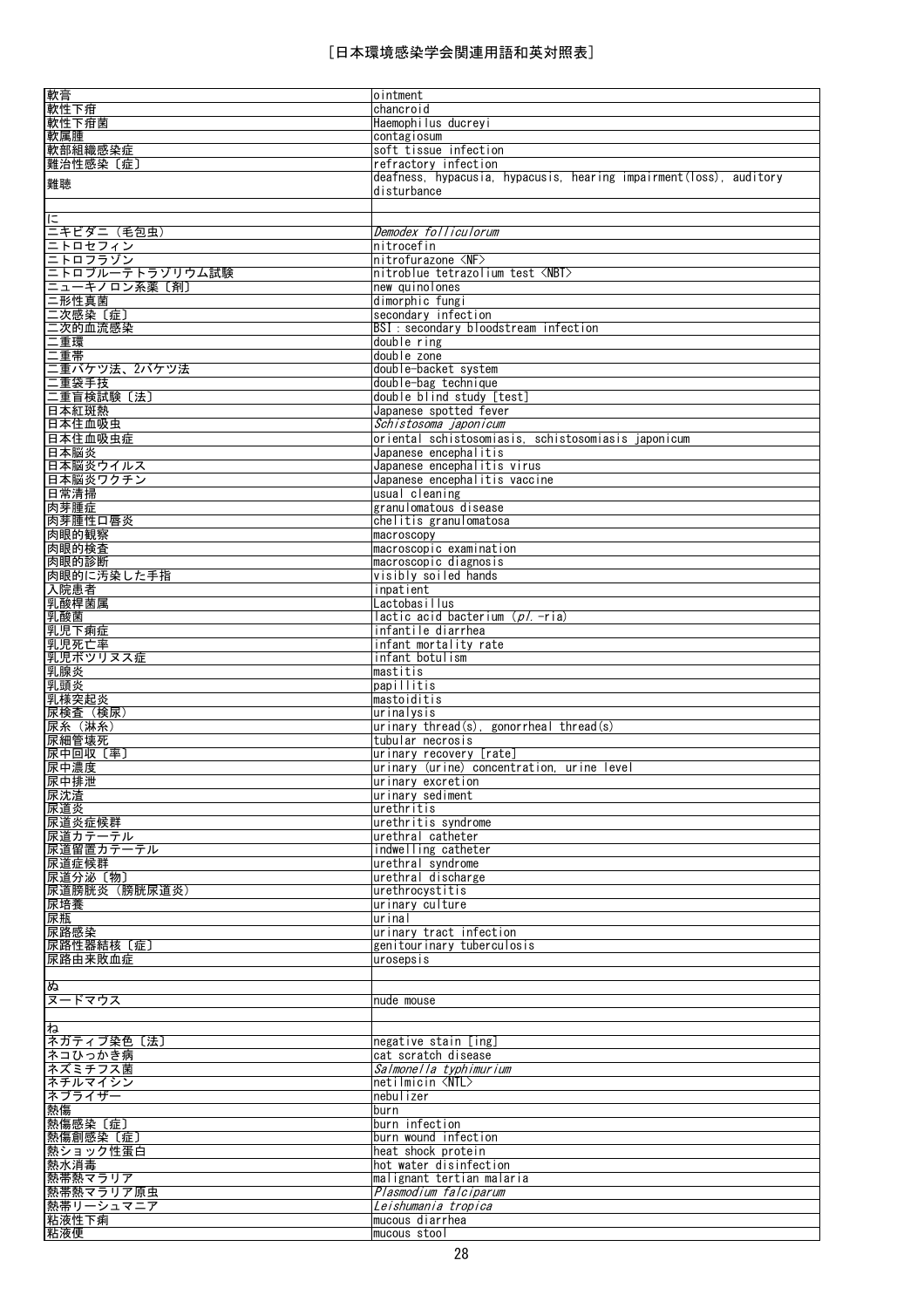| 軟膏                                                                                                          | ointment                                                                     |
|-------------------------------------------------------------------------------------------------------------|------------------------------------------------------------------------------|
| 軟性下疳                                                                                                        | chancroid                                                                    |
| 軟性下疳菌                                                                                                       | Haemophilus ducreyi                                                          |
| 軟属腫                                                                                                         | contagiosum<br>soft tissue infection                                         |
| 軟部組織感染症<br>難治性感染〔症〕                                                                                         | refractory infection                                                         |
|                                                                                                             | deafness, hypacusia, hypacusis, hearing impairment(loss), auditory           |
| 難聴                                                                                                          | disturbance                                                                  |
|                                                                                                             |                                                                              |
| に                                                                                                           |                                                                              |
| 二キビダニ (毛包虫)                                                                                                 | Demodex folliculorum                                                         |
| ニトロセフィン<br>ニトロフラゾン                                                                                          | nitrocefin                                                                   |
|                                                                                                             | nitrofurazone <nf></nf>                                                      |
| ニトロブルーテトラゾリウム試験                                                                                             | nitroblue tetrazolium test <nbt></nbt>                                       |
| <u>ニューキノロン系薬〔剤〕</u><br>二形性真菌                                                                                | new quinolones<br>dimorphic fungi                                            |
|                                                                                                             | secondary infection                                                          |
|                                                                                                             | BSI : secondary bloodstream infection                                        |
|                                                                                                             | double ring                                                                  |
| ー形性展開<br>二次感的血流感染<br>二 <u>二次的血流感染<br/>二重環境<br/>二重量帯の功法、2パケツ法<br/>二重量音検試験〔法〕<br/>三重音標試験〔法〕<br/>三重音標試験〔法〕</u> | double zone                                                                  |
|                                                                                                             | double-backet system                                                         |
|                                                                                                             | double-bag technique                                                         |
|                                                                                                             | double blind study [test]                                                    |
| 日本紅斑熱                                                                                                       | Japanese spotted fever                                                       |
| 日本住血吸虫                                                                                                      | Schistosoma japonicum                                                        |
| 日本住血吸虫症<br>日本脳炎                                                                                             | oriental schistosomiasis, schistosomiasis iaponicum<br>Japanese encephalitis |
| 日本脳炎ウイルス                                                                                                    | Japanese encephalitis virus                                                  |
| 日本脳炎ワクチン                                                                                                    | Japanese encephalitis vaccine                                                |
| 日常清掃                                                                                                        | usual cleaning                                                               |
| 肉芽腫症                                                                                                        | granulomatous disease                                                        |
| 肉芽腫性口唇炎                                                                                                     | chelitis granulomatosa                                                       |
| 肉眼的観察                                                                                                       | macroscopy                                                                   |
| 肉眼的検査                                                                                                       | macroscopic examination                                                      |
| 肉眼的診断                                                                                                       | macroscopic diagnosis                                                        |
| 肉眼的に汚染した手指                                                                                                  | visibly soiled hands                                                         |
| 入院患者<br>乳酸桿菌属                                                                                               | inpatient<br>Lactobasillus                                                   |
| 乳酸菌                                                                                                         | lactic acid bacterium (p/ -ria)                                              |
| 乳児下痢症                                                                                                       | infantile diarrhea                                                           |
| 乳児死亡率                                                                                                       | infant mortality rate                                                        |
| 乳児ボツリヌス症                                                                                                    | infant botulism                                                              |
| 乳腺炎                                                                                                         | Imastitis                                                                    |
| 乳頭炎                                                                                                         | papillitis                                                                   |
| 乳様突起炎                                                                                                       | mastoiditis                                                                  |
| <u> 尿検査(検尿)</u>                                                                                             | urinalysis<br>$\mu$ inary thread(s), gonorrheal thread(s)                    |
| 尿糸(淋糸)<br>尿細管壊死                                                                                             | tubular necrosis                                                             |
| 尿中回収〔率〕                                                                                                     | urinary recovery [rate]                                                      |
| 尿中濃度                                                                                                        | urinary (urine) concentration, urine level                                   |
| 尿中排泄                                                                                                        | urinary excretion                                                            |
| 尿沈渣                                                                                                         | urinary sediment                                                             |
| 尿道炎                                                                                                         | urethritis                                                                   |
| 尿道炎症候群                                                                                                      | urethritis syndrome                                                          |
| 尿道カテーテル                                                                                                     | urethral catheter                                                            |
| 尿道留置カテーテル<br>尿道症候群                                                                                          | indwelling catheter<br>urethral syndrome                                     |
| 尿道分泌〔物〕                                                                                                     | urethral discharge                                                           |
| 尿道膀胱炎 (膀胱尿道炎)                                                                                               | urethrocystitis                                                              |
| 尿培養                                                                                                         | urinary culture                                                              |
| 尿瓶                                                                                                          | urinal                                                                       |
| 尿路感染                                                                                                        | urinary tract infection                                                      |
| 尿路性器結核〔症〕                                                                                                   | genitourinary tuberculosis                                                   |
| 尿路由来敗血症                                                                                                     | urosepsis                                                                    |
|                                                                                                             |                                                                              |
| ぬ<br>ヌードマウス                                                                                                 | nude mouse                                                                   |
|                                                                                                             |                                                                              |
| ね                                                                                                           |                                                                              |
| 不ガティブ染色〔法〕                                                                                                  | negative stain [ing]                                                         |
| ネコひっかき病                                                                                                     | cat scratch disease                                                          |
| ネズミチフス菌                                                                                                     | Salmonella typhimurium                                                       |
| ネチルマイシン                                                                                                     | netilmicin <ntl></ntl>                                                       |
| ネブライザー                                                                                                      | nebul izer                                                                   |
| 熱傷<br>熱傷感染〔症〕                                                                                               | burn<br>burn infection                                                       |
| 熱傷創感染〔症〕                                                                                                    | burn wound infection                                                         |
| 熱ショック性蛋白                                                                                                    | heat shock protein                                                           |
| 熱水消毒                                                                                                        | hot water disinfection                                                       |
| 熱帯熱マラリア                                                                                                     | malignant tertian malaria                                                    |
| 熱帯熱マラリア原虫                                                                                                   | Plasmodium falciparum                                                        |
| 熱帯リーシュマニア                                                                                                   | Leishumania tropica                                                          |
| 粘液性下痢                                                                                                       | mucous diarrhea                                                              |
| 粘液便                                                                                                         | mucous stool                                                                 |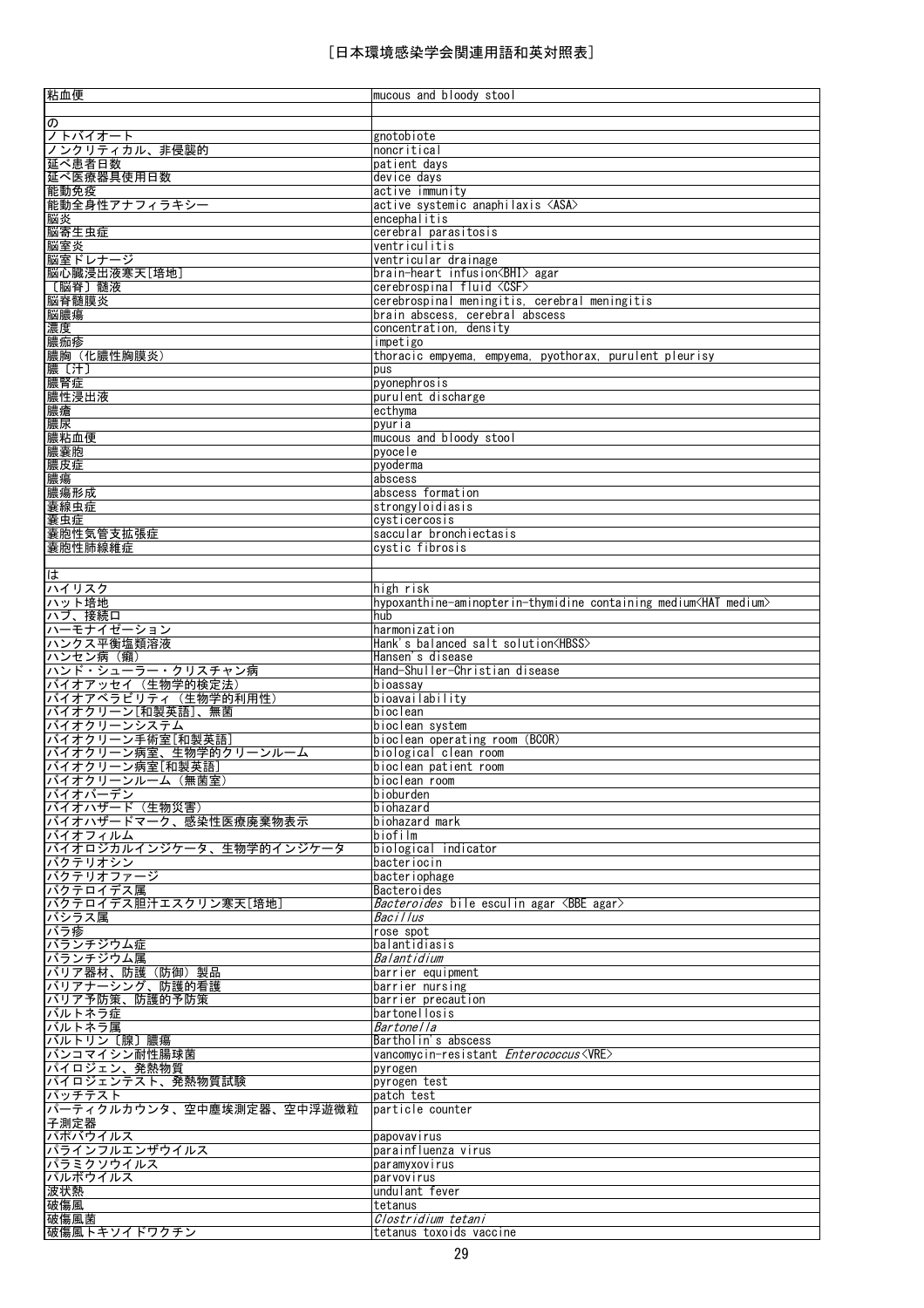| 粘血便                                                                                         | mucous and bloody stool                                                    |
|---------------------------------------------------------------------------------------------|----------------------------------------------------------------------------|
|                                                                                             |                                                                            |
| $\overline{\mathcal{D}}$                                                                    |                                                                            |
| <del>ジトバイオート</del><br>ノンクリティカル、非侵襲的                                                         | gnotobiote                                                                 |
|                                                                                             | noncritical                                                                |
| 延べ患者日数                                                                                      | patient days                                                               |
| 延べ医療器具使用日数                                                                                  | device days                                                                |
| 能動免疫                                                                                        | active immunity                                                            |
| 能動全身性アナフィラキシー                                                                               | active systemic anaphilaxis <asa></asa>                                    |
| 脳炎                                                                                          | encephalitis                                                               |
| 脳寄生虫症                                                                                       | cerebral parasitosis                                                       |
| 脳室炎                                                                                         | ventriculitis                                                              |
| 脳室ドレナージ                                                                                     | ventricular drainage                                                       |
| 脳心臓浸出液寒天[培地]                                                                                | brain-heart infusion <bhi> agar</bhi>                                      |
| 〔脳脊〕髄液                                                                                      | cerebrospinal fluid <csf></csf>                                            |
| 脳脊髄膜炎<br>脳膿瘍                                                                                | cerebrospinal meningitis, cerebral meningitis                              |
|                                                                                             | brain abscess, cerebral abscess                                            |
| 濃度                                                                                          | concentration, density                                                     |
| 膿痂疹                                                                                         | impetigo                                                                   |
|                                                                                             | thoracic empyema, empyema, pyothorax, purulent pleurisy                    |
|                                                                                             | pus                                                                        |
|                                                                                             | pyonephrosis                                                               |
|                                                                                             | purulent discharge                                                         |
| <u>[藤膿膿腫(汁)<br/>[膿膿腫(汁)<br/>[膿腫(汁)<br/>[臓臓臓炎   点<br/> 膿膿腫   点<br/> 悪膿腫   点<br/> 悪膿腫   点</u> | ecthyma                                                                    |
|                                                                                             | pyuria                                                                     |
| 膿粘血便                                                                                        | mucous and bloody stool                                                    |
| 膿囊胞                                                                                         | pyocele                                                                    |
| 膿皮症                                                                                         | pyoderma                                                                   |
| 膿瘍                                                                                          | abscess                                                                    |
| 膿瘍形成                                                                                        | abscess formation                                                          |
| <u>《囊線虫症</u><br>囊線虫症<br><u>囊胞性気管支拡張症</u>                                                    | strongyloidiasis                                                           |
|                                                                                             | cysticercosis                                                              |
|                                                                                             | saccular bronchiectasis                                                    |
| 囊胞性肺線維症                                                                                     | cystic fibrosis                                                            |
|                                                                                             |                                                                            |
| ば                                                                                           |                                                                            |
| ハイリスク                                                                                       | high risk                                                                  |
| <u>ハット培地</u><br>ハブ、接続口                                                                      | hypoxanthine-aminopterin-thymidine containing medium <hat medium=""></hat> |
|                                                                                             | hub                                                                        |
| <u>ハーモナイゼーション</u><br>ハンクス平衡塩類溶液                                                             | harmonization                                                              |
|                                                                                             | Hank's balanced salt solution <hbss></hbss>                                |
|                                                                                             | Hansen's disease                                                           |
|                                                                                             | Hand-Shuller-Christian disease                                             |
| バイオアッセイ (生物学的検定法)                                                                           | bioassay                                                                   |
| バイオアベラビリティ (生物学的利用性)                                                                        | bioavailability                                                            |
| <u>バイオクリーン[和製英語]、無菌</u><br>バイオクリーンシステム                                                      | bioclean                                                                   |
|                                                                                             | bioclean system                                                            |
| バイオクリーン手術室[和製英語]                                                                            | bioclean operating room (BCOR)                                             |
| バイオクリーン病室、生物学的クリーンルーム                                                                       | biological clean room                                                      |
| <u>バイオクリーン病室[和製英語]</u><br>バイオクリーンルーム (無菌室)                                                  | bioclean patient room                                                      |
| バイオバーデン                                                                                     | bioclean room<br>bioburden                                                 |
| バイオハザード (生物災害)                                                                              | biohazard                                                                  |
| バイオハザードマーク、感染性医療廃棄物表示                                                                       | biohazard mark                                                             |
| バイオフィルム                                                                                     | biofilm                                                                    |
| バイオロジカルインジケータ、生物学的インジケータ                                                                    | biological indicator                                                       |
| バクテリオシン                                                                                     | bacteriocin                                                                |
| バクテリオファージ                                                                                   | bacter i ophage                                                            |
| バクテロイデス属                                                                                    | Bacteroides                                                                |
| バクテロイデス胆汁エスクリン寒天[培地]                                                                        | <i>Bacteroides</i> bile esculin agar <bbe agar=""></bbe>                   |
| バシラス属                                                                                       | Bacillus                                                                   |
| バラ疹                                                                                         | rose spot                                                                  |
| バランチジウム症                                                                                    | balantidiasis                                                              |
| バランチジウム属                                                                                    | Balantidium                                                                |
| バリア器材、防護(防御)製品                                                                              | barrier equipment                                                          |
| バリアナーシング、防護的看護                                                                              | barrier nursing                                                            |
| バリア予防策、防護的予防策                                                                               | barrier precaution                                                         |
| バルトネラ症                                                                                      | bartonellosis                                                              |
| バルトネラ属                                                                                      | Bartonella                                                                 |
| バルトリン [腺] 膿瘍                                                                                | Bartholin's abscess                                                        |
| バンコマイシン耐性腸球菌                                                                                | vancomycin-resistant Enterococcus <vre></vre>                              |
| パイロジェン、発熱物質                                                                                 | pyrogen                                                                    |
| パイロジェンテスト、発熱物質試験                                                                            | pyrogen test                                                               |
| パッチテスト                                                                                      | patch test                                                                 |
| パーティクルカウンタ、空中塵埃測定器、空中浮遊微粒                                                                   | particle counter                                                           |
|                                                                                             |                                                                            |
| <mark>子測定器</mark><br>パポバウイルス                                                                | papovavirus                                                                |
| パラインフルエンザウイルス                                                                               | parainfluenza virus                                                        |
| パラミクソウイルス                                                                                   | paramyxovirus                                                              |
| パルボウイルス                                                                                     | parvovirus                                                                 |
| 波状熱                                                                                         | undulant fever                                                             |
| 破傷風                                                                                         | tetanus                                                                    |
| 破傷風菌                                                                                        | Clostridium tetani                                                         |
| 破傷風トキソイドワクチン                                                                                | tetanus toxoids vaccine                                                    |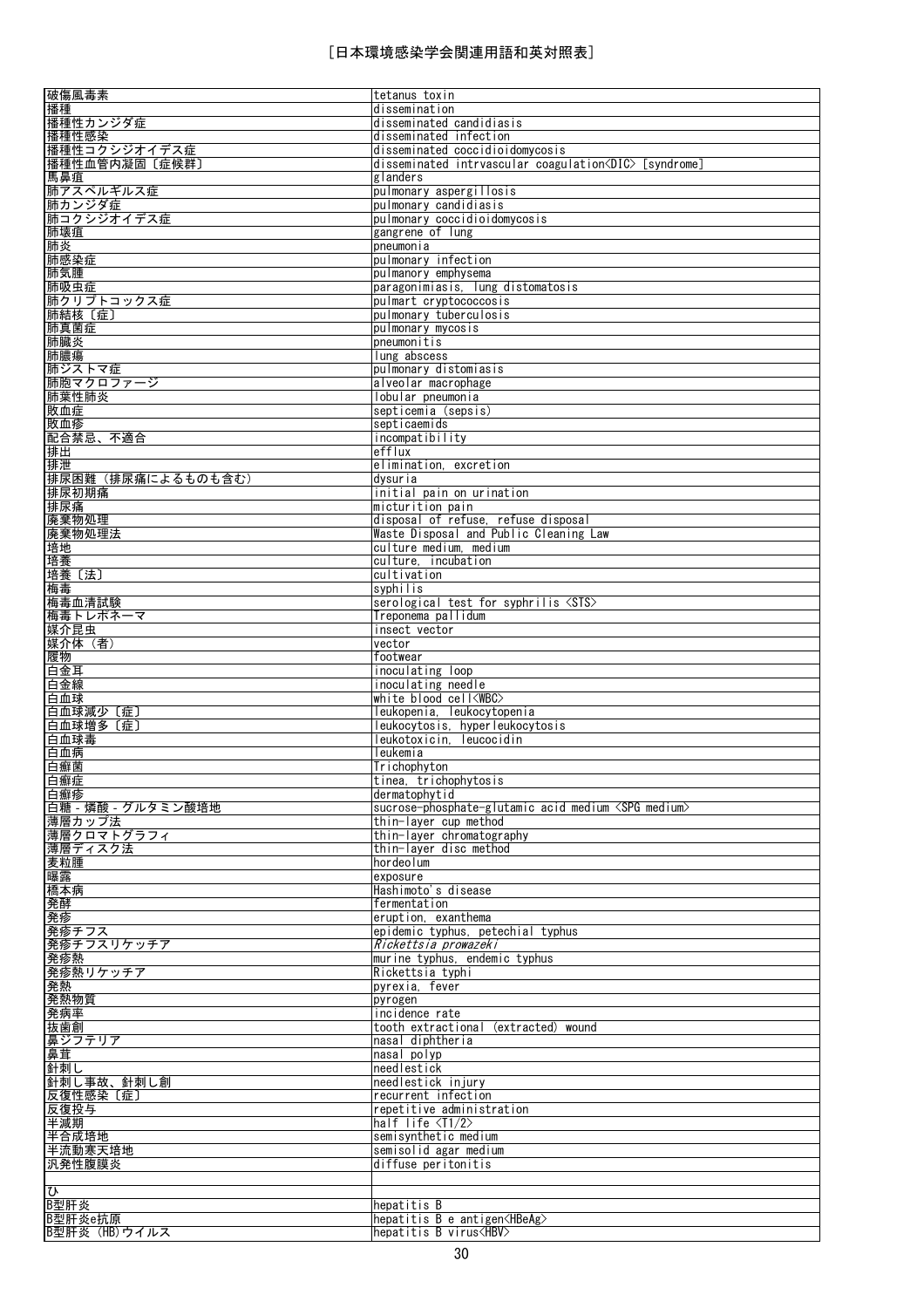| 破傷風毒素                           | tetanus toxin                                                |
|---------------------------------|--------------------------------------------------------------|
| 播種                              | dissemination                                                |
| 播種性カンジダ症                        | disseminated candidiasis                                     |
| 播種性感染                           | disseminated infection                                       |
| 播種性コクシジオイデス症                    | disseminated coccidioidomycosis                              |
|                                 | disseminated intrvascular coagulation <dic> [syndrome]</dic> |
| 播種性血管内凝固〔症候群〕                   |                                                              |
| 馬鼻疽                             | glanders                                                     |
| 肺アスペルギルス症                       | pulmonary aspergillosis                                      |
| 肺カンジダ症                          | pulmonary candidiasis                                        |
| 肺コクシジオイデス症                      | pulmonary coccidioidomycosis                                 |
| 肺壊疽                             | gangrene of lung                                             |
| 肺炎                              | pneumonia                                                    |
| 肺感染症                            | pulmonary infection                                          |
|                                 |                                                              |
| 肺気腫                             | pulmanory emphysema                                          |
| 肺吸虫症                            | paragonimiasis, lung distomatosis                            |
| 肺クリプトコックス症                      | pulmart cryptococcosis                                       |
| 肺結核〔症〕                          | pulmonary tuberculosis                                       |
| 肺真菌症                            | pulmonary mycosis                                            |
| 肺臓炎                             | pneumonitis                                                  |
| 肺膿瘍                             | lung abscess                                                 |
| 肺ジストマ症                          | pulmonary distomiasis                                        |
| 肺胞マクロファージ                       | alveolar macrophage                                          |
| 肺葉性肺炎                           | lobular pneumonia                                            |
|                                 |                                                              |
| 敗血症                             | septicemia (sepsis)                                          |
| 敗血疹                             | septicaemids                                                 |
| 配合禁忌、不適合                        | incompatibility                                              |
| 排出                              | efflux                                                       |
| 排泄                              | elimination, excretion                                       |
| 排尿困難 (排尿痛によるものも含む)              | dysuria                                                      |
| 排尿初期痛                           | initial pain on urination                                    |
| 排尿痛                             | micturition pain                                             |
| 廃棄物処理                           | disposal of refuse, refuse disposal                          |
|                                 |                                                              |
| 廃棄物処理法                          | Waste Disposal and Public Cleaning Law                       |
| 培地                              | culture medium, medium                                       |
| 培養                              | culture, incubation                                          |
| 培養〔法〕                           | cultivation                                                  |
| 梅毒                              | syphilis                                                     |
| 梅毒血清試験                          | serological test for syphrilis <sts></sts>                   |
| 梅毒トレポネーマ                        | Treponema pallidum                                           |
| 媒介昆虫                            | insect vector                                                |
| 媒介体 (者)                         | vector                                                       |
| 履物                              | footwear                                                     |
| 白金耳                             | inoculating loop                                             |
| 白金線                             | inoculating needle                                           |
|                                 | white blood cell <wbc></wbc>                                 |
| 白血球                             |                                                              |
| 白血球減少 〔症〕                       | leukopenia, leukocytopenia                                   |
| 白血球増多〔症〕                        | leukocytosis, hyperleukocytosis                              |
| 白血球毒                            | leukotoxicin, leucocidin                                     |
| 白血病                             | leukemia                                                     |
| 白癬菌                             | Trichophyton                                                 |
| 白癬症                             | tinea, trichophytosis                                        |
| 白癬疹                             | dermatophytid                                                |
| 白糖 - 燐酸 - グルタミン酸培地              | sucrose-phosphate-glutamic acid medium <spg medium=""></spg> |
| 薄層カップ法                          | thin-layer cup method                                        |
| 薄層クロマトグラフィ                      | thin-layer chromatography                                    |
| 薄層ディスク法                         | thin-layer disc method                                       |
| 麦粒腫                             | hordeolum                                                    |
| 曝露                              | exposure                                                     |
| 橋本病                             | Hashimoto's disease                                          |
| 発酵                              | fermentation                                                 |
|                                 | eruption, exanthema                                          |
| 発疹                              |                                                              |
| <u>発疹チフス</u>                    | epidemic typhus, petechial typhus                            |
| 発疹チフスリケッチア                      | Rickettsia prowazeki                                         |
| 発疹熱                             | murine typhus, endemic typhus                                |
| 発疹熱リケッチア                        | Rickettsia typhi                                             |
| 発熱                              | pyrexia, fever                                               |
| 発熱物質                            | pyrogen                                                      |
| 発病率                             | incidence rate                                               |
| <u>抜歯創</u>                      | tooth extractional (extracted) wound                         |
| 鼻ジフテリア                          | nasal diphtheria                                             |
| 鼻茸                              | nasal polyp                                                  |
| 針刺し                             | needlestick                                                  |
| 針刺し事故、針刺し創                      | needlestick injury                                           |
| 反復性感染〔症〕                        |                                                              |
|                                 |                                                              |
|                                 | recurrent infection                                          |
|                                 | repetitive administration                                    |
|                                 | half life $\langle T1/2 \rangle$                             |
|                                 | semisynthetic medium                                         |
| 反復投与<br>半減期<br>半合成培地<br>半流動寒天培地 | semisolid agar medium                                        |
|                                 | diffuse peritonitis                                          |
| 汎発性腹膜炎                          |                                                              |
|                                 |                                                              |
| $\overline{v}$<br>B型肝炎          | hepatitis B                                                  |
| B型肝炎e抗原                         | hepatitis B e antigen <hbeag></hbeag>                        |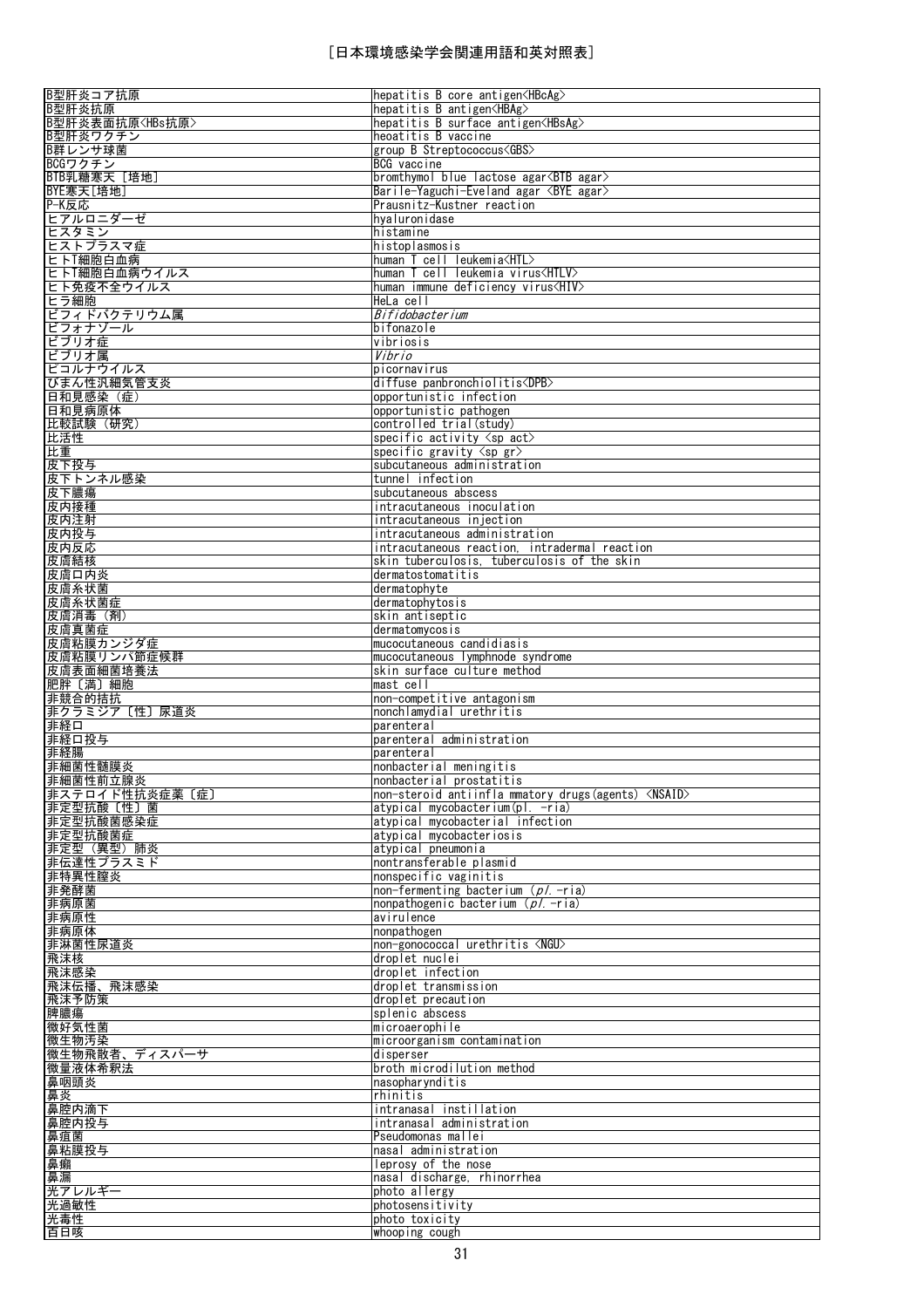| B型肝炎コア抗原                                                 | hepatitis B core antigen <hbcag></hbcag>                    |
|----------------------------------------------------------|-------------------------------------------------------------|
| B型肝炎抗原                                                   | hepatitis B antigen <hbag></hbag>                           |
|                                                          |                                                             |
| B型肝炎表面抗原 <hbs抗原></hbs抗原>                                 | hepatitis B surface antigen <hbsag></hbsag>                 |
| B型肝炎ワクチン                                                 | heoatitis B vaccine                                         |
| B群レンサ球菌                                                  | group B Streptococcus <gbs></gbs>                           |
| BCGワクチン                                                  | BCG vaccine                                                 |
| BTB乳糖寒天 [培地]                                             | bromthymol blue lactose agar <btb agar=""></btb>            |
| BYE寒天[培地]                                                | Barile-Yaguchi-Eveland agar <bye agar=""></bye>             |
| P-K反応                                                    | Prausnitz-Kustner reaction                                  |
|                                                          |                                                             |
| ヒアルロニダーゼ                                                 | hyaluronidase                                               |
| ヒスタミン                                                    | histamine                                                   |
| ヒストプラスマ症                                                 | histoplasmosis                                              |
| ヒトT細胞白血病                                                 | human T cell leukemia <htl></htl>                           |
| ヒトT細胞白血病ウイルス                                             | human T cell leukemia virus <htlv></htlv>                   |
| ヒト免疫不全ウイルス                                               | human immune deficiency virus <hiv></hiv>                   |
|                                                          |                                                             |
| ヒラ細胞                                                     | HeLa cell                                                   |
| ビフィドバクテリウム属                                              | Bifidobacterium                                             |
| ビフォナゾール                                                  | bifonazole                                                  |
| ビブリオ症                                                    | vibriosis                                                   |
| ビブリオ属                                                    | Vibrio                                                      |
| ピコルナウイルス                                                 | picornavirus                                                |
| びまん性汎細気管支炎                                               | diffuse panbronchiolitis <dpb></dpb>                        |
|                                                          |                                                             |
| 日和見感染 (症)                                                | opportunistic infection                                     |
| 日和見病原体                                                   | opportunistic pathogen                                      |
| 比較試験 (研究)                                                | controlled trial (study)                                    |
| 比活性                                                      | specific activity $\langle sp \; act \rangle$               |
| 比重                                                       | specific gravity $\langle sp gr \rangle$                    |
| 皮下投与                                                     | subcutaneous administration                                 |
| 皮下トンネル感染                                                 | tunnel infection                                            |
|                                                          |                                                             |
| 皮下膿瘍                                                     | subcutaneous abscess                                        |
| 皮内接種                                                     | intracutaneous inoculation                                  |
| 皮内注射                                                     | intracutaneous injection                                    |
| 皮内投与                                                     | intracutaneous administration                               |
| 皮内反応                                                     | intracutaneous reaction, intradermal reaction               |
| 皮膚結核                                                     | skin tuberculosis, tuberculosis of the skin                 |
| 皮膚口内炎                                                    | dermatostomatitis                                           |
|                                                          |                                                             |
| 皮膚糸状菌                                                    | dermatophyte                                                |
| 皮膚糸状菌症                                                   | dermatophytosis                                             |
| 皮膚消毒(剤)                                                  | skin antiseptic                                             |
| 皮膚真菌症                                                    | dermatomycosis                                              |
| 皮膚粘膜カンジダ症                                                | mucocutaneous candidiasis                                   |
| 皮膚粘膜リンパ節症候群                                              | mucocutaneous lymphnode syndrome                            |
| 皮膚表面細菌培養法                                                | skin surface culture method                                 |
|                                                          |                                                             |
| 肥胖〔満〕細胞                                                  | mast cell                                                   |
| 非競合的拮抗                                                   | non-competitive antagonism                                  |
| 非クラミジア〔性〕尿道炎                                             | nonchlamydial urethritis                                    |
| 非経口                                                      | parenteral                                                  |
| 非経口投与                                                    | parenteral administration                                   |
| 非経腸                                                      | parenteral                                                  |
| 非細菌性髄膜炎                                                  | nonbacterial meningitis                                     |
| 非細菌性前立腺炎                                                 | nonbacterial prostatitis                                    |
|                                                          |                                                             |
| 非ステロイド性抗炎症薬〔症〕                                           | non-steroid antiinfla mmatory drugs(agents) <nsaid></nsaid> |
| 非定型抗酸〔性〕菌                                                | atypical mycobacterium(pl. -ria)                            |
| 非定型抗酸菌感染症                                                | atypical mycobacterial infection                            |
| 非定型抗酸菌症                                                  | atypical mycobacteriosis                                    |
| 非定型 (異型) 肺炎                                              | atypical pneumonia                                          |
| 非伝達性プラスミド                                                | nontransferable plasmid                                     |
| 非特異性膣炎                                                   | nonspecific vaginitis                                       |
| 非発酵菌                                                     | non-fermenting bacterium ( $p$ /.-ria)                      |
| 非病原菌                                                     | nonpathogenic bacterium $(p/-$ -ria)                        |
| 非病原性                                                     | avirulence                                                  |
|                                                          |                                                             |
| 非病原体                                                     | nonpathogen                                                 |
| 非淋菌性尿道炎                                                  | non-gonococcal urethritis <ngu></ngu>                       |
| 飛沫核                                                      | droplet nuclei                                              |
| 飛沫感染                                                     | droplet infection                                           |
| 飛沫伝播、飛沫感染                                                | droplet transmission                                        |
| 飛沫予防策                                                    | droplet precaution                                          |
| 脾膿瘍                                                      |                                                             |
|                                                          |                                                             |
|                                                          | splenic abscess                                             |
| 微好気性菌                                                    | microaerophile                                              |
|                                                          | microorganism contamination                                 |
|                                                          | disperser                                                   |
| 微生物汚染<br>微生物飛散者、ディスパーサ<br>微量液体希釈法                        | broth microdilution method                                  |
|                                                          | nasopharynditis                                             |
|                                                          | rhinitis                                                    |
|                                                          |                                                             |
|                                                          | intranasal instillation                                     |
|                                                          | intranasal administration                                   |
|                                                          | Pseudomonas mallei                                          |
|                                                          | nasal administration                                        |
|                                                          | leprosy of the nose                                         |
| 鼻咽頭炎<br>鼻炎<br>鼻腔内滴下<br>鼻腔内投与<br>鼻疽菌<br>鼻粘膜投与<br>鼻癩<br>鼻漏 | nasal discharge, rhinorrhea                                 |
|                                                          | photo allergy                                               |
| 光アレルギー                                                   | photosensitivity                                            |
| 光過敏性                                                     |                                                             |
| 光毒性<br>百日咳                                               | photo toxicity<br>whooping cough                            |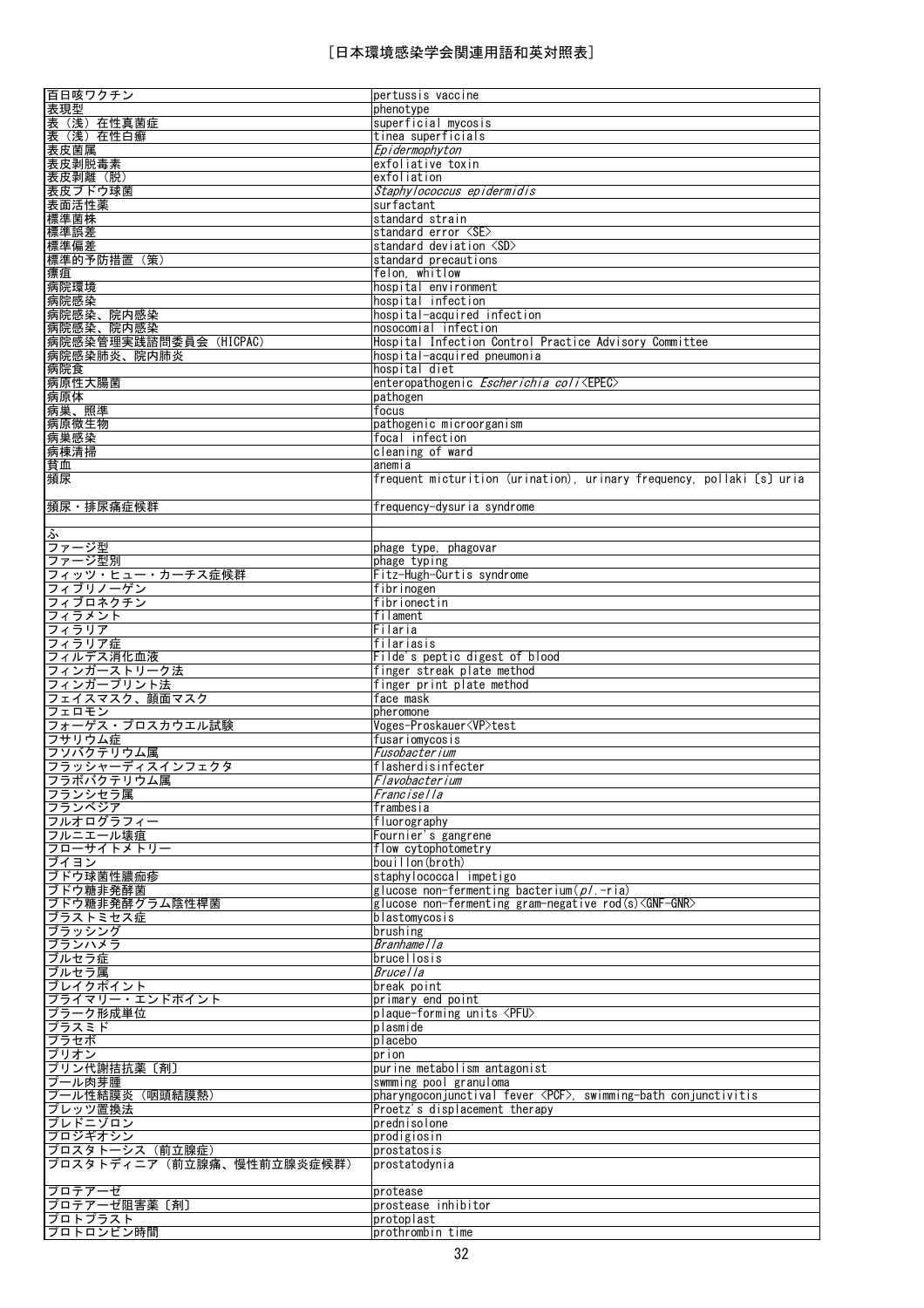| 百日咳ワクチン                    | pertussis vaccine                                                     |
|----------------------------|-----------------------------------------------------------------------|
| 表現型                        | phenotype                                                             |
| 表 (浅) 在性真菌症                | superficial mycosis                                                   |
|                            |                                                                       |
| 表 (浅) 在性白癬                 | tinea superficials                                                    |
| 表皮菌属                       | Epidermophyton                                                        |
| 表皮剥脱毒素                     | exfoliative toxin                                                     |
| 表皮剥離 (脱)                   | exfoliation                                                           |
| 表皮ブドウ球菌                    | Staphylococcus epidermidis                                            |
| 表面活性薬                      | surfactant                                                            |
| 標準菌株                       |                                                                       |
|                            | standard strain                                                       |
| 標準誤差                       | standard error <se></se>                                              |
| 標準偏差                       | standard deviation <sd></sd>                                          |
| 標準的予防措置 (策)                | standard precautions                                                  |
| 瘭疽                         | felon, whitlow                                                        |
| 病院環境                       | hospital environment                                                  |
| 病院感染                       | hospital infection                                                    |
|                            |                                                                       |
| 病院感染、院内感染                  | hospital-acquired infection                                           |
| 病院感染、院内感染                  | nosocomial infection                                                  |
| 病院感染管理実践諮問委員会 (HICPAC)     | Hospital Infection Control Practice Advisory Committee                |
| 病院感染肺炎、院内肺炎                | hospital-acquired pneumonia                                           |
| 病院食                        | hospital diet                                                         |
| 病原性大腸菌                     | enteropathogenic Escherichia coli <epec></epec>                       |
| 病原体                        | pathogen                                                              |
|                            |                                                                       |
| 病巣、照準                      | focus                                                                 |
| 病原微生物                      | pathogenic microorganism                                              |
| 病巣感染                       | focal infection                                                       |
| 病棟清掃                       | cleaning of ward                                                      |
| 貧血                         | anemia                                                                |
| 頻尿                         | frequent micturition (urination), urinary frequency, pollaki [s] uria |
|                            |                                                                       |
|                            |                                                                       |
| 頻尿·排尿痛症候群                  | frequency-dysuria syndrome                                            |
|                            |                                                                       |
| ふ                          |                                                                       |
| ファージ型                      | phage type, phagovar                                                  |
| ファージ型別                     | phage typing                                                          |
| フィッツ・ヒュー・カーチス症候群           | Fitz-Hugh-Curtis syndrome                                             |
| フィブリノーゲン                   | fibrinogen                                                            |
| フィブロネクチン                   | fibrionectin                                                          |
|                            |                                                                       |
| フィラメント                     | filament                                                              |
| フィラリア                      | Filaria                                                               |
| フィラリア症                     | filariasis                                                            |
| フィルデス消化血液                  | Filde's peptic digest of blood                                        |
| フィンガーストリーク法                | finger streak plate method                                            |
| フィンガープリント法                 | finger print plate method                                             |
| フェイスマスク、顔面マスク              |                                                                       |
|                            | face mask                                                             |
| フェロモン                      | pheromone                                                             |
| フォーゲス・プロスカウエル試験            | Voges-Proskauer <vp>test</vp>                                         |
| フサリウム症                     | fusariomycosis                                                        |
| フソバクテリウム属                  | Fusobacterium                                                         |
| フラッシャーディスインフェクタ            | flasherdisinfecter                                                    |
| フラボバクテリウム属                 | Flavobacterium                                                        |
| フランシセラ属                    | Francisella                                                           |
| フランベジア                     | frambesia                                                             |
|                            |                                                                       |
| フルオログラフィー                  | fluorography                                                          |
| フルニエール壊疽                   | Fournier's gangrene                                                   |
| フローサイトメトリー                 | flow cytophotometry                                                   |
| ブイヨン                       | bouillon (broth)                                                      |
| ブドウ球菌性膿痂疹                  | staphylococcal impetigo                                               |
| ブドウ糖非発酵菌                   | glucose non-fermenting bacterium $(p/-$ ria)                          |
| ブドウ糖非発酵グラム陰性桿菌             | glucose non-fermenting gram-negative rod(s) <gnf-gnr></gnf-gnr>       |
| ブラストミセス症                   | blastomycosis                                                         |
| ブラッシング                     | brushing                                                              |
| ブランハメラ                     | Branhame   la                                                         |
|                            |                                                                       |
| ブルセラ症                      | brucellosis                                                           |
| ブルセラ属                      | Brucella                                                              |
| ブレイクポイント                   | break point                                                           |
| プライマリー・エンドポイント             | primary end point                                                     |
| プラーク形成単位                   | plaque-forming units <pfu></pfu>                                      |
| プラスミド                      | plasmide                                                              |
| <u> プラセボ</u>               | placebo                                                               |
| プリオン                       | prion                                                                 |
| プリン代謝拮抗薬〔剤〕                | purine metabolism antagonist                                          |
|                            |                                                                       |
| プール肉芽腫                     | swmming pool granuloma                                                |
| プール性結膜炎 (咽頭結膜熱)            | pharyngoconjunctival fever <pcf>, swimming-bath conjunctivitis</pcf>  |
| プレッツ置換法                    | Proetz's displacement therapy                                         |
| プレドニゾロン                    | prednisolone                                                          |
| プロジギオシン                    |                                                                       |
|                            | prodigiosin                                                           |
|                            |                                                                       |
| プロスタトーシス (前立腺症)            | prostatosis                                                           |
| プロスタトディニア (前立腺痛、慢性前立腺炎症候群) | prostatodynia                                                         |
|                            |                                                                       |
| プロテアーゼ                     | protease                                                              |
| プロテアーゼ阻害薬〔剤〕               | prostease inhibitor                                                   |
| プロトプラスト<br>プロトロンビン時間       | protoplast<br>prothrombin time                                        |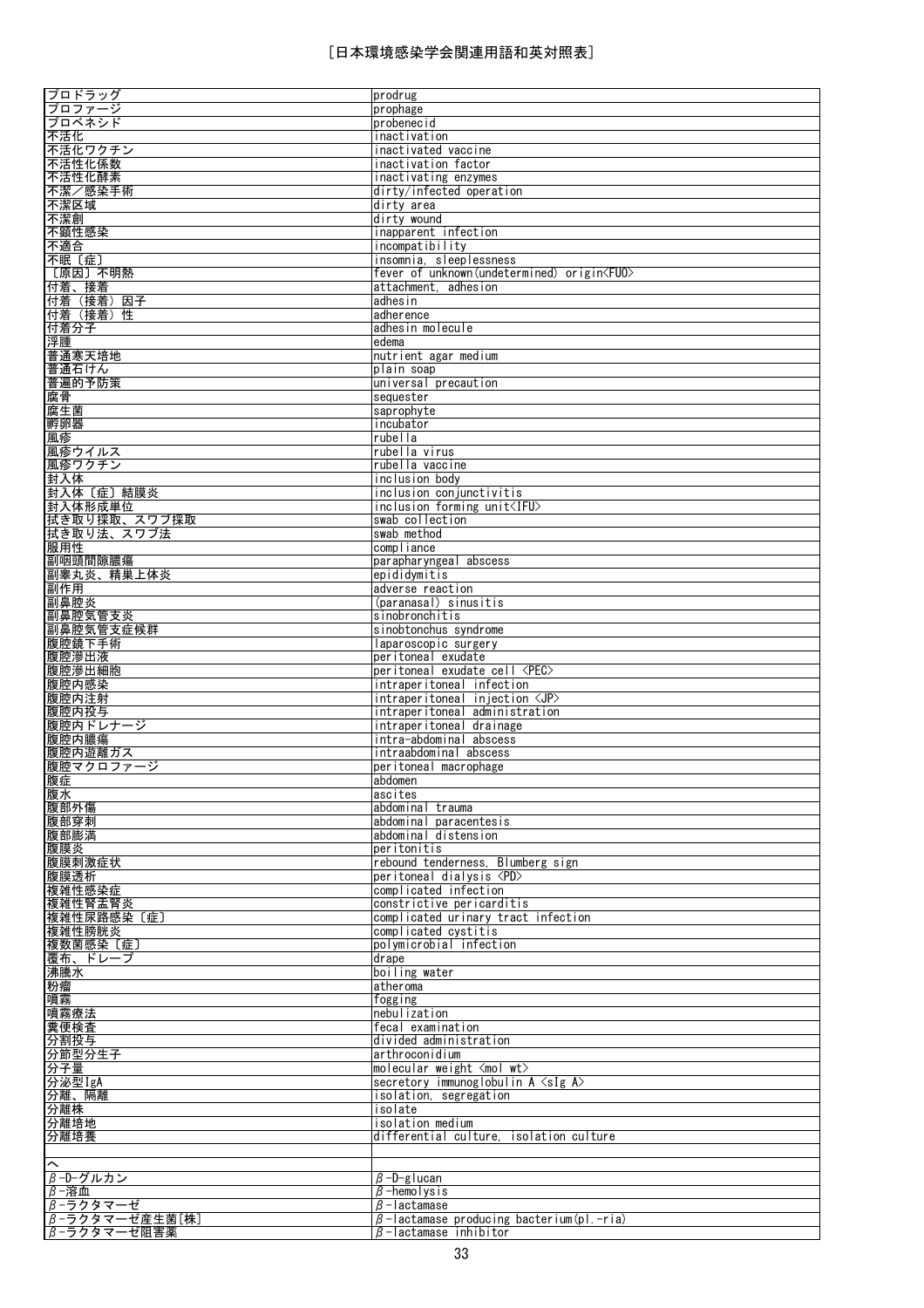| プロドラッグ<br>プロファージ           | prodrug<br>prophage                                                                   |
|----------------------------|---------------------------------------------------------------------------------------|
| プロベネシド                     | probenecid                                                                            |
| 不活化                        | inactivation                                                                          |
| 不活化ワクチン<br>不活性化係数          | inactivated vaccine<br>inactivation factor                                            |
| 不活性化酵素                     | inactivating enzymes                                                                  |
| 不潔/感染手術                    | dirty/infected operation                                                              |
| 不潔区域                       | dirty area                                                                            |
| 不潔創<br>不顕性感染               | dirty wound<br>inapparent infection                                                   |
| 不適合                        | incompatibility                                                                       |
| 不眠〔症〕                      | insomnia, sleeplessness                                                               |
| [原因] 不明熱<br>付着、接着          | fever of unknown (undetermined) origin <fuo><br/>attachment, adhesion</fuo>           |
| 付着(接着)因子                   | adhesin                                                                               |
| 付着(接着)性                    | adherence                                                                             |
| 付着分子                       | adhesin molecule                                                                      |
| 浮腫<br>普通寒天培地               | edema<br>nutrient agar medium                                                         |
| 普通石けん                      | plain soap                                                                            |
| 普遍的予防策                     | universal precaution                                                                  |
| 腐骨<br>腐生菌                  | sequester<br>saprophyte                                                               |
| 孵卵器                        | incubator                                                                             |
| 風疹                         | rubella                                                                               |
| 風疹ウイルス                     | rubella virus                                                                         |
| 風疹ワクチン<br>封入体              | rubella vaccine<br>inclusion body                                                     |
| 封入体〔症〕結膜炎                  | inclusion conjunctivitis                                                              |
| 封入体形成単位                    | inclusion forming unit <ifu></ifu>                                                    |
| 拭き取り採取、スワブ採取<br>拭き取り法、スワブ法 | swab collection<br>swab method                                                        |
| 服用性                        | compliance                                                                            |
| 副咽頭間隙膿瘍                    | parapharyngeal abscess                                                                |
| 副睾丸炎、精巣上体炎<br>副作用          | epididymitis<br>adverse reaction                                                      |
| 副鼻腔炎                       | (paranasal) sinusitis                                                                 |
| 副鼻腔気管支炎                    | sinobronchitis                                                                        |
| 副鼻腔気管支症候群<br>腹腔鏡下手術        | sinobtonchus syndrome<br>laparoscopic surgery                                         |
| 腹腔滲出液                      | peritoneal exudate                                                                    |
| 腹腔滲出細胞                     | peritoneal exudate cell <pec></pec>                                                   |
| 腹腔内感染<br>腹腔内注射             | intraperitoneal infection<br>$interval$ intraperitoneal injection $\langle JP\rangle$ |
| 腹腔内投与                      | intraperitoneal administration                                                        |
| 腹腔内ドレナージ                   | intraperitoneal drainage                                                              |
| 腹腔内膿瘍<br>腹腔内遊離ガス           | intra-abdominal abscess<br>intraabdominal abscess                                     |
| 腹腔マクロファージ                  | peritoneal macrophage                                                                 |
| 腹症                         | abdomen                                                                               |
| 腹水                         | ascites                                                                               |
| 腹部外傷<br>腹部穿刺               | abdominal trauma<br>abdominal paracentesis                                            |
| 腹部膨満                       | abdominal distension                                                                  |
| 腹膜炎                        | peritonitis                                                                           |
| 腹膜刺激症状<br>腹膜透析             | rebound tenderness, Blumberg sign<br>peritoneal dialysis <pd></pd>                    |
| 複雑性感染症                     | complicated infection                                                                 |
| 複雑性腎盂腎炎                    | constrictive pericarditis                                                             |
| 複雑性尿路感染〔症〕<br>複雑性膀胱炎       | complicated urinary tract infection<br>complicated cystitis                           |
| 複数菌感染〔症〕                   | polymicrobial infection                                                               |
| 覆布、ドレープ                    | drape                                                                                 |
| 沸騰水<br>粉瘤                  | boiling water<br>atheroma                                                             |
| 噴霧                         | fogging                                                                               |
| 噴霧療法                       | nebulization                                                                          |
| 糞便検査                       | fecal examination                                                                     |
| 分割投与                       | divided administration<br>larthroconidium                                             |
| 分節型分生子<br>分子量              | molecular weight $\langle$ mol wt $\rangle$                                           |
| 分泌型IgA                     | secretory immunoglobulin $A \leq sIg$ $A$                                             |
| 分離、隔離<br>分離株               | isolation, segregation<br>isolate                                                     |
| 分離培地                       | isolation medium                                                                      |
| 分離培養                       | differential culture, isolation culture                                               |
| $\widehat{\phantom{1}}$    |                                                                                       |
| β-D-グルカン                   | $\beta$ -D-g lucan                                                                    |
| $\beta$ -溶血                | $\beta$ -hemolysis                                                                    |
| β-ラクタマーゼ<br>β-ラクタマーゼ産生菌[株] | $\beta$ -lactamase<br>$\beta$ -lactamase producing bacterium(pl.-ria)                 |
| β-ラクタマーゼ阻害薬                | $\beta$ -lactamase inhibitor                                                          |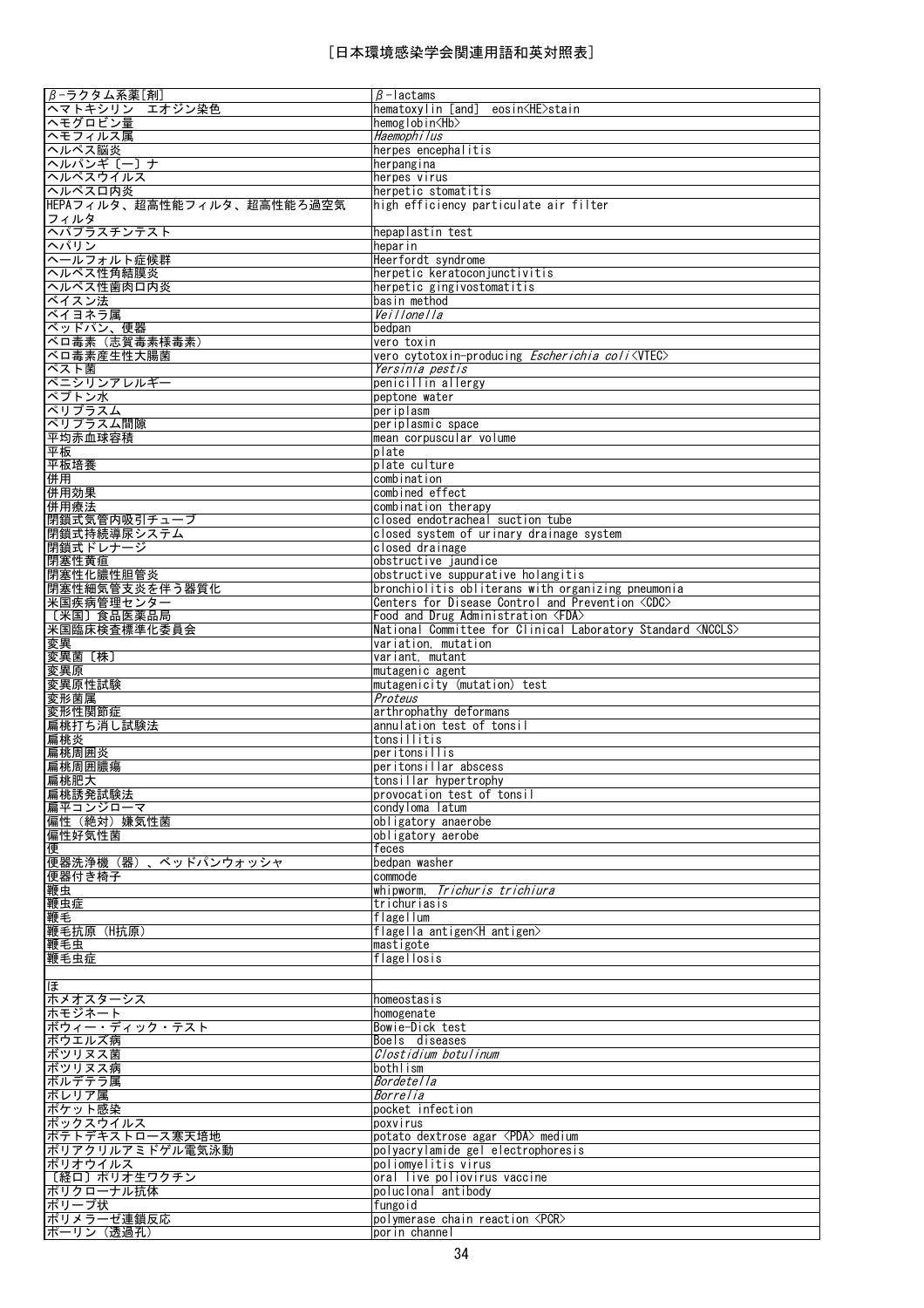| $β - 5$ クタム系薬[剤]           | $\beta$ -lactams                                                    |
|----------------------------|---------------------------------------------------------------------|
| ヘマトキシリン<br>エオジン染色          | hematoxylin [and] eosin <he>stain</he>                              |
| ヘモグロビン量                    | hemoglobin <hb></hb>                                                |
| ヘモフィルス属                    | Haemophilus                                                         |
| ヘルペス脳炎                     | herpes encephalitis                                                 |
| ヘルパンギ〔一〕ナ                  | herpangina                                                          |
| ヘルペスウイルス                   | herpes virus                                                        |
| ヘルペスロ内炎                    | herpetic stomatitis                                                 |
| HEPAフィルタ、超高性能フィルタ、超高性能ろ過空気 | high efficiency particulate air filter                              |
| フィルタ                       |                                                                     |
| ヘパプラスチンテスト                 | hepaplastin test                                                    |
| ヘパリン                       | heparin                                                             |
| ヘールフォルト症候群                 | Heerfordt syndrome                                                  |
| ヘルペス性角結膜炎                  | herpetic keratocon junctivitis                                      |
| ヘルペス性歯肉口内炎                 | herpetic gingivostomatitis                                          |
| ベイスン法                      | basin method                                                        |
| ベイヨネラ属                     | Veillonella                                                         |
| ベッドパン、便器                   | bedpan                                                              |
| ベロ毒素 (志賀毒素様毒素)             | vero toxin                                                          |
| ベロ毒素産生性大腸菌                 |                                                                     |
|                            | vero cytotoxin-producing Escherichia coli <viec></viec>             |
| ペスト菌                       | Yersinia pestis                                                     |
| ペニシリンアレルギー                 | penicillin allergy                                                  |
| ペプトン水                      | peptone water                                                       |
| ペリプラスム                     | periplasm                                                           |
| ペリプラスム間隙                   | periplasmic space                                                   |
| 平均赤血球容積                    | mean corpuscular volume                                             |
| 平板                         | plate                                                               |
| 平板培養                       | plate culture                                                       |
| 併用                         | combination                                                         |
| 併用効果                       | combined effect                                                     |
| 併用療法                       | combination therapy                                                 |
| 閉鎖式気管内吸引チューブ               | closed endotracheal suction tube                                    |
| 閉鎖式持続導尿システム                | closed system of urinary drainage system                            |
| 閉鎖式ドレナージ                   | closed drainage                                                     |
| 閉塞性黄疸                      | obstructive jaundice                                                |
| 閉塞性化膿性胆管炎                  | obstructive suppurative holangitis                                  |
| 閉塞性細気管支炎を伴う器質化             | bronchiolitis obliterans with organizing pneumonia                  |
| 米国疾病管理センター                 | Centers for Disease Control and Prevention <cdc></cdc>              |
| 〔米国〕食品医薬品局                 | Food and Drug Administration <fda></fda>                            |
| 米国臨床検査標準化委員会               | National Committee for Clinical Laboratory Standard <nccls></nccls> |
| 変異                         | variation, mutation                                                 |
|                            |                                                                     |
| 変異菌〔株〕                     | variant, mutant                                                     |
| 変異原                        | mutagenic agent                                                     |
| 変異原性試験                     | mutagenicity (mutation) test                                        |
| 変形菌属                       | Proteus                                                             |
| 変形性関節症                     | arthrophathy deformans                                              |
| <u> 扁桃打ち消し試験法</u>          | annulation test of tonsil                                           |
| 扁桃炎                        | tonsillitis                                                         |
| 扁桃周囲炎                      | peritonsillis                                                       |
| 扁桃周囲膿瘍                     | peritonsillar abscess                                               |
| 扁桃肥大                       | tonsillar hypertrophy                                               |
| 扁桃誘発試験法                    | provocation test of tonsil                                          |
| 扁平コンジローマ                   | condyloma latum                                                     |
| 偏性(絶対)嫌気性菌                 | obligatory anaerobe                                                 |
| 偏性好気性菌                     | obligatory aerobe                                                   |
| 便                          | feces                                                               |
| 便器洗浄機(器)、ベッドパンウォッシャ        | bedpan washer                                                       |
| 便器付き椅子                     | commode                                                             |
| 鞭虫                         | whipworm, <i>Trichuris trichiura</i>                                |
| 鞭虫症                        | trichuriasis                                                        |
| 鞭毛                         | flagellum                                                           |
| 鞭毛抗原 (H抗原)                 | flagella antigen <h antigen=""></h>                                 |
| 鞭毛虫                        | mastigote                                                           |
| 鞭毛虫症                       | flagellosis                                                         |
|                            |                                                                     |
| ほ                          |                                                                     |
| ホメオスターシス                   | homeostasis                                                         |
| ホモジネート                     | homogenate                                                          |
| ボウィー・ディック・テスト              | Bowie-Dick test                                                     |
| ボウエルズ病                     | Boels diseases                                                      |
| ボツリヌス菌                     | Clostidium botulinum                                                |
| ボツリヌス病                     | bothlism                                                            |
| ボルデテラ属                     | <i>Bordetella</i>                                                   |
| ボレリア属                      | Borrelia                                                            |
| ポケット感染                     | pocket infection                                                    |
| ポックスウイルス                   | poxvirus                                                            |
| ポテトデキストロース寒天培地             | potato dextrose agar <pda> medium</pda>                             |
| ポリアクリルアミドゲル電気泳動            | polyacrylamide gel electrophoresis                                  |
| ポリオウイルス                    | poliomyelitis virus                                                 |
| 〔経口〕ポリオ生ワクチン               | oral live poliovirus vaccine                                        |
| ポリクローナル抗体                  | poluclonal antibody                                                 |
| ポリープ状<br>ポリメラーゼ連鎖反応        | fungoid<br>polymerase chain reaction <pcr></pcr>                    |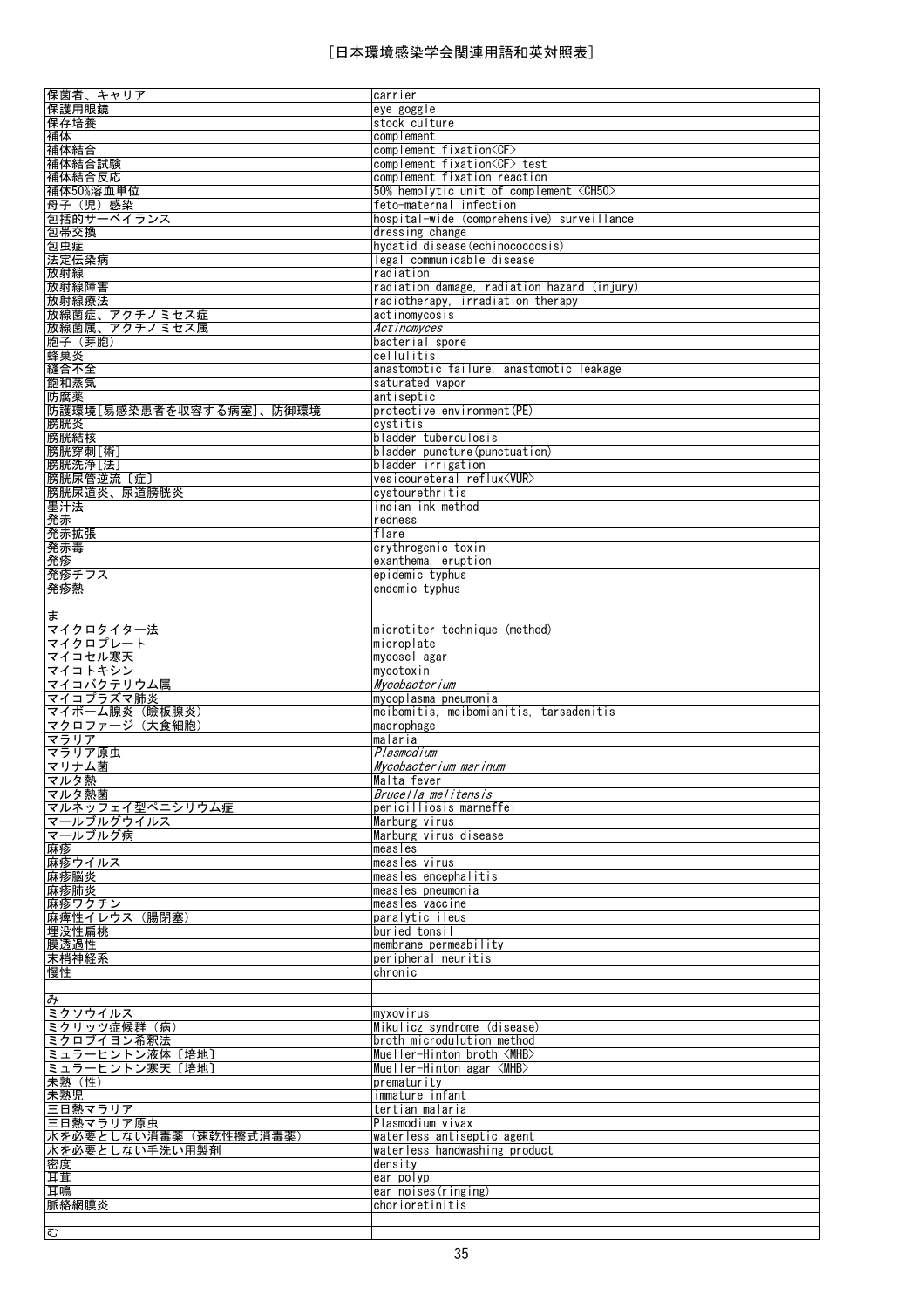| 保菌者、キャリア                                                                                   | carrier                                                   |
|--------------------------------------------------------------------------------------------|-----------------------------------------------------------|
| 保護用眼鏡                                                                                      | eye goggle                                                |
| 保存培養                                                                                       | stock culture                                             |
| 補体                                                                                         | complement                                                |
|                                                                                            |                                                           |
| 補体結合                                                                                       | complement fixation <cf></cf>                             |
| 補体結合試験                                                                                     | complement fixation <cf> test</cf>                        |
| 補体結合反応                                                                                     | complement fixation reaction                              |
| 補体50%溶血単位                                                                                  | 50% hemolytic unit of complement <ch50></ch50>            |
| 母子(児)感染                                                                                    | feto-maternal infection                                   |
| 包括的サーベイランス                                                                                 | hospital-wide (comprehensive) surveillance                |
| 包帯交換                                                                                       | dressing change                                           |
|                                                                                            |                                                           |
| 包虫症                                                                                        | hydatid disease (echinococcosis)                          |
| 法定伝染病                                                                                      | legal communicable disease                                |
| 放射線                                                                                        | radiation                                                 |
| 放射線障害                                                                                      | radiation damage, radiation hazard (injury)               |
| 放射線療法                                                                                      | radiotherapy, irradiation therapy                         |
| 放線菌症、アクチノミセス症                                                                              | actinomycosis                                             |
| 放線菌属、アクチノミセス属                                                                              | Actinomyces                                               |
| 胞子(芽胞)                                                                                     | bacterial spore                                           |
| 蜂巣炎                                                                                        | cellulitis                                                |
| 縫合不全                                                                                       | anastomotic failure, anastomotic leakage                  |
|                                                                                            |                                                           |
| 飽和蒸気                                                                                       | saturated vapor                                           |
| 防腐薬                                                                                        | antiseptic                                                |
| 防護環境[易感染患者を収容する病室]、防御環境                                                                    | protective environment (PE)                               |
| 膀胱炎                                                                                        | cystitis                                                  |
| 膀胱結核                                                                                       | bladder tuberculosis                                      |
| 膀胱穿刺[術]                                                                                    | bladder puncture (punctuation)                            |
| 膀胱洗浄[法]                                                                                    | bladder irrigation                                        |
| 膀胱尿管逆流 〔症〕                                                                                 | vesicoureteral reflux <vur></vur>                         |
| <u>膀胱尿道炎、尿道膀胱炎</u>                                                                         | cystourethritis                                           |
|                                                                                            |                                                           |
| <u> 墨汁法</u>                                                                                | indian ink method                                         |
| 発赤                                                                                         | redness                                                   |
| 発赤拡張                                                                                       | flare                                                     |
| 発赤毒                                                                                        | erythrogenic toxin                                        |
| 発疹                                                                                         | exanthema, eruption                                       |
| 発疹チフス                                                                                      | epidemic typhus                                           |
| 発疹熱                                                                                        | endemic typhus                                            |
|                                                                                            |                                                           |
| ま                                                                                          |                                                           |
| マイクロタイター法                                                                                  | microtiter technique (method)                             |
| マイクロプレート                                                                                   | microplate                                                |
| マイコセル寒天                                                                                    | mycosel agar                                              |
| マイコトキシン                                                                                    | mycotoxin                                                 |
| マイコバクテリウム属                                                                                 | Mycobacterium                                             |
| マイコプラズマ肺炎                                                                                  | mycoplasma pneumonia                                      |
| マイボーム腺炎 (瞼板腺炎)                                                                             | meibomitis, meibomianitis, tarsadenitis                   |
| マクロファージ (大食細胞)                                                                             | macrophage                                                |
| マラリア                                                                                       | malaria                                                   |
| マラリア原虫                                                                                     | Plasmodium                                                |
| マリナム菌                                                                                      | Mycobacterium marinum                                     |
| マルタ熱                                                                                       | Malta fever                                               |
| マルタ熱菌                                                                                      | Brucella melitensis                                       |
| マルネッフェイ型ペニシリウム症                                                                            | penicilliosis marneffei                                   |
| マールブルグウイルス                                                                                 |                                                           |
|                                                                                            | Marburg virus                                             |
| マールブルグ病                                                                                    | Marburg virus disease                                     |
| 麻疹                                                                                         | measles                                                   |
| 麻疹ウイルス                                                                                     | measles virus                                             |
| 麻疹脳炎                                                                                       | measles encephalitis                                      |
| 麻疹肺炎                                                                                       | measles pneumonia                                         |
| 麻疹ワクチン                                                                                     | measles vaccine                                           |
| 麻痺性イレウス (腸閉塞)                                                                              | paralytic ileus                                           |
| 埋没性扁桃                                                                                      | buried tonsil                                             |
| 膜透過性                                                                                       | membrane permeability                                     |
| 末梢神経系                                                                                      | peripheral neuritis                                       |
| 慢性                                                                                         | chronic                                                   |
|                                                                                            |                                                           |
| み                                                                                          |                                                           |
| ミクソウイルス                                                                                    |                                                           |
|                                                                                            | myxovirus                                                 |
|                                                                                            |                                                           |
|                                                                                            | Mikulicz syndrome (disease)<br>broth microdulution method |
|                                                                                            |                                                           |
| ミクリッツ症候群 (病)<br>ミクロブイヨン希釈法<br>ミュラーヒントン液体〔培地〕                                               | Mueller-Hinton broth <mhb></mhb>                          |
| ミュラーヒントン寒天〔培地〕                                                                             | Mueller-Hinton agar <mhb></mhb>                           |
| <u>未熟(性)</u>                                                                               | prematurity                                               |
|                                                                                            | immature infant                                           |
|                                                                                            | tertian malaria                                           |
|                                                                                            | Plasmodium vivax                                          |
|                                                                                            | waterless antiseptic agent                                |
|                                                                                            | waterless handwashing product                             |
|                                                                                            | density                                                   |
| 未熟児<br>三日熱マラリア<br><u> ニロ熱マラリア原虫</u><br>水を必要としない消毒薬(速乾性擦式消毒薬)<br>水を必要としない手洗い用製剤<br>密度<br>耳茸 | ear polyp                                                 |
| 耳鳴                                                                                         | ear noises(ringing)                                       |
| 脈絡網膜炎                                                                                      | chorioretinitis                                           |
| む                                                                                          |                                                           |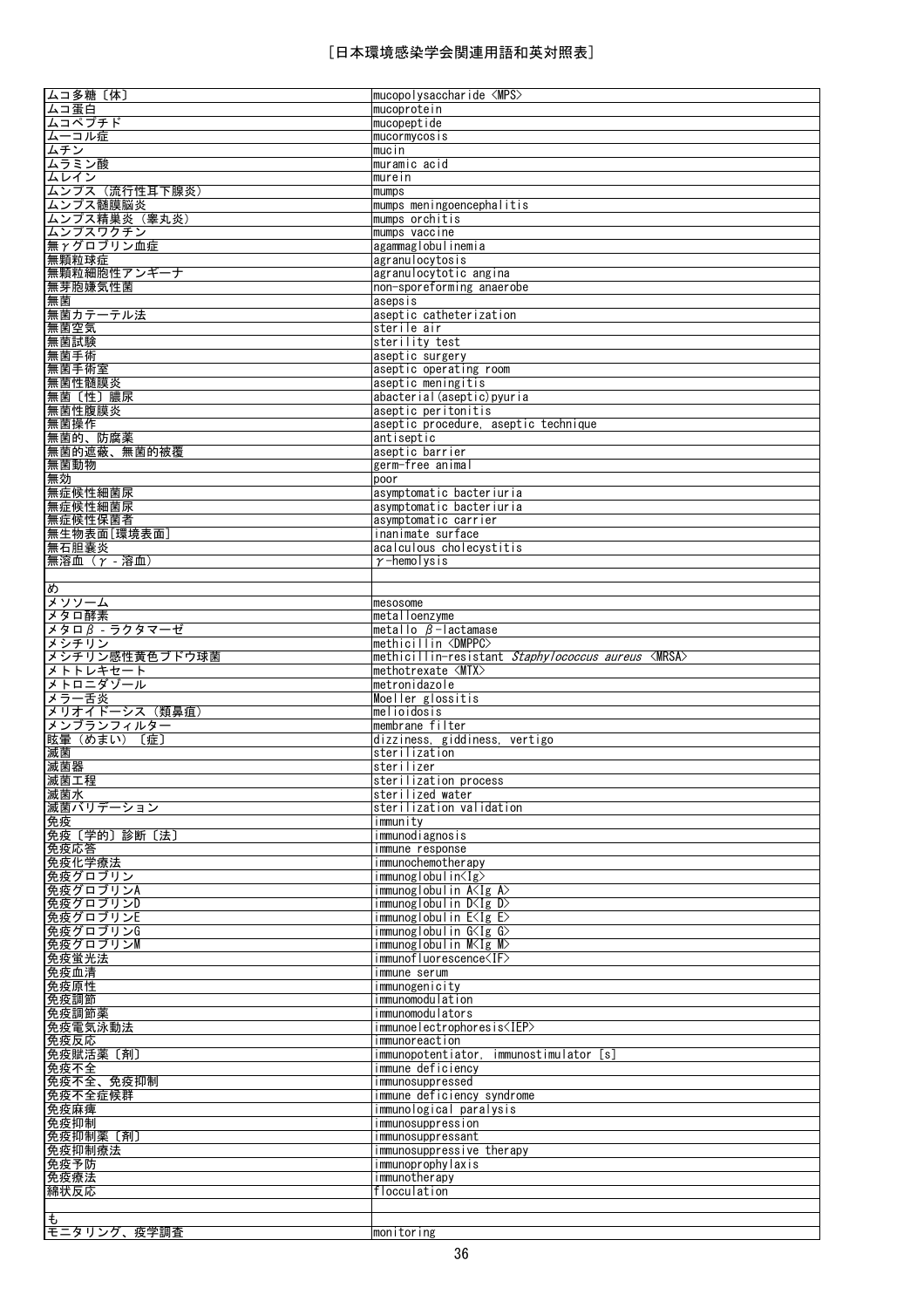| ムコ多糖〔体〕                     | mucopolysaccharide $\langle MPS \rangle$                         |
|-----------------------------|------------------------------------------------------------------|
| ムコ蛋白                        | mucoprotein                                                      |
| ムコペプチド                      | mucopeptide                                                      |
| ムーコル症                       | mucormycosis                                                     |
| ムチン                         | mucin                                                            |
| ムラミン酸                       | muramic acid                                                     |
| ムレイン                        | murein                                                           |
| ムンプス (流行性耳下腺炎)              | mumps                                                            |
| ムンプス髄膜脳炎                    | mumps meningoencephalitis                                        |
| ムンプス精巣炎 (睾丸炎)               | mumps orchitis                                                   |
| ムンプスワクチン                    | mumps vaccine                                                    |
| 無 $\gamma$ グロブリン血症<br>無顆粒球症 | agammaglobulinemia<br>agranulocytosis                            |
| 無顆粒細胞性アンギーナ                 | agranulocytotic angina                                           |
| 無芽胞嫌気性菌                     | non-sporeforming anaerobe                                        |
| 無菌                          | asepsis                                                          |
| 無菌カテーテル法                    | aseptic catheterization                                          |
| 無菌空気                        | sterile air                                                      |
| 無菌試験                        | sterility test                                                   |
| 無菌手術                        | aseptic surgery                                                  |
| 無菌手術室                       | aseptic operating room                                           |
| 無菌性髄膜炎                      | aseptic meningitis                                               |
| 無菌〔性〕膿尿                     | abacterial(aseptic)pyuria                                        |
| <u>無菌性腹膜炎</u>               | aseptic peritonitis                                              |
| 無菌操作                        | aseptic procedure, aseptic technique                             |
| 無菌的、防腐薬                     | antiseptic                                                       |
| 無菌的遮蔽、無菌的被覆                 | aseptic barrier                                                  |
| 無菌動物                        | germ-free animal                                                 |
| 無効                          | poor                                                             |
| 無症候性細菌尿                     | asymptomatic bacteriuria                                         |
| 無症候性細菌尿                     | asymptomatic bacteriuria                                         |
| 無症候性保菌者                     | asymptomatic carrier                                             |
| 無生物表面[環境表面]<br>無石胆囊炎        | inanimate surface<br>acalculous cholecystitis                    |
| 無溶血 (r -溶血)                 | $\gamma$ -hemolysis                                              |
|                             |                                                                  |
| め                           |                                                                  |
| メソソーム                       | mesosome                                                         |
| メタロ酵素                       | metalloenzyme                                                    |
| メタロβ - ラクタマーゼ               | metallo β-lactamase                                              |
| メシチリン                       | methicillin <dmppc></dmppc>                                      |
|                             |                                                                  |
| メシチリン感性黄色ブドウ球菌              | methicillin-resistant <i>Staphylococcus aureus</i> <mrsa></mrsa> |
| メトトレキセート                    | methotrexate <mtx></mtx>                                         |
| メトロニダゾール                    | metronidazole                                                    |
| メラー舌炎                       | Moeller glossitis                                                |
| メリオイドーシス (類鼻疽)              | melioidosis<br>membrane filter                                   |
| メンブランフィルター<br>眩暈 (めまい) 〔症〕  | dizziness, giddiness, vertigo                                    |
| 滅菌                          | sterilization                                                    |
| 滅菌器                         | sterilizer                                                       |
| 滅菌工程                        | sterilization process                                            |
| 滅菌水                         | sterilized water                                                 |
| 滅菌バリデーション                   | sterilization validation                                         |
| 免疫                          | immunity                                                         |
| 免疫〔学的〕診断〔法〕                 | immunodiagnosis                                                  |
| 免疫応答                        | immune response                                                  |
| 免疫化学療法                      | immunochemotherapy<br>immunoglobulin <ig></ig>                   |
| 免疫グロブリン<br>免疫グロブリンA         | immunoglobulin $A < Ig$ A $>$                                    |
| 免疫グロブリンD                    | immunoglobulin D <ig d=""></ig>                                  |
| 免疫グロブリンE                    | immunoglobulin E< Ig E>                                          |
| 免疫グロブリンG                    | immunoglobulin G <ig g=""></ig>                                  |
| 免疫グロブリンM                    | immunoglobulin M≺Ig M>                                           |
| 免疫蛍光法                       | immunofluorescence <if></if>                                     |
| 免疫血清                        | immune serum                                                     |
| 免疫原性                        | immunogenicity                                                   |
| 免疫調節                        | immunomodulation                                                 |
| 免疫調節薬                       | immunomodulators                                                 |
| <u>免疫電気泳動法</u>              | immunoelectrophoresis <iep></iep>                                |
| 免疫反応                        | immunoreaction                                                   |
| 免疫賦活薬〔剤〕<br>免疫不全            | immunopotentiator, immunostimulator [s]<br>immune deficiency     |
| 免疫不全、免疫抑制                   | immunosuppressed                                                 |
| 免疫不全症候群                     | immune deficiency syndrome                                       |
| 免疫麻痺                        | immunological paralysis                                          |
| 免疫抑制                        | <i>immunosuppression</i>                                         |
| 免疫抑制薬〔剤〕                    | immunosuppressant                                                |
| 免疫抑制療法                      | immunosuppressive therapy                                        |
| 免疫予防                        | immunoprophylaxis                                                |
| 免疫療法                        | immunotherapy                                                    |
| 綿状反応                        | flocculation                                                     |
| ŧ<br>モニタリング、疫学調査            |                                                                  |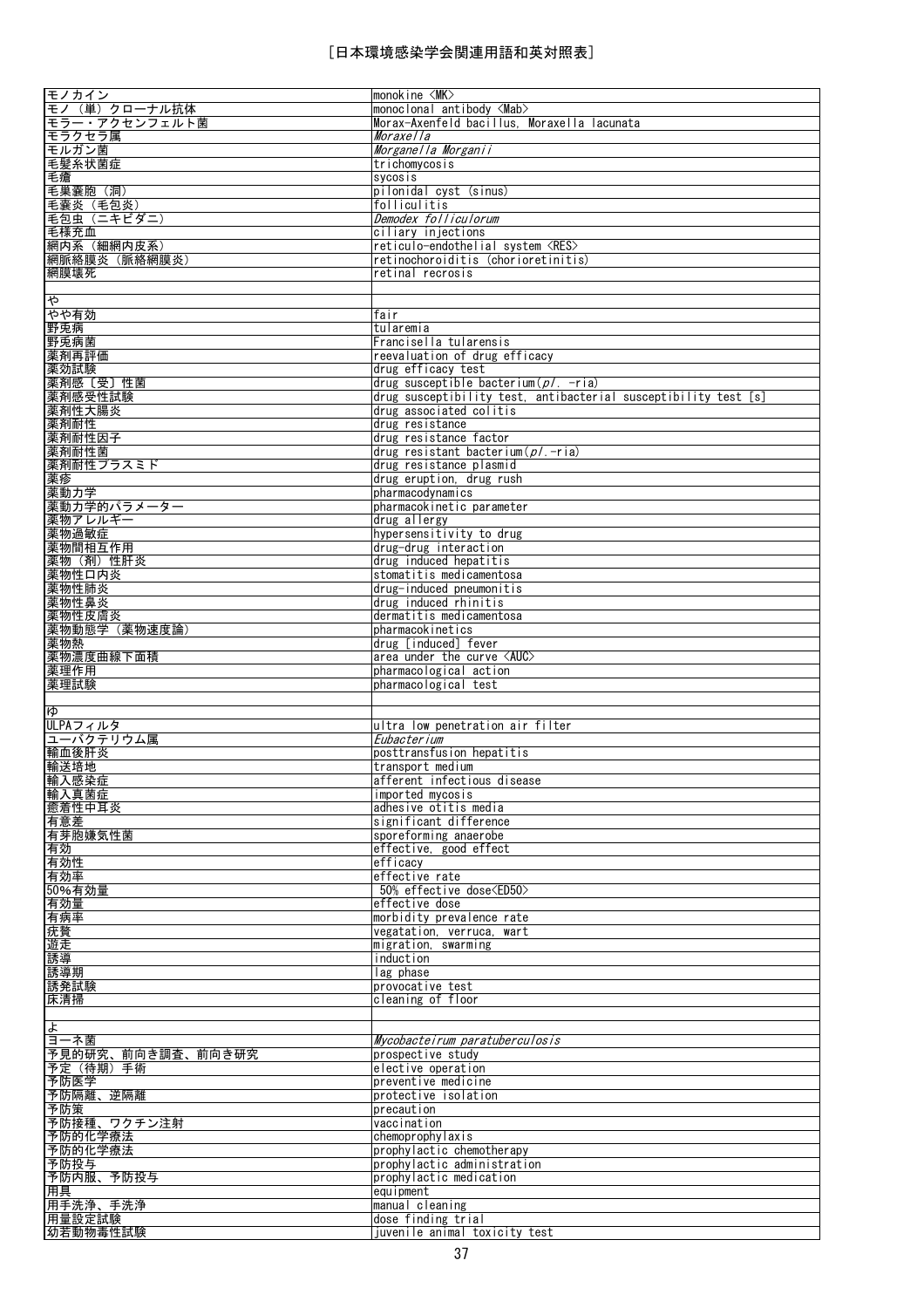| モノカイン             | monokine $\langle MK \rangle$                                   |
|-------------------|-----------------------------------------------------------------|
| モノ(単)クローナル抗体      | monoclonal antibody <mab></mab>                                 |
| モラー・アクセンフェルト菌     | Morax-Axenfeld bacillus, Moraxella lacunata                     |
| モラクセラ属            | <i>Moraxella</i>                                                |
| モルガン菌             | Morganella Morganii                                             |
| 毛髪糸状菌症            | trichomycosis                                                   |
|                   |                                                                 |
| 毛瘡<br>毛巣囊胞 (洞)    | sycosis<br>pilonidal cyst (sinus)                               |
|                   |                                                                 |
| 毛囊炎 (毛包炎)         | folliculitis                                                    |
| 毛包虫 (ニキビダニ)       | Demodex folliculorum                                            |
| 毛様充血              | ciliary injections                                              |
| 網内系 (細網内皮系)       | reticulo-endothelial system <res></res>                         |
| 網脈絡膜炎(脈絡網膜炎)      | retinochoroiditis (chorioretinitis)                             |
| 網膜壊死              | retinal recrosis                                                |
|                   |                                                                 |
| ゃ                 |                                                                 |
| やや有効              | fair                                                            |
| 野兎病               | tularemia                                                       |
| 野兎病菌              | Francisella tularensis                                          |
| 薬剤再評価             | reevaluation of drug efficacy                                   |
| 薬効試験              | drug efficacy test                                              |
| 薬剤感〔受〕性菌          | drug susceptible bacterium $(p)$ . -ria)                        |
| 薬剤感受性試験           | drug susceptibility test, antibacterial susceptibility test [s] |
| 薬剤性大腸炎            | drug associated colitis                                         |
| 薬剤耐性              | drug resistance                                                 |
|                   |                                                                 |
| 薬剤耐性因子            | drug resistance factor                                          |
| 薬剤耐性菌             | drug resistant bacterium( $p/ -$ ria)                           |
| 薬剤耐性プラスミド         | drug resistance plasmid                                         |
| 薬疹                | drug eruption, drug rush                                        |
| 薬動力学              | pharmacodynamics                                                |
| 薬動力学的パラメーター       | pharmacokinetic parameter                                       |
| 薬物アレルギー           | drug allergy                                                    |
| 薬物過敏症             | hypersensitivity to drug                                        |
| 薬物間相互作用           | drug-drug interaction                                           |
| 薬物(剤)性肝炎          | drug induced hepatitis                                          |
| 薬物性口内炎            | stomatitis medicamentosa                                        |
| 薬物性肺炎             | drug-induced pneumonitis                                        |
| 薬物性鼻炎             | drug induced rhinitis                                           |
| 薬物性皮膚炎            | dermatitis medicamentosa                                        |
| 薬物動態学 (薬物速度論)     | pharmacokinetics                                                |
| 薬物熱               | drug [induced] fever                                            |
| 薬物濃度曲線下面積         | area under the curve $\langle \text{AUC} \rangle$               |
| 薬理作用              | pharmacological action                                          |
| 薬理試験              | pharmacological test                                            |
|                   |                                                                 |
| ЮÞ                |                                                                 |
| ULPAフィルタ          | ultra low penetration air filter                                |
| ユーバクテリウム属         | Eubacterium                                                     |
| 輸血後肝炎             | posttransfusion hepatitis                                       |
| 輸送培地              | transport medium                                                |
| 輸入感染症             | afferent infectious disease                                     |
| 輸入真菌症             | imported mycosis                                                |
| 癒着性中耳炎            | adhesive otitis media                                           |
|                   | significant difference                                          |
| 有意差               | sporeforming anaerobe                                           |
| 有芽胞嫌気性菌           |                                                                 |
| 有効                | effective, good effect                                          |
| 有効性               | efficacy                                                        |
| 有効率               | effective rate                                                  |
| 50%有効量            | 50% effective dose <ed50></ed50>                                |
| 有効量<br>有病率        | effective dose                                                  |
|                   | morbidity prevalence rate                                       |
| 疣贅                | vegatation, verruca, wart                                       |
| 遊走                | migration, swarming                                             |
| 誘導                | induction                                                       |
| 誘導期               | lag phase                                                       |
| 誘発試験              | provocative test                                                |
| 床清掃               | cleaning of floor                                               |
|                   |                                                                 |
| <u>よ</u>          |                                                                 |
| ヨーネ菌              | Mycobacteirum paratuberculosis                                  |
| 予見的研究、前向き調査、前向き研究 | prospective study                                               |
| 予定(待期)手術          | elective operation                                              |
| 予防医学              | preventive medicine                                             |
| 予防隔離、逆隔離          | protective isolation                                            |
| 予防策               | precaution                                                      |
| 予防接種、ワクチン注射       | vaccination                                                     |
| 予防的化学療法           | chemoprophylaxis                                                |
| 予防的化学療法           | prophylactic chemotherapy                                       |
| 予防投与              | prophylactic administration                                     |
| 予防内服、<br>予防投与     | prophylactic medication                                         |
| 用具                | equipment                                                       |
| 用手洗浄、手洗浄          | manual cleaning                                                 |
| 用量設定試験            | dose finding trial                                              |
| 幼若動物毒性試験          | juvenile animal toxicity test                                   |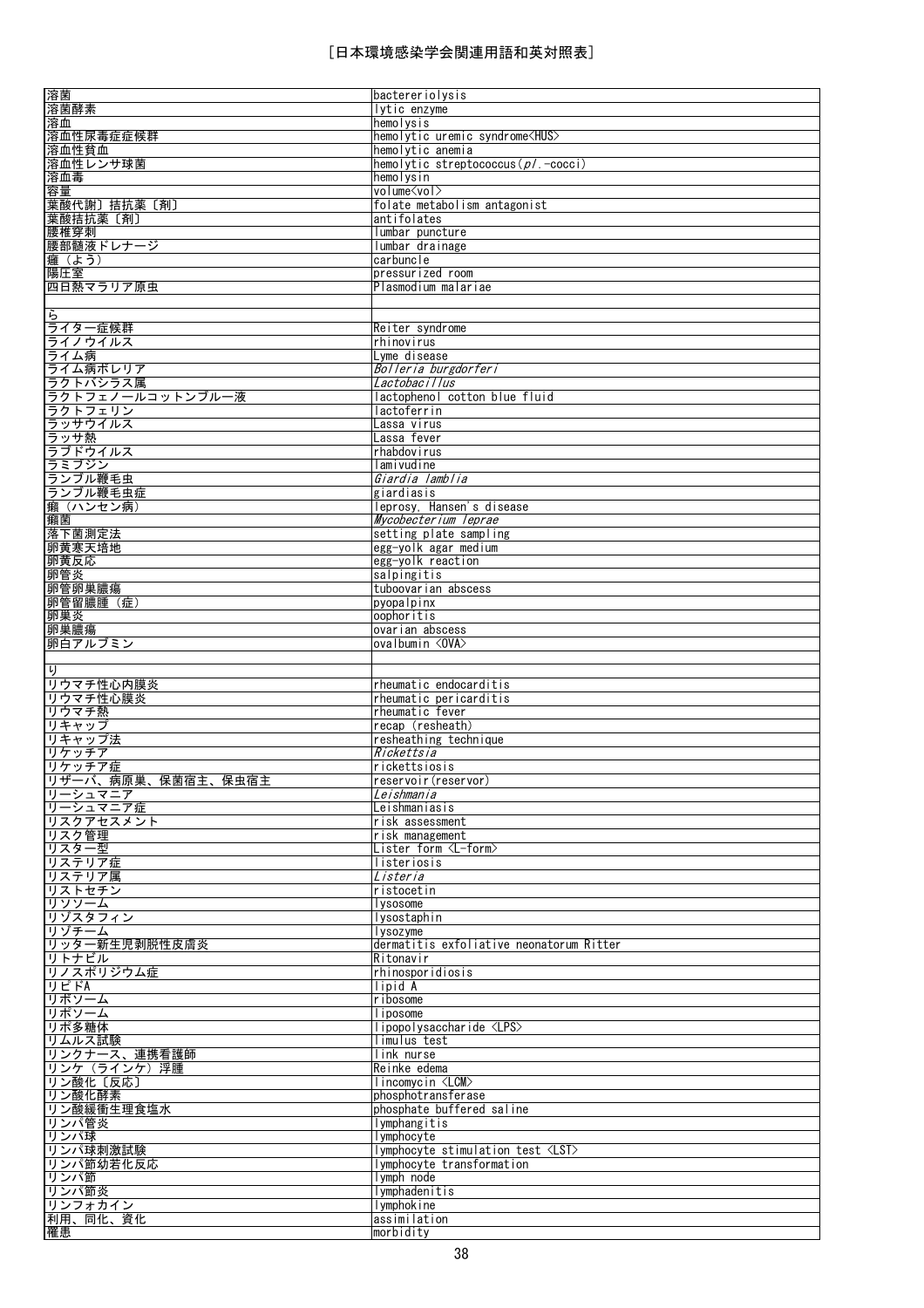| 溶菌                 | bactereriolysis                          |
|--------------------|------------------------------------------|
| 溶菌酵素               | lytic enzyme                             |
| 溶血                 | hemolysis                                |
| 溶血性尿毒症症候群          | hemolytic uremic syndrome <hus></hus>    |
| 溶血性貧血              | hemolytic anemia                         |
| 溶血性レンサ球菌           | hemolytic streptococcus ( $p/$ . -cocci) |
| 溶血毒                | hemolysin                                |
| 容量                 | volume <vol></vol>                       |
| 葉酸代謝〕拮抗薬〔剤〕        | folate metabolism antagonist             |
| 葉酸拮抗薬〔剤〕           | antifolates                              |
| 腰椎穿刺               | lumbar puncture                          |
| 腰部髄液ドレナージ          | lumbar drainage                          |
| 癰 (よう)             | carbuncle                                |
| 陽圧室                | pressurized room                         |
| 四日熱マラリア原虫          | Plasmodium malariae                      |
|                    |                                          |
| ら                  |                                          |
|                    |                                          |
| ライター症候群            | Reiter syndrome                          |
| ライノウイルス            | rhinovirus                               |
| ライム病               | Lyme disease                             |
| ライム病ボレリア           | Bolleria burgdorferi                     |
| ラクトバシラス属           | Lactobacillus                            |
| ラクトフェノールコットンブルー液   | lactophenol cotton blue fluid            |
| ラクトフェリン            | lactoferrin                              |
| ラッサウイルス            | Lassa virus                              |
| ラッサ熱               | Lassa fever                              |
| ラブドウイルス            | rhabdovirus                              |
| ラミブジン              | lamivudine                               |
| ランブル鞭毛虫            | Giardia lamblia                          |
| ランブル鞭毛虫症           | giardiasis                               |
| <u>癩(ハンセン病)</u>    | leprosy. Hansen's disease                |
| 癩菌                 | Mycobecterium leprae                     |
| 落下菌測定法             | setting plate sampling                   |
| 卵黄寒天培地             | egg-yolk agar medium                     |
| 卵黄反応               | egg-yolk reaction                        |
| 卵管炎                | salpingitis                              |
| 卵管卵巣膿瘍             | tuboovarian abscess                      |
| 卵管留膿腫 (症)          | pyopalpinx                               |
| 卵巣炎                | oophoritis                               |
| 卵巣膿瘍               | ovarian abscess                          |
| 卵白アルブミン            | ovalbumin < OVA>                         |
|                    |                                          |
|                    |                                          |
|                    |                                          |
| り                  |                                          |
| リウマチ性心内膜炎          | rheumatic endocarditis                   |
| リウマチ性心膜炎           | rheumatic pericarditis                   |
| リウマチ熱              | rheumatic fever                          |
| リキャップ              | recap (resheath)                         |
| リキャップ法             | resheathing technique                    |
| リケッチア              | Rickettsia                               |
| リケッチア症             | rickettsiosis                            |
| リザーバ、病原巣、保菌宿主、保虫宿主 | reservoir(reservor)                      |
| リーシュマニア            | Leishmania                               |
| リーシュマニア症           | Leishmaniasis                            |
| リスクアセスメント          | risk assessment                          |
| リスク管理              | risk management                          |
| リスター型              | Lister form <l-form></l-form>            |
| リステリア症             | listeriosis                              |
| リステリア属             | Listeria                                 |
| リストセチン             | ristocetin                               |
|                    | lysosome                                 |
| リゾスタフィン            | lysostaphin                              |
| リゾチーム              | lysozyme                                 |
| リッター新生児剥脱性皮膚炎      | dermatitis exfoliative neonatorum Ritter |
| リトナビル              | Ritonavir                                |
| リノスポリジウム症          | <i>rhinosporidiosis</i>                  |
| リピドA               | lipid A                                  |
| リボソーム              | ribosome                                 |
| リソソーム<br>リポソーム     | liposome                                 |
| リポ多糖体              | lipopolysaccharide <lps></lps>           |
| リムルス試験             | limulus test                             |
| リンクナース、連携看護師       | link nurse                               |
| リンケ (ラインケ) 浮腫      | Reinke edema                             |
| リン酸化〔反応〕           | lincomvcin <lcm></lcm>                   |
| リン酸化酵素             | phosphotransferase                       |
| リン酸緩衝生理食塩水         | phosphate buffered saline                |
| リンパ管炎              | lymphangitis                             |
| リンパ球               | lymphocyte                               |
| リンパ球刺激試験           | Iymphocyte stimulation test <lst></lst>  |
| リンパ節幼若化反応          | lymphocyte transformation                |
| リンパ節               | lymph node                               |
| リンパ節炎              | lymphadenitis                            |
| リンフォカイン            | Iymphokine                               |
| 利用、同化、資化<br>罹患     | assimilation<br>morbidity                |